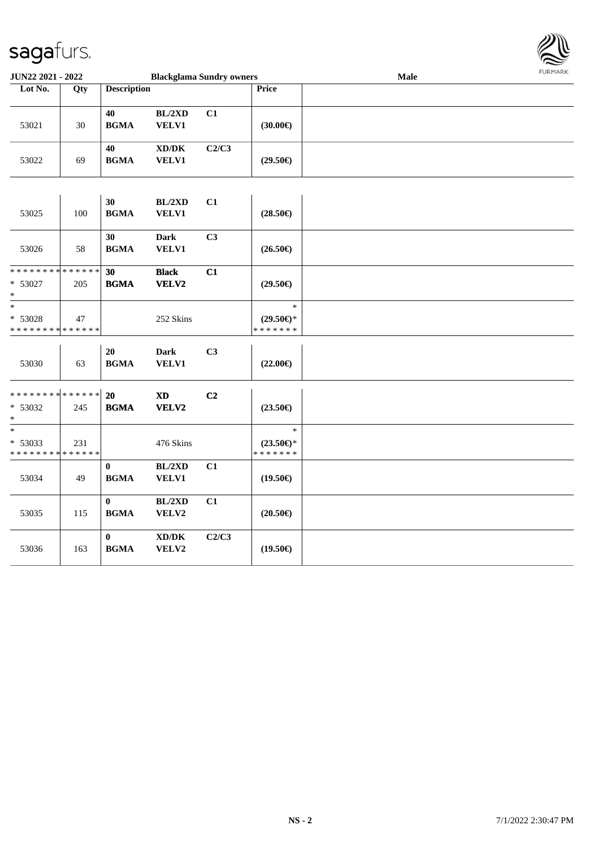

| <b>Blackglama Sundry owners</b><br>JUN22 2021 - 2022 |     |                                 |                                              |       | Male                                           | <b>FURMARK</b> |  |
|------------------------------------------------------|-----|---------------------------------|----------------------------------------------|-------|------------------------------------------------|----------------|--|
| Lot No.                                              | Qty | <b>Description</b>              |                                              |       | Price                                          |                |  |
| 53021                                                | 30  | 40<br><b>BGMA</b>               | BL/2XD<br>VELV1                              | C1    | (30.00)                                        |                |  |
| 53022                                                | 69  | 40<br><b>BGMA</b>               | $\bold{X}\bold{D}/\bold{D}\bold{K}$<br>VELV1 | C2/C3 | $(29.50\epsilon)$                              |                |  |
| 53025                                                | 100 | 30<br><b>BGMA</b>               | BL/2XD<br><b>VELV1</b>                       | C1    | $(28.50\epsilon)$                              |                |  |
| 53026                                                | 58  | 30<br><b>BGMA</b>               | <b>Dark</b><br><b>VELV1</b>                  | C3    | $(26.50\epsilon)$                              |                |  |
| * * * * * * * * * * * * * *<br>* 53027<br>$\ast$     | 205 | 30<br><b>BGMA</b>               | <b>Black</b><br>VELV2                        | C1    | $(29.50\epsilon)$                              |                |  |
| $\ast$<br>* 53028<br>* * * * * * * * * * * * * *     | 47  |                                 | 252 Skins                                    |       | $\ast$<br>$(29.50\epsilon)$ *<br>* * * * * * * |                |  |
| 53030                                                | 63  | 20<br><b>BGMA</b>               | Dark<br><b>VELV1</b>                         | C3    | $(22.00\epsilon)$                              |                |  |
| * * * * * * * * * * * * * * *<br>* 53032<br>$\ast$   | 245 | 20<br><b>BGMA</b>               | $\mathbf{X}\mathbf{D}$<br>VELV2              | C2    | $(23.50\epsilon)$                              |                |  |
| $\ast$<br>* 53033<br>* * * * * * * * * * * * * *     | 231 |                                 | 476 Skins                                    |       | $\ast$<br>$(23.50\epsilon)$ *<br>* * * * * * * |                |  |
| 53034                                                | 49  | $\boldsymbol{0}$<br><b>BGMA</b> | BL/2XD<br>VELV1                              | C1    | $(19.50\epsilon)$                              |                |  |
| 53035                                                | 115 | $\bf{0}$<br><b>BGMA</b>         | BL/2XD<br>VELV2                              | C1    | $(20.50\epsilon)$                              |                |  |
| 53036                                                | 163 | $\bf{0}$<br><b>BGMA</b>         | XD/DK<br>VELV2                               | C2/C3 | $(19.50\epsilon)$                              |                |  |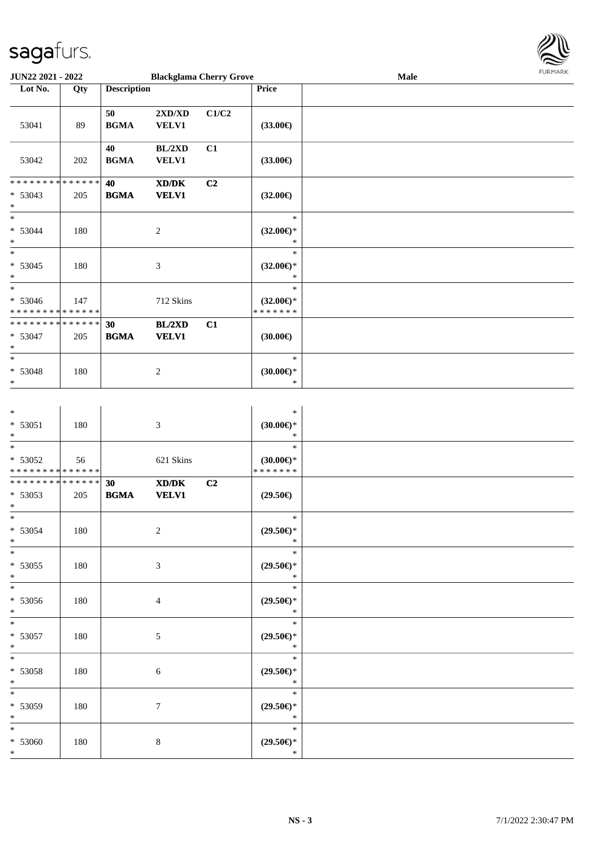

| <b>JUN22 2021 - 2022</b>                                                                              |     |                    | <b>Blackglama Cherry Grove</b>                      |                |                                                   | Male |  |  |  |  |
|-------------------------------------------------------------------------------------------------------|-----|--------------------|-----------------------------------------------------|----------------|---------------------------------------------------|------|--|--|--|--|
| Lot No.                                                                                               | Qty | <b>Description</b> |                                                     |                | Price                                             |      |  |  |  |  |
| 53041                                                                                                 | 89  | 50<br><b>BGMA</b>  | 2XD/XD<br>VELV1                                     | C1/C2          | $(33.00\epsilon)$                                 |      |  |  |  |  |
| 53042                                                                                                 | 202 | 40<br><b>BGMA</b>  | BL/2XD<br><b>VELV1</b>                              | C1             | $(33.00\epsilon)$                                 |      |  |  |  |  |
| * * * * * * * * <mark>* * * * * *</mark><br>$* 53043$<br>$\ast$<br>$\ast$                             | 205 | 40<br><b>BGMA</b>  | $\bold{X}\bold{D}/\bold{D}\bold{K}$<br><b>VELV1</b> | C <sub>2</sub> | $(32.00\epsilon)$                                 |      |  |  |  |  |
| $* 53044$<br>$\ast$<br>$\ast$                                                                         | 180 |                    | $\boldsymbol{2}$                                    |                | $\ast$<br>$(32.00\epsilon)$ *<br>$\ast$<br>$\ast$ |      |  |  |  |  |
| $* 53045$<br>*<br>$\ast$                                                                              | 180 |                    | $\mathfrak{Z}$                                      |                | $(32.00\epsilon)$ *<br>$\ast$<br>$\ast$           |      |  |  |  |  |
| $* 53046$<br>* * * * * * * * <mark>* * * * * * *</mark><br>* * * * * * * * <mark>* * * * * * *</mark> | 147 |                    | 712 Skins                                           |                | $(32.00\epsilon)$ *<br>* * * * * * *              |      |  |  |  |  |
| $* 53047$<br>$\ast$<br>$\ast$                                                                         | 205 | 30<br><b>BGMA</b>  | BL/2XD<br><b>VELV1</b>                              | C1             | $(30.00\epsilon)$<br>$\ast$                       |      |  |  |  |  |
| * 53048<br>$\ast$                                                                                     | 180 |                    | $\sqrt{2}$                                          |                | $(30.00\in)^\ast$<br>$\ast$                       |      |  |  |  |  |
| $*$<br>$* 53051$<br>$\ast$<br>$\overline{\ast}$                                                       | 180 |                    | $\mathfrak{Z}$                                      |                | $\ast$<br>(30.00)<br>$\ast$                       |      |  |  |  |  |
| * 53052<br>* * * * * * * * * * * * * *                                                                | 56  |                    | 621 Skins                                           |                | $\ast$<br>$(30.00\epsilon)$ *<br>* * * * * * *    |      |  |  |  |  |
| * * * * * * * * <mark>* * * * * *</mark><br>* 53053<br>$\ast$                                         | 205 | 30<br><b>BGMA</b>  | $\bold{X}\bold{D}/\bold{D}\bold{K}$<br><b>VELV1</b> | C <sub>2</sub> | $(29.50\epsilon)$                                 |      |  |  |  |  |
| $\ast$<br>$* 53054$<br>*                                                                              | 180 |                    | $\boldsymbol{2}$                                    |                | $\ast$<br>$(29.50\epsilon)$ *<br>$\ast$           |      |  |  |  |  |
| $\ast$<br>* 53055<br>$\ast$<br>$\overline{\ast}$                                                      | 180 |                    | $\mathfrak{Z}$                                      |                | $\ast$<br>$(29.50\epsilon)$ *<br>$\ast$           |      |  |  |  |  |
| * 53056<br>$\ast$<br>$\overline{\ast}$                                                                | 180 |                    | $\overline{4}$                                      |                | $\ast$<br>$(29.50\epsilon)$ *<br>$\ast$           |      |  |  |  |  |
| * 53057<br>$\ast$<br>$\overline{\ast}$                                                                | 180 |                    | 5                                                   |                | $\ast$<br>$(29.50\epsilon)$ *<br>$\ast$           |      |  |  |  |  |
| * 53058<br>$*$                                                                                        | 180 |                    | 6                                                   |                | $\ast$<br>$(29.50\epsilon)$ *<br>$\ast$           |      |  |  |  |  |
| $\ddot{x}$<br>* 53059<br>$\ast$                                                                       | 180 |                    | $\tau$                                              |                | $\ast$<br>$(29.50 \in )^*$<br>$\ast$              |      |  |  |  |  |
| $\ast$<br>$* 53060$<br>$\ast$                                                                         | 180 |                    | $\,8\,$                                             |                | $\ast$<br>$(29.50\epsilon)$ *<br>$\ast$           |      |  |  |  |  |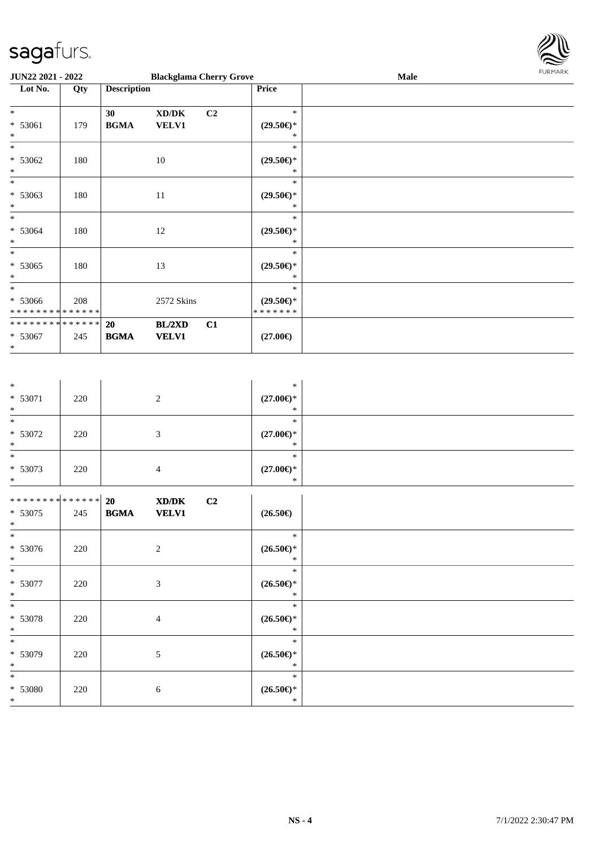

| <b>JUN22 2021 - 2022</b>                        |     |                    |                                                     | <b>Blackglama Cherry Grove</b> |                                                | <b>Male</b> | <b>FURMARK</b> |
|-------------------------------------------------|-----|--------------------|-----------------------------------------------------|--------------------------------|------------------------------------------------|-------------|----------------|
| Lot No.                                         | Qty | <b>Description</b> |                                                     |                                | Price                                          |             |                |
| $*$<br>$* 53061$<br>$\ast$                      | 179 | 30<br><b>BGMA</b>  | $\bold{X}\bold{D}/\bold{D}\bold{K}$<br><b>VELV1</b> | C <sub>2</sub>                 | $\ast$<br>$(29.50\epsilon)$ *<br>*             |             |                |
| $\ast$<br>$* 53062$<br>$*$                      | 180 | 10                 |                                                     |                                | $\ast$<br>$(29.50\epsilon)$ *<br>*             |             |                |
| $\ast$<br>$* 53063$<br>$\ast$                   | 180 | 11                 |                                                     |                                | $*$<br>$(29.50\epsilon)$ *<br>∗                |             |                |
| $\ast$<br>$* 53064$<br>$\ast$                   | 180 | 12                 |                                                     |                                | $\ast$<br>$(29.50\epsilon)$ *<br>*             |             |                |
| $*$<br>$* 53065$<br>$\ast$                      | 180 | 13                 |                                                     |                                | $\ast$<br>$(29.50\epsilon)$ *<br>∗             |             |                |
| $*$<br>$* 53066$<br>* * * * * * * * * * * * * * | 208 |                    | 2572 Skins                                          |                                | $\ast$<br>$(29.50\epsilon)$ *<br>* * * * * * * |             |                |
| * * * * * * * * * * * * * * *<br>* 53067<br>$*$ | 245 | 20<br><b>BGMA</b>  | BL/2XD<br><b>VELV1</b>                              | C1                             | $(27.00\epsilon)$                              |             |                |

| $\ast$                       |     |                          |                | $\ast$                                             |  |
|------------------------------|-----|--------------------------|----------------|----------------------------------------------------|--|
| $* 53071$                    | 220 |                          | $\overline{c}$ | $(27.00\epsilon)$ *                                |  |
| $*$                          |     |                          |                | ∗                                                  |  |
| $\ast$                       |     |                          |                | $\ast$                                             |  |
| $* 53072$<br>$*$             | 220 |                          | 3              | $(27.00\epsilon)$ *<br>$\ast$                      |  |
| $*$                          |     |                          |                | $\ast$                                             |  |
| $* 53073$                    | 220 |                          | $\overline{4}$ | $(27.00\epsilon)$ *                                |  |
| $*$                          |     |                          |                | $\ast$                                             |  |
|                              |     |                          |                |                                                    |  |
| ******** <mark>******</mark> |     | 20 <sub>2</sub><br>XD/DK | C2             |                                                    |  |
| $* 53075$                    | 245 | <b>BGMA</b>              | <b>VELV1</b>   | $(26.50\epsilon)$                                  |  |
| $*$<br>$*$                   |     |                          |                | $\ast$                                             |  |
| $* 53076$                    | 220 |                          | $\sqrt{2}$     | $(26.50\epsilon)$ *                                |  |
| $*$                          |     |                          |                | $\ast$                                             |  |
| $*$                          |     |                          |                | $\ast$                                             |  |
| $* 53077$                    | 220 |                          | 3              | $(26.50\epsilon)$ *                                |  |
| $*$                          |     |                          |                | $\ast$                                             |  |
| $\ast$                       |     |                          |                | $\ast$                                             |  |
| $* 53078$                    | 220 |                          | $\overline{4}$ | $(26.50\epsilon)$ *                                |  |
| $*$<br>$\ast$                |     |                          |                | $\ast$<br>$\ast$                                   |  |
|                              |     |                          |                |                                                    |  |
| $* 53079$<br>$*$             | 220 |                          | 5              | $(26.50\epsilon)$ *<br>$\ast$                      |  |
| $\ast$                       |     |                          |                | $\ast$                                             |  |
| $* 53080$                    | 220 |                          | 6              | $(26.50\mathnormal{\in}\mathcal{)^{\! \! \times}}$ |  |
| $*$                          |     |                          |                | $\ast$                                             |  |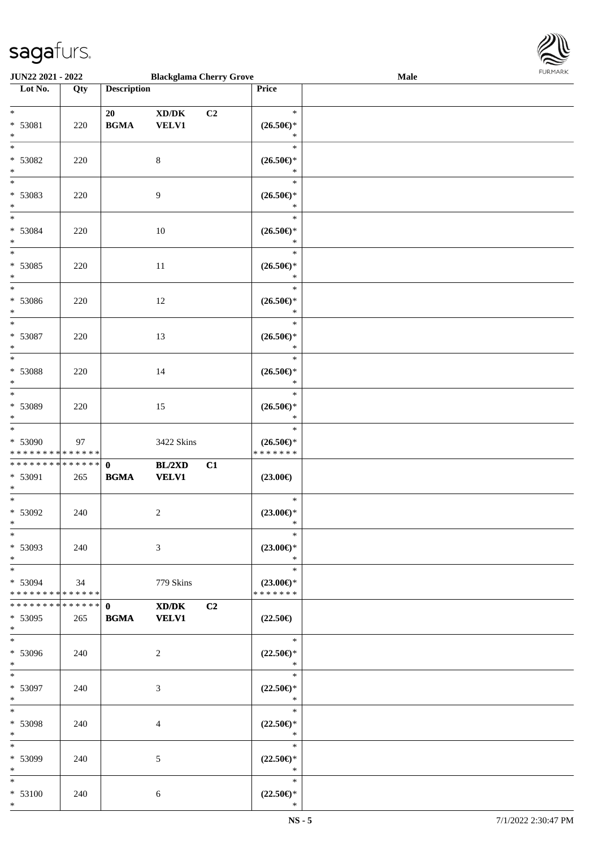

| <b>JUN22 2021 - 2022</b>      |     |                                            | <b>Blackglama Cherry Grove</b>      |    |                                                    | <b>Male</b> |  |
|-------------------------------|-----|--------------------------------------------|-------------------------------------|----|----------------------------------------------------|-------------|--|
| Lot No.                       | Qty | <b>Description</b>                         |                                     |    | Price                                              |             |  |
|                               |     |                                            |                                     |    |                                                    |             |  |
| $*$                           |     | 20                                         | $\bold{X}\bold{D}/\bold{D}\bold{K}$ | C2 | $\ast$                                             |             |  |
| * 53081                       | 220 | $\mathbf{B}\mathbf{G}\mathbf{M}\mathbf{A}$ | VELV1                               |    | $(26.50\epsilon)$ *                                |             |  |
| $\ast$                        |     |                                            |                                     |    | $\ast$                                             |             |  |
| $\overline{\ }$               |     |                                            |                                     |    | $\ast$                                             |             |  |
|                               |     |                                            |                                     |    |                                                    |             |  |
| * 53082                       | 220 |                                            | $8\,$                               |    | $(26.50\mathnormal{\in}\mathcal{)^{\! \! \times}}$ |             |  |
| $\ast$                        |     |                                            |                                     |    | $\ast$                                             |             |  |
|                               |     |                                            |                                     |    | $\ast$                                             |             |  |
| * 53083                       | 220 |                                            | 9                                   |    | $(26.50\mathnormal{\in}\mathcal{)^{\! \! \times}}$ |             |  |
| $*$                           |     |                                            |                                     |    | $\ast$                                             |             |  |
| $*$                           |     |                                            |                                     |    | $\ast$                                             |             |  |
| * 53084                       | 220 |                                            | 10                                  |    | $(26.50\mathnormal{\in}\mathcal{)^{\! \! \times}}$ |             |  |
| $*$                           |     |                                            |                                     |    | $\ast$                                             |             |  |
| $\overline{\ast}$             |     |                                            |                                     |    | $\ast$                                             |             |  |
| $* 53085$                     | 220 |                                            | $11\,$                              |    | $(26.50\epsilon)$ *                                |             |  |
| $\ast$                        |     |                                            |                                     |    | $\ast$                                             |             |  |
| $*$                           |     |                                            |                                     |    | $\ast$                                             |             |  |
|                               |     |                                            |                                     |    |                                                    |             |  |
| * 53086                       | 220 |                                            | 12                                  |    | $(26.50\epsilon)$ *                                |             |  |
| $*$                           |     |                                            |                                     |    | $\ast$                                             |             |  |
| $\ast$                        |     |                                            |                                     |    | $\ast$                                             |             |  |
| * 53087                       | 220 |                                            | 13                                  |    | $(26.50\epsilon)$ *                                |             |  |
| $\ast$                        |     |                                            |                                     |    | $\ast$                                             |             |  |
| $\overline{\phantom{0}}$      |     |                                            |                                     |    | $\ast$                                             |             |  |
| * 53088                       | 220 |                                            | 14                                  |    | $(26.50\epsilon)$ *                                |             |  |
| $\ast$                        |     |                                            |                                     |    | $\ast$                                             |             |  |
| $*$                           |     |                                            |                                     |    | $\ast$                                             |             |  |
| * 53089                       | 220 |                                            | 15                                  |    | $(26.50\epsilon)$ *                                |             |  |
| $*$                           |     |                                            |                                     |    | $\ast$                                             |             |  |
| $\overline{\phantom{0}}$      |     |                                            |                                     |    | $\ast$                                             |             |  |
|                               |     |                                            |                                     |    |                                                    |             |  |
| * 53090                       | 97  |                                            | 3422 Skins                          |    | $(26.50\epsilon)$ *                                |             |  |
| * * * * * * * * * * * * * *   |     |                                            |                                     |    | * * * * * * *                                      |             |  |
| ******** <mark>******</mark>  |     | $\mathbf{0}$                               | BL/2XD                              | C1 |                                                    |             |  |
| * 53091                       | 265 | $\mathbf{B}\mathbf{G}\mathbf{M}\mathbf{A}$ | <b>VELV1</b>                        |    | $(23.00\epsilon)$                                  |             |  |
| $*$                           |     |                                            |                                     |    |                                                    |             |  |
| $*$                           |     |                                            |                                     |    | $\ast$                                             |             |  |
| * 53092                       | 240 |                                            | 2                                   |    | $(23.00\epsilon)$ *                                |             |  |
| $*$                           |     |                                            |                                     |    | $\ast$                                             |             |  |
| $\ast$                        |     |                                            |                                     |    | $\ast$                                             |             |  |
| * 53093                       | 240 |                                            | 3                                   |    | $(23.00\epsilon)$ *                                |             |  |
| $*$                           |     |                                            |                                     |    | $\ast$                                             |             |  |
| $*$                           |     |                                            |                                     |    | $\ast$                                             |             |  |
| * 53094                       | 34  |                                            | 779 Skins                           |    | $(23.00\epsilon)$ *                                |             |  |
| * * * * * * * * * * * * * * * |     |                                            |                                     |    | * * * * * * *                                      |             |  |
|                               |     |                                            |                                     |    |                                                    |             |  |
| ************** 0              |     |                                            | XD/DK                               | C2 |                                                    |             |  |
| * 53095                       | 265 | <b>BGMA</b>                                | <b>VELV1</b>                        |    | $(22.50\epsilon)$                                  |             |  |
| $*$                           |     |                                            |                                     |    |                                                    |             |  |
| $*$                           |     |                                            |                                     |    | $\rightarrow$                                      |             |  |
| * 53096                       | 240 |                                            | 2                                   |    | $(22.50\epsilon)$ *                                |             |  |
| $*$                           |     |                                            |                                     |    | $\ast$                                             |             |  |
| $*$                           |     |                                            |                                     |    | $\ast$                                             |             |  |
| * 53097                       | 240 |                                            | 3                                   |    | $(22.50\epsilon)$ *                                |             |  |
| $*$                           |     |                                            |                                     |    | $\ast$                                             |             |  |
| $*$                           |     |                                            |                                     |    | $\ast$                                             |             |  |
| * 53098                       | 240 |                                            | 4                                   |    | $(22.50\epsilon)$ *                                |             |  |
| $*$                           |     |                                            |                                     |    | $\ast$                                             |             |  |
| $*$                           |     |                                            |                                     |    | $\ast$                                             |             |  |
|                               |     |                                            |                                     |    |                                                    |             |  |
| * 53099                       | 240 |                                            | 5                                   |    | $(22.50\epsilon)$ *                                |             |  |
| $*$                           |     |                                            |                                     |    | $\ast$                                             |             |  |
| $*$                           |     |                                            |                                     |    | $\ast$                                             |             |  |
| $* 53100$                     | 240 |                                            | 6                                   |    | $(22.50\mathsf{E})^*$                              |             |  |
| $*$                           |     |                                            |                                     |    | $\ast$                                             |             |  |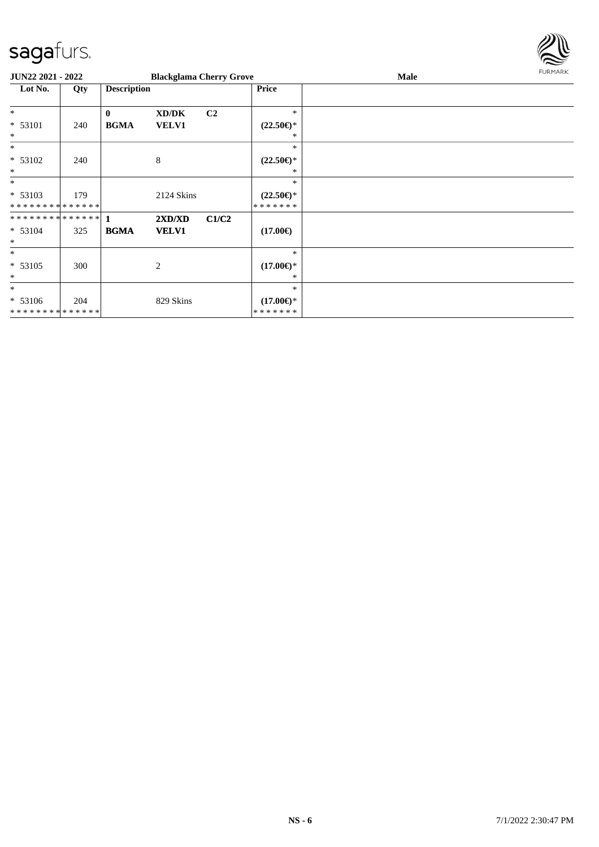

| <b>JUN22 2021 - 2022</b>                 |     |                    | <b>Blackglama Cherry Grove</b> |                |                                      | Male | <b>FURMARK</b> |
|------------------------------------------|-----|--------------------|--------------------------------|----------------|--------------------------------------|------|----------------|
| Lot No.                                  | Qty | <b>Description</b> |                                |                | Price                                |      |                |
| $*$                                      |     | $\mathbf{0}$       | XD/DK                          | C <sub>2</sub> | $\ast$                               |      |                |
| $* 53101$<br>$\ast$                      | 240 | <b>BGMA</b>        | <b>VELV1</b>                   |                | $(22.50\epsilon)$ *<br>*             |      |                |
| $*$                                      |     |                    |                                |                | $\ast$                               |      |                |
| $* 53102$<br>$\ast$                      | 240 |                    | 8                              |                | $(22.50\epsilon)$ *<br>∗             |      |                |
| $\ast$                                   |     |                    |                                |                | $\ast$                               |      |                |
| * 53103<br>* * * * * * * * * * * * * *   | 179 |                    | 2124 Skins                     |                | $(22.50\epsilon)$ *<br>*******       |      |                |
| **************                           |     | $\blacksquare$     | 2XD/XD                         | C1/C2          |                                      |      |                |
| $* 53104$<br>$\ast$                      | 325 | <b>BGMA</b>        | <b>VELV1</b>                   |                | $(17.00\epsilon)$                    |      |                |
| $*$                                      |     |                    |                                |                | $\ast$                               |      |                |
| $* 53105$<br>$\ast$                      | 300 |                    | 2                              |                | $(17.00\epsilon)$ *<br>∗             |      |                |
| $\ast$                                   |     |                    |                                |                | $\ast$                               |      |                |
| * 53106<br>* * * * * * * * * * * * * * * | 204 |                    | 829 Skins                      |                | $(17.00\epsilon)$ *<br>* * * * * * * |      |                |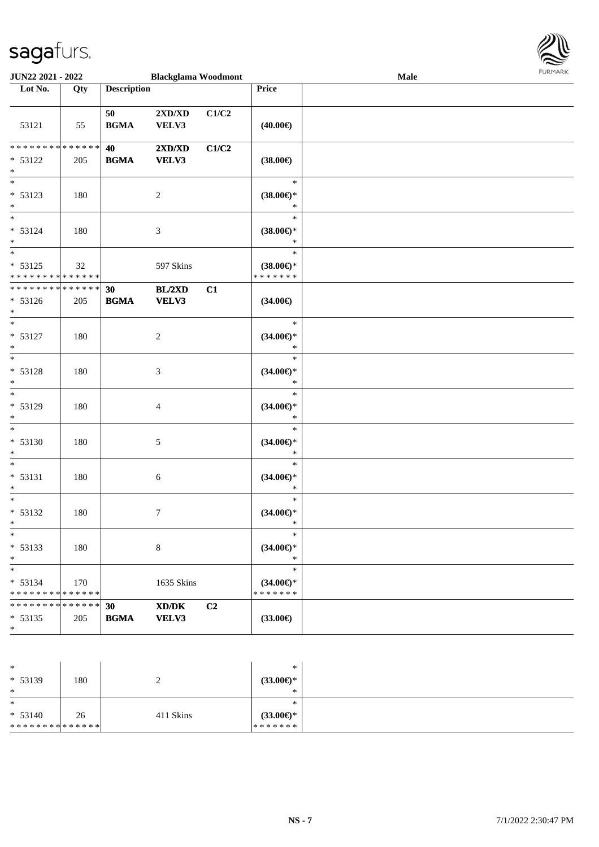\*



| <b>JUN22 2021 - 2022</b>                                        |     |                    | <b>Blackglama Woodmont</b>                                                                                    |       |                                                | Male | <b>FURPIARA</b> |
|-----------------------------------------------------------------|-----|--------------------|---------------------------------------------------------------------------------------------------------------|-------|------------------------------------------------|------|-----------------|
| Lot No.                                                         | Qty | <b>Description</b> |                                                                                                               |       | Price                                          |      |                 |
| 53121                                                           | 55  | 50<br><b>BGMA</b>  | $2{\bf X}{\bf D}/{\bf X}{\bf D}$<br>VELV3                                                                     | C1/C2 | $(40.00\epsilon)$                              |      |                 |
| * 53122<br>$\ast$                                               | 205 | 40<br><b>BGMA</b>  | $2{\bf X}{\bf D}/{\bf X}{\bf D}$<br>VELV3                                                                     | C1/C2 | $(38.00\epsilon)$                              |      |                 |
| $\ast$<br>* 53123<br>$\ast$                                     | 180 |                    | 2                                                                                                             |       | $\ast$<br>$(38.00\epsilon)$ *<br>$\ast$        |      |                 |
| $*$<br>$* 53124$<br>$\ast$                                      | 180 |                    | 3                                                                                                             |       | $\ast$<br>$(38.00\epsilon)$ *<br>$\ast$        |      |                 |
| * 53125<br>* * * * * * * * <mark>* * * * * * *</mark>           | 32  |                    | 597 Skins                                                                                                     |       | $\ast$<br>$(38.00\epsilon)$ *<br>* * * * * * * |      |                 |
| * * * * * * * * <mark>* * * * * * *</mark><br>$* 53126$<br>$*$  | 205 | 30<br><b>BGMA</b>  | BL/2XD<br>VELV3                                                                                               | C1    | $(34.00\epsilon)$                              |      |                 |
| $\ddot{x}$<br>* 53127<br>$\ast$                                 | 180 |                    | $\overline{2}$                                                                                                |       | $\ast$<br>$(34.00\epsilon)$ *<br>$\ast$        |      |                 |
| $\overline{\ast}$<br>$* 53128$<br>$*$                           | 180 |                    | $\mathfrak{Z}$                                                                                                |       | $\ast$<br>$(34.00\epsilon)$ *<br>$\ast$        |      |                 |
| $\overline{\ast}$<br>* 53129<br>$\ast$                          | 180 |                    | $\overline{4}$                                                                                                |       | $\ast$<br>$(34.00\epsilon)$ *<br>$\ast$        |      |                 |
| $\ast$<br>* 53130<br>$\ast$                                     | 180 |                    | 5                                                                                                             |       | $\ast$<br>$(34.00\epsilon)$ *<br>$\ast$        |      |                 |
| $\ast$<br>* 53131<br>$\ast$                                     | 180 |                    | 6                                                                                                             |       | $\ast$<br>$(34.00\epsilon)$ *<br>$\ast$        |      |                 |
| $\ast$<br>$* 53132$<br>$\star$                                  | 180 |                    | $\boldsymbol{7}$                                                                                              |       | $\ast$<br>$(34.00\epsilon)$ *<br>$-$           |      |                 |
| $\ast$<br>* 53133<br>$\ast$                                     | 180 |                    | $\,8\,$                                                                                                       |       | $\ast$<br>$(34.00\epsilon)$ *<br>$\ast$        |      |                 |
| $\ast$<br>$* 53134$<br>* * * * * * * * <mark>* * * * * *</mark> | 170 |                    | 1635 Skins                                                                                                    |       | $\ast$<br>$(34.00\epsilon)$ *<br>* * * * * * * |      |                 |
| * * * * * * * * * * * * * * *<br>$* 53135$<br>*                 | 205 | 30<br><b>BGMA</b>  | $\boldsymbol{\text{X}}\boldsymbol{\text{D}}\boldsymbol{/}\boldsymbol{\text{D}}\boldsymbol{\text{K}}$<br>VELV3 | C2    | $(33.00\epsilon)$                              |      |                 |

| $\ast$                        |     |           | $\ast$           |  |
|-------------------------------|-----|-----------|------------------|--|
| $* 53139$                     | 180 |           | $(33.00 \in )$ * |  |
| $\ast$                        |     |           | $\ast$           |  |
| $\ast$                        |     |           | ∗                |  |
| $* 53140$                     | 26  | 411 Skins | $(33.00€)$ *     |  |
| * * * * * * * * * * * * * * * |     |           | * * * * * * *    |  |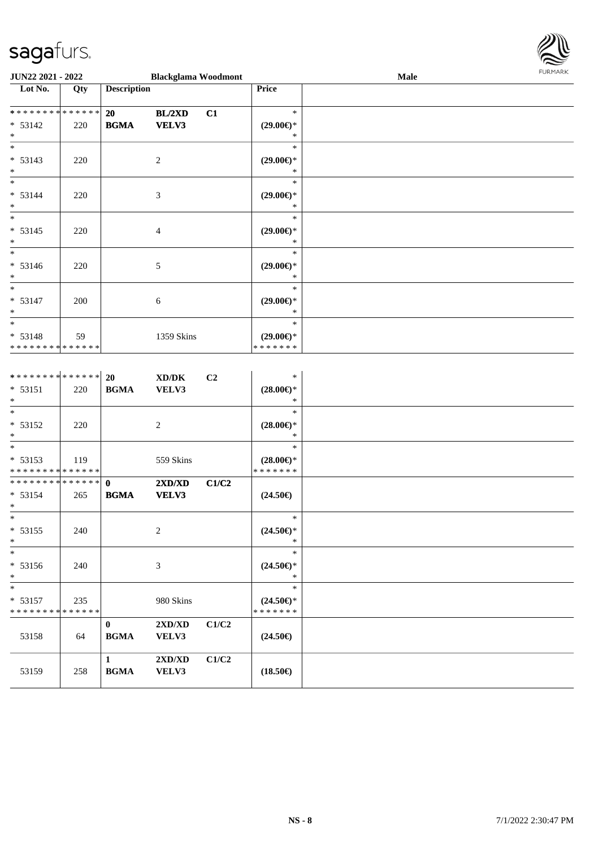

|                                                    | JUN22 2021 - 2022<br><b>Blackglama Woodmont</b> |                    |                             |    |                                          | Male | <b>FURMARK</b> |
|----------------------------------------------------|-------------------------------------------------|--------------------|-----------------------------|----|------------------------------------------|------|----------------|
| Lot No.                                            | Qty                                             | <b>Description</b> |                             |    | Price                                    |      |                |
| **************                                     |                                                 | 20                 | BL/2XD                      | C1 | $\ast$                                   |      |                |
| $* 53142$<br>$\ast$                                | 220                                             | <b>BGMA</b>        | VELV3                       |    | $(29.00\epsilon)$ *<br>∗                 |      |                |
| $*$                                                |                                                 |                    |                             |    | $\ast$                                   |      |                |
| $* 53143$<br>$\ast$                                | 220                                             |                    | $\overline{c}$              |    | $(29.00\epsilon)$ *<br>∗                 |      |                |
| $*$                                                |                                                 |                    |                             |    | $\ast$                                   |      |                |
| * 53144<br>$\ast$                                  | 220                                             |                    | $\boldsymbol{\mathfrak{Z}}$ |    | $(29.00\epsilon)$ *<br>*                 |      |                |
| $\ast$<br>$* 53145$<br>$\ast$                      | 220                                             |                    | 4                           |    | $\ast$<br>$(29.00\epsilon)$ *<br>$\ast$  |      |                |
| $\ast$<br>$* 53146$<br>$\ast$                      | 220                                             |                    | 5                           |    | $\ast$<br>$(29.00\epsilon)$ *<br>∗       |      |                |
| $\ast$<br>* 53147<br>$\ast$                        | 200                                             |                    | 6                           |    | $\ast$<br>$(29.00\epsilon)$ *<br>∗       |      |                |
| $\ast$<br>$* 53148$<br>* * * * * * * * * * * * * * | 59                                              |                    | 1359 Skins                  |    | $\ast$<br>$(29.00\epsilon)$ *<br>******* |      |                |

| **************           |     | 20           | XD/DK          | C <sub>2</sub> | $\ast$              |  |
|--------------------------|-----|--------------|----------------|----------------|---------------------|--|
| $* 53151$                | 220 | <b>BGMA</b>  | VELV3          |                | $(28.00\epsilon)$ * |  |
| $*$                      |     |              |                |                | *                   |  |
| $\ast$                   |     |              |                |                | $\ast$              |  |
| $* 53152$                | 220 |              | $\overline{c}$ |                | $(28.00\epsilon)$ * |  |
| $*$                      |     |              |                |                | $\ast$              |  |
| $\overline{\phantom{0}}$ |     |              |                |                | $\ast$              |  |
| $* 53153$                | 119 |              | 559 Skins      |                | $(28.00\epsilon)$ * |  |
| **************           |     |              |                |                | * * * * * * *       |  |
| **************           |     | $\mathbf{0}$ | 2XD/XD         | C1/C2          |                     |  |
| $* 53154$                | 265 | <b>BGMA</b>  | VELV3          |                | $(24.50\epsilon)$   |  |
| $*$                      |     |              |                |                |                     |  |
| $*$                      |     |              |                |                | $\ast$              |  |
| $* 53155$                | 240 |              | $\overline{c}$ |                | $(24.50\epsilon)$ * |  |
| $*$                      |     |              |                |                | ∗                   |  |
| $\ast$                   |     |              |                |                | $\ast$              |  |
| $* 53156$                | 240 |              | 3              |                | $(24.50\epsilon)$ * |  |
| $*$                      |     |              |                |                | $\ast$              |  |
| $*$                      |     |              |                |                | $\ast$              |  |
| $* 53157$                | 235 |              | 980 Skins      |                | $(24.50\epsilon)$ * |  |
| **************           |     |              |                |                | * * * * * * *       |  |
|                          |     | $\bf{0}$     | 2XD/XD         | C1/C2          |                     |  |
| 53158                    | 64  | <b>BGMA</b>  | VELV3          |                | $(24.50\epsilon)$   |  |
|                          |     |              |                |                |                     |  |
|                          |     | 1            | 2XD/XD         | C1/C2          |                     |  |
| 53159                    | 258 | <b>BGMA</b>  | VELV3          |                | $(18.50\epsilon)$   |  |
|                          |     |              |                |                |                     |  |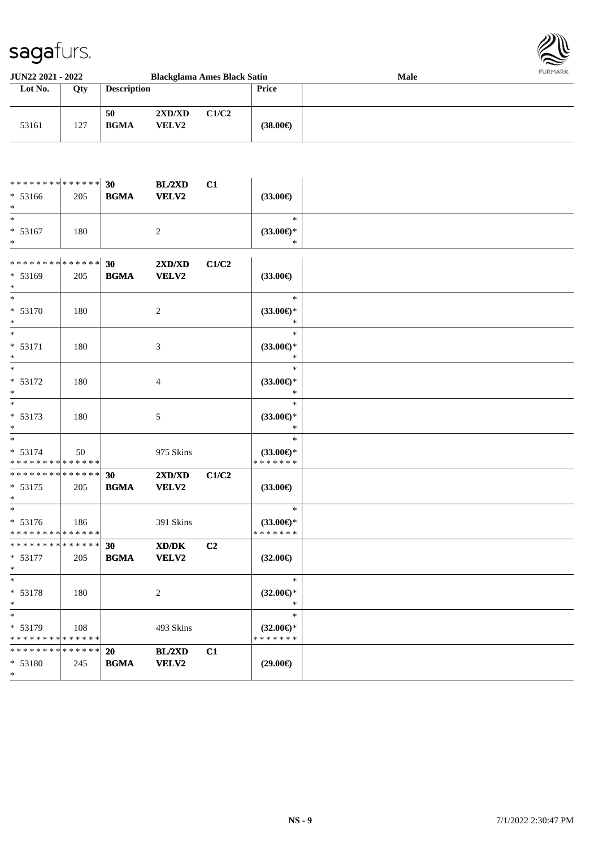

| <b>JUN22 2021 - 2022</b> |     |                    |                        | <b>Blackglama Ames Black Satin</b> |                   | <b>Male</b> | <b>FURMARK</b> |
|--------------------------|-----|--------------------|------------------------|------------------------------------|-------------------|-------------|----------------|
| Lot No.                  | Qty | <b>Description</b> |                        |                                    | Price             |             |                |
| 53161                    | 127 | 50<br><b>BGMA</b>  | 2XD/XD<br><b>VELV2</b> | C1/C2                              | $(38.00\epsilon)$ |             |                |

| ******** <mark>******</mark>              |     | 30          | BL/2XD         | C1             |                                      |  |
|-------------------------------------------|-----|-------------|----------------|----------------|--------------------------------------|--|
| $* 53166$                                 | 205 | <b>BGMA</b> | VELV2          |                | $(33.00\epsilon)$                    |  |
| $\ast$                                    |     |             |                |                |                                      |  |
| $\overline{\phantom{a}}$                  |     |             |                |                | $\ast$                               |  |
| $* 53167$                                 | 180 |             | $\overline{2}$ |                | $(33.00\epsilon)$ *                  |  |
| $\ast$                                    |     |             |                |                | $\ast$                               |  |
|                                           |     |             |                |                |                                      |  |
| * * * * * * * * * * * * * *               |     | 30          | 2XD/XD         | C1/C2          |                                      |  |
| $* 53169$                                 | 205 | <b>BGMA</b> | VELV2          |                | $(33.00\epsilon)$                    |  |
|                                           |     |             |                |                |                                      |  |
| $\ast$                                    |     |             |                |                | $\ast$                               |  |
| * 53170                                   | 180 |             | $\overline{2}$ |                | $(33.00\epsilon)$ *                  |  |
| $\ast$                                    |     |             |                |                | $\ast$                               |  |
| $\ast$                                    |     |             |                |                | $\ast$                               |  |
| $* 53171$                                 | 180 |             | 3              |                | $(33.00\epsilon)$ *                  |  |
| $\ast$                                    |     |             |                |                | $\ast$                               |  |
| $\ast$                                    |     |             |                |                | $\ast$                               |  |
| * 53172                                   | 180 |             | 4              |                | $(33.00\epsilon)$ *                  |  |
|                                           |     |             |                |                | $\ast$                               |  |
| $\ast$                                    |     |             |                |                | $\ast$                               |  |
| * 53173                                   | 180 |             | 5              |                | $(33.00\epsilon)$ *                  |  |
|                                           |     |             |                |                | $\ast$                               |  |
| $\ast$                                    |     |             |                |                | $\ast$                               |  |
| $* 53174$                                 | 50  |             | 975 Skins      |                | $(33.00\epsilon)$ *                  |  |
| * * * * * * * * * * * * * *               |     |             |                |                | * * * * * * *                        |  |
| ******** <mark>******</mark>              |     | 30          | 2XD/XD         | C1/C2          |                                      |  |
| $* 53175$                                 | 205 | <b>BGMA</b> | VELV2          |                | $(33.00\epsilon)$                    |  |
| $\ast$                                    |     |             |                |                |                                      |  |
|                                           |     |             |                |                | $\ast$                               |  |
| * 53176<br>* * * * * * * * * * * * * *    | 186 |             | 391 Skins      |                | $(33.00\epsilon)$ *<br>* * * * * * * |  |
| **************                            |     |             |                |                |                                      |  |
|                                           |     | 30          | XD/DK          | C <sub>2</sub> |                                      |  |
| $* 53177$<br>$*$                          | 205 | <b>BGMA</b> | VELV2          |                | $(32.00\epsilon)$                    |  |
| $\overline{\phantom{a}^*}$                |     |             |                |                | $\ast$                               |  |
| * 53178                                   |     |             |                |                |                                      |  |
|                                           | 180 |             | $\overline{2}$ |                | $(32.00\epsilon)$ *                  |  |
| $\ast$<br>$\ast$                          |     |             |                |                | $\ast$<br>$\ast$                     |  |
|                                           |     |             |                |                |                                      |  |
| $* 53179$<br>******** <mark>******</mark> | 108 |             | 493 Skins      |                | $(32.00\epsilon)$ *<br>* * * * * * * |  |
| ******** <mark>*****</mark> *             |     | <b>20</b>   | BL/2XD         | C1             |                                      |  |
|                                           |     | <b>BGMA</b> |                |                |                                      |  |
| * 53180<br>$\ast$                         | 245 |             | <b>VELV2</b>   |                | $(29.00\epsilon)$                    |  |
|                                           |     |             |                |                |                                      |  |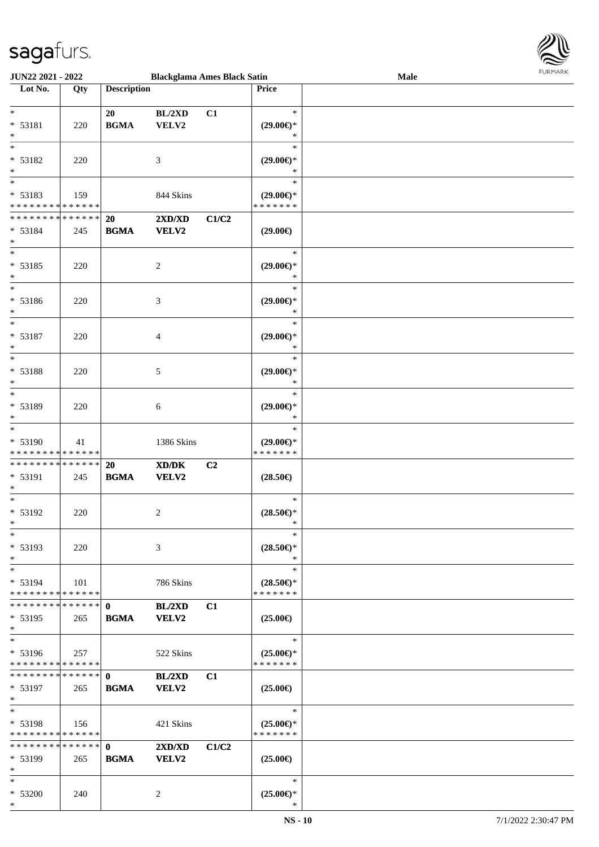\*



| <b>JUN22 2021 - 2022</b>                   |     |                    | <b>Blackglama Ames Black Satin</b> |       |                     | Male |  |
|--------------------------------------------|-----|--------------------|------------------------------------|-------|---------------------|------|--|
| Lot No.                                    | Qty | <b>Description</b> |                                    |       | Price               |      |  |
|                                            |     |                    |                                    |       |                     |      |  |
| $\ast$                                     |     | 20                 | BL/2XD                             | C1    | $\ast$              |      |  |
| * 53181                                    |     | <b>BGMA</b>        |                                    |       |                     |      |  |
|                                            | 220 |                    | VELV2                              |       | $(29.00\epsilon)$ * |      |  |
| $\ast$                                     |     |                    |                                    |       | $\ast$              |      |  |
| $\ast$                                     |     |                    |                                    |       | $\ast$              |      |  |
| $* 53182$                                  | 220 |                    | 3                                  |       | $(29.00\epsilon)$ * |      |  |
| $\ast$                                     |     |                    |                                    |       | ∗                   |      |  |
| $\overline{\phantom{0}}$                   |     |                    |                                    |       | $\ast$              |      |  |
|                                            |     |                    |                                    |       |                     |      |  |
| * 53183                                    | 159 |                    | 844 Skins                          |       | $(29.00\epsilon)$ * |      |  |
| * * * * * * * * <mark>* * * * * * *</mark> |     |                    |                                    |       | * * * * * * *       |      |  |
| * * * * * * * * <mark>* * * * * * *</mark> |     | 20                 | 2XD/XD                             | C1/C2 |                     |      |  |
| * 53184                                    | 245 | <b>BGMA</b>        | VELV2                              |       | $(29.00\epsilon)$   |      |  |
| $*$                                        |     |                    |                                    |       |                     |      |  |
| $\ast$                                     |     |                    |                                    |       | $\ast$              |      |  |
| * 53185                                    |     |                    |                                    |       |                     |      |  |
|                                            | 220 |                    | $\overline{c}$                     |       | $(29.00\epsilon)$ * |      |  |
| $\ast$                                     |     |                    |                                    |       | $\ast$              |      |  |
| $\ast$                                     |     |                    |                                    |       | $\ast$              |      |  |
| * 53186                                    | 220 |                    | 3                                  |       | $(29.00\epsilon)$ * |      |  |
| $\ast$                                     |     |                    |                                    |       | $\ast$              |      |  |
| $\ast$                                     |     |                    |                                    |       | $\ast$              |      |  |
| * 53187                                    |     |                    |                                    |       |                     |      |  |
|                                            | 220 |                    | 4                                  |       | $(29.00\epsilon)$ * |      |  |
| $\ast$                                     |     |                    |                                    |       | $\ast$              |      |  |
| $\ast$                                     |     |                    |                                    |       | $\ast$              |      |  |
| * 53188                                    | 220 |                    | 5                                  |       | $(29.00\epsilon)$ * |      |  |
| $\ast$                                     |     |                    |                                    |       | $\ast$              |      |  |
| $\ddot{x}$                                 |     |                    |                                    |       | $\ast$              |      |  |
| * 53189                                    | 220 |                    |                                    |       | $(29.00\epsilon)$ * |      |  |
|                                            |     |                    | 6                                  |       |                     |      |  |
| $\ast$                                     |     |                    |                                    |       | $\ast$              |      |  |
| $\ast$                                     |     |                    |                                    |       | $\ast$              |      |  |
| * 53190                                    | 41  |                    | 1386 Skins                         |       | $(29.00\epsilon)$ * |      |  |
| * * * * * * * * * * * * * *                |     |                    |                                    |       | * * * * * * *       |      |  |
| * * * * * * * * <mark>* * * * * *</mark>   |     | 20                 | XD/DK                              | C2    |                     |      |  |
| * 53191                                    | 245 | <b>BGMA</b>        | VELV2                              |       | $(28.50\epsilon)$   |      |  |
| $\ast$                                     |     |                    |                                    |       |                     |      |  |
|                                            |     |                    |                                    |       |                     |      |  |
| $*$                                        |     |                    |                                    |       | $\ast$              |      |  |
| * 53192                                    | 220 |                    | 2                                  |       | $(28.50\epsilon)$ * |      |  |
| $\ast$                                     |     |                    |                                    |       | $\ast$              |      |  |
| $\ast$                                     |     |                    |                                    |       | $\ast$              |      |  |
| * 53193                                    | 220 |                    | 3                                  |       | $(28.50\epsilon)$ * |      |  |
| $\ast$                                     |     |                    |                                    |       | $*$                 |      |  |
|                                            |     |                    |                                    |       |                     |      |  |
| $\ast$                                     |     |                    |                                    |       | $\ast$              |      |  |
| $* 53194$                                  | 101 |                    | 786 Skins                          |       | $(28.50\epsilon)$ * |      |  |
| * * * * * * * * <mark>* * * * * * *</mark> |     |                    |                                    |       | * * * * * * *       |      |  |
|                                            |     |                    | BL/2XD                             | C1    |                     |      |  |
| $* 53195$                                  | 265 | <b>BGMA</b>        | VELV2                              |       | $(25.00\epsilon)$   |      |  |
| $\ast$                                     |     |                    |                                    |       |                     |      |  |
| $\ast$                                     |     |                    |                                    |       | $\ast$              |      |  |
|                                            |     |                    |                                    |       |                     |      |  |
| $* 53196$                                  | 257 |                    | 522 Skins                          |       | $(25.00\epsilon)$ * |      |  |
| * * * * * * * * * * * * * * *              |     |                    |                                    |       | * * * * * * *       |      |  |
|                                            |     |                    | BL/2XD                             | C1    |                     |      |  |
| * 53197                                    | 265 | <b>BGMA</b>        | VELV2                              |       | $(25.00\epsilon)$   |      |  |
| $\ast$                                     |     |                    |                                    |       |                     |      |  |
| $\ast$                                     |     |                    |                                    |       | $\ast$              |      |  |
| $* 53198$                                  | 156 |                    | 421 Skins                          |       | $(25.00\epsilon)$ * |      |  |
| * * * * * * * * * * * * * * *              |     |                    |                                    |       | * * * * * * *       |      |  |
|                                            |     |                    |                                    |       |                     |      |  |
|                                            |     |                    | 2XD/XD                             | C1/C2 |                     |      |  |
| * 53199                                    | 265 | <b>BGMA</b>        | <b>VELV2</b>                       |       | $(25.00\epsilon)$   |      |  |
| $\ast$                                     |     |                    |                                    |       |                     |      |  |
| $\ast$                                     |     |                    |                                    |       | $\ast$              |      |  |
| * 53200                                    | 240 |                    | 2                                  |       | $(25.00\epsilon)$ * |      |  |
|                                            |     |                    |                                    |       |                     |      |  |
| $\ast$                                     |     |                    |                                    |       | $\ast$              |      |  |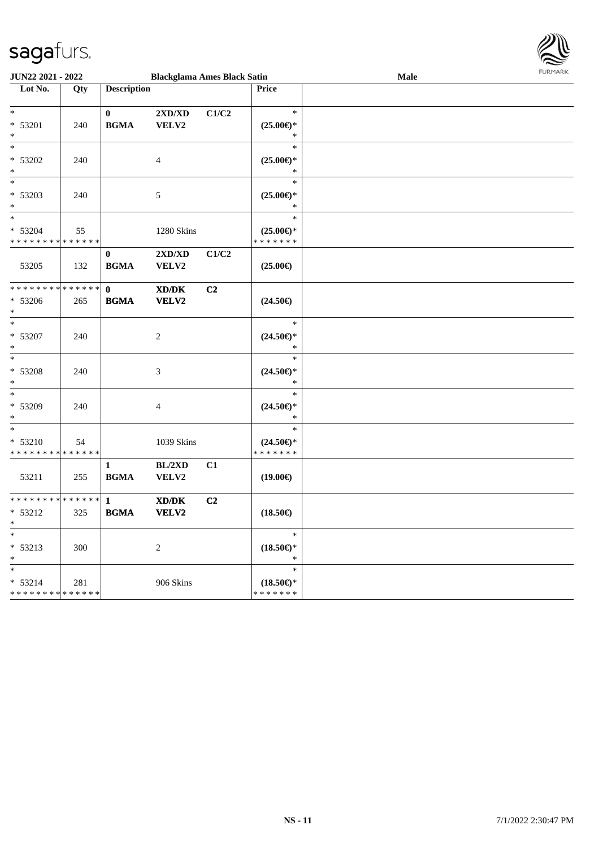

| <b>JUN22 2021 - 2022</b>                   |     |                    | <b>Blackglama Ames Black Satin</b> |                |                     | Male | FURMARK |
|--------------------------------------------|-----|--------------------|------------------------------------|----------------|---------------------|------|---------|
| Lot No.                                    | Qty | <b>Description</b> |                                    |                | Price               |      |         |
|                                            |     |                    |                                    |                |                     |      |         |
| $\ddot{x}$                                 |     | $\mathbf{0}$       | $2{\bf X}{\bf D}/{\bf X}{\bf D}$   | C1/C2          | $\ast$              |      |         |
| * 53201                                    | 240 | <b>BGMA</b>        | VELV2                              |                | $(25.00\epsilon)$ * |      |         |
| $\ast$                                     |     |                    |                                    |                | $\ast$              |      |         |
| $\ast$                                     |     |                    |                                    |                | $\ast$              |      |         |
| * 53202                                    | 240 |                    | $\overline{4}$                     |                | $(25.00\epsilon)$ * |      |         |
| $\ast$                                     |     |                    |                                    |                | $\ast$              |      |         |
| $\ddot{x}$                                 |     |                    |                                    |                | $\ast$              |      |         |
| * 53203                                    | 240 |                    | 5                                  |                | $(25.00\epsilon)$ * |      |         |
| $*$                                        |     |                    |                                    |                | $\ast$              |      |         |
| $\ast$                                     |     |                    |                                    |                | $\ast$              |      |         |
| * 53204                                    | 55  |                    | 1280 Skins                         |                | $(25.00\epsilon)$ * |      |         |
| * * * * * * * * <mark>* * * * * * *</mark> |     |                    |                                    |                | * * * * * * *       |      |         |
|                                            |     | $\bf{0}$           | $2{\bf X}{\bf D}/{\bf X}{\bf D}$   | C1/C2          |                     |      |         |
| 53205                                      | 132 | <b>BGMA</b>        | VELV2                              |                | $(25.00\epsilon)$   |      |         |
|                                            |     |                    |                                    |                |                     |      |         |
| * * * * * * * * <mark>* * * * * * *</mark> |     | $\mathbf{0}$       | XD/DK                              | C <sub>2</sub> |                     |      |         |
| $* 53206$                                  | 265 | <b>BGMA</b>        | VELV2                              |                | $(24.50\epsilon)$   |      |         |
| $\ast$                                     |     |                    |                                    |                |                     |      |         |
| $\ast$                                     |     |                    |                                    |                | $\ast$              |      |         |
| * 53207                                    | 240 |                    | 2                                  |                | $(24.50\epsilon)$ * |      |         |
| $*$                                        |     |                    |                                    |                | $\ast$              |      |         |
|                                            |     |                    |                                    |                | $\ast$              |      |         |
| * 53208                                    | 240 |                    | 3                                  |                | $(24.50\epsilon)$ * |      |         |
| $*$                                        |     |                    |                                    |                | $\ast$              |      |         |
| $*$                                        |     |                    |                                    |                | $\ast$              |      |         |
| * 53209                                    | 240 |                    | 4                                  |                | $(24.50\epsilon)$ * |      |         |
| $\ast$                                     |     |                    |                                    |                | $\ast$              |      |         |
| $\overline{\ast}$                          |     |                    |                                    |                | $\ast$              |      |         |
| * 53210                                    | 54  |                    | 1039 Skins                         |                | $(24.50\epsilon)$ * |      |         |
| * * * * * * * * <mark>* * * * * * *</mark> |     |                    |                                    |                | * * * * * * *       |      |         |
|                                            |     | $\mathbf{1}$       | BL/2XD                             | C1             |                     |      |         |
| 53211                                      | 255 | <b>BGMA</b>        | VELV2                              |                | $(19.00\epsilon)$   |      |         |
|                                            |     |                    |                                    |                |                     |      |         |
|                                            |     |                    | XD/DK                              | C2             |                     |      |         |
| * 53212                                    | 325 | <b>BGMA</b>        | <b>VELV2</b>                       |                | $(18.50\epsilon)$   |      |         |
|                                            |     |                    |                                    |                |                     |      |         |
| $\ast$                                     |     |                    |                                    |                | $\ast$              |      |         |
| $* 53213$                                  | 300 |                    | $\sqrt{2}$                         |                | $(18.50\epsilon)$ * |      |         |
| $\ast$                                     |     |                    |                                    |                | $\ast$              |      |         |
| *.                                         |     |                    |                                    |                | $\ast$              |      |         |
| $* 53214$                                  | 281 |                    | 906 Skins                          |                | $(18.50\epsilon)$ * |      |         |
| * * * * * * * * <mark>* * * * * * *</mark> |     |                    |                                    |                | * * * * * * *       |      |         |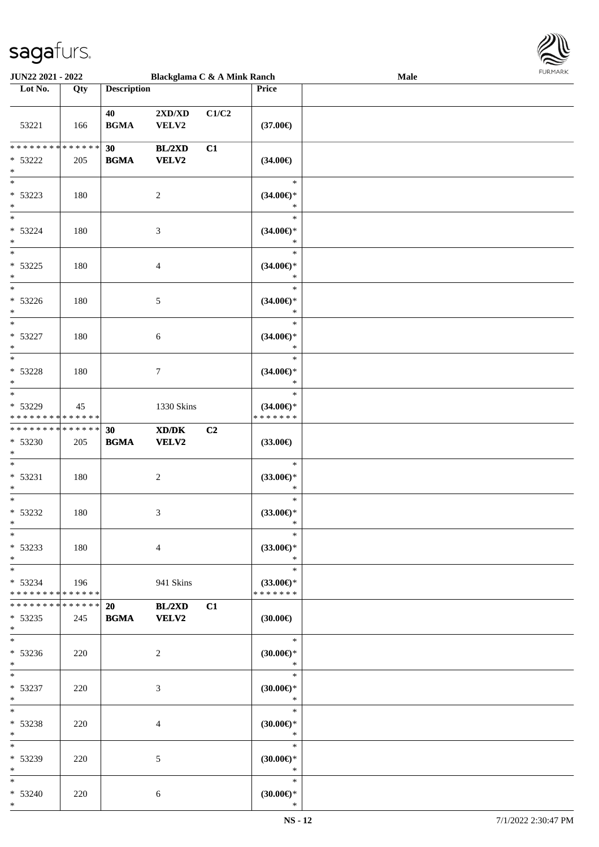

| <b>JUN22 2021 - 2022</b>                           |     |                    | Blackglama C & A Mink Ranch                                                                                          |       |                                                | <b>Male</b> |  |
|----------------------------------------------------|-----|--------------------|----------------------------------------------------------------------------------------------------------------------|-------|------------------------------------------------|-------------|--|
| Lot No.                                            | Qty | <b>Description</b> |                                                                                                                      |       | Price                                          |             |  |
| 53221                                              | 166 | 40<br><b>BGMA</b>  | $2{\bf X}{\bf D}/{\bf X}{\bf D}$<br>VELV2                                                                            | C1/C2 | $(37.00\epsilon)$                              |             |  |
| * * * * * * * * * * * * * *<br>$* 53222$<br>$\ast$ | 205 | 30<br><b>BGMA</b>  | BL/2XD<br><b>VELV2</b>                                                                                               | C1    | $(34.00\epsilon)$                              |             |  |
| $\overline{\phantom{0}}$<br>* 53223<br>$*$         | 180 |                    | $\sqrt{2}$                                                                                                           |       | $\ast$<br>$(34.00\epsilon)$ *<br>$\ast$        |             |  |
| $*$<br>$* 53224$<br>$*$                            | 180 |                    | $\mathfrak{Z}$                                                                                                       |       | $\ast$<br>$(34.00\epsilon)$ *<br>$\ast$        |             |  |
| $\overline{\ast}$<br>$* 53225$<br>$\ast$           | 180 |                    | $\overline{4}$                                                                                                       |       | $\ast$<br>$(34.00\epsilon)$ *<br>$\ast$        |             |  |
| $\overline{\phantom{0}}$<br>$* 53226$<br>$*$       | 180 |                    | $\mathfrak{S}$                                                                                                       |       | $\ast$<br>$(34.00\epsilon)$ *<br>$\ast$        |             |  |
| $*$<br>$* 53227$<br>$*$                            | 180 |                    | 6                                                                                                                    |       | $\ast$<br>$(34.00\epsilon)$ *<br>$\ast$        |             |  |
| $* 53228$<br>$*$                                   | 180 |                    | $\tau$                                                                                                               |       | $\ast$<br>$(34.00\epsilon)$ *<br>$\ast$        |             |  |
| $*$<br>* 53229<br>* * * * * * * * * * * * * *      | 45  |                    | 1330 Skins                                                                                                           |       | $\ast$<br>$(34.00\epsilon)$ *<br>* * * * * * * |             |  |
| * * * * * * * * * * * * * *<br>* 53230<br>$*$      | 205 | 30<br><b>BGMA</b>  | $\boldsymbol{\text{X}}\boldsymbol{\text{D}}\boldsymbol{/}\boldsymbol{\text{D}}\boldsymbol{\text{K}}$<br><b>VELV2</b> | C2    | $(33.00\epsilon)$                              |             |  |
| $*$<br>$* 53231$<br>$*$                            | 180 |                    | $\sqrt{2}$                                                                                                           |       | $\ast$<br>$(33.00\epsilon)$ *<br>$\ast$        |             |  |
| $*$<br>$* 53232$<br>$*$                            | 180 |                    | 3                                                                                                                    |       | $\ast$<br>$(33.00\epsilon)$ *<br>$\ast$        |             |  |
| $*$<br>* 53233<br>$*$                              | 180 |                    | $\overline{4}$                                                                                                       |       | $\ast$<br>$(33.00\epsilon)$ *<br>$\ast$        |             |  |
| $*$<br>$* 53234$<br>* * * * * * * * * * * * * * *  | 196 |                    | 941 Skins                                                                                                            |       | $\ast$<br>$(33.00\epsilon)$ *<br>* * * * * * * |             |  |
| * * * * * * * * * * * * * * *<br>* 53235<br>$*$    | 245 | 20<br><b>BGMA</b>  | BL/2XD<br><b>VELV2</b>                                                                                               | C1    | $(30.00\epsilon)$                              |             |  |
| $*$<br>* 53236<br>$*$                              | 220 |                    | 2                                                                                                                    |       | $\ast$<br>$(30.00\epsilon)$ *<br>$\ast$        |             |  |
| $*$ $*$<br>* 53237<br>$*$                          | 220 |                    | 3                                                                                                                    |       | $\ast$<br>$(30.00\epsilon)$ *<br>$\ast$        |             |  |
| $*$<br>* 53238<br>$*$                              | 220 |                    | $\overline{4}$                                                                                                       |       | $\ast$<br>$(30.00\epsilon)$ *<br>$\ast$        |             |  |
| $*$<br>* 53239<br>$*$                              | 220 |                    | 5                                                                                                                    |       | $\ast$<br>$(30.00\epsilon)$ *<br>$\ast$        |             |  |
| $*$<br>* 53240<br>$*$                              | 220 |                    | 6                                                                                                                    |       | $\ast$<br>$(30.00\epsilon)$ *<br>$\ast$        |             |  |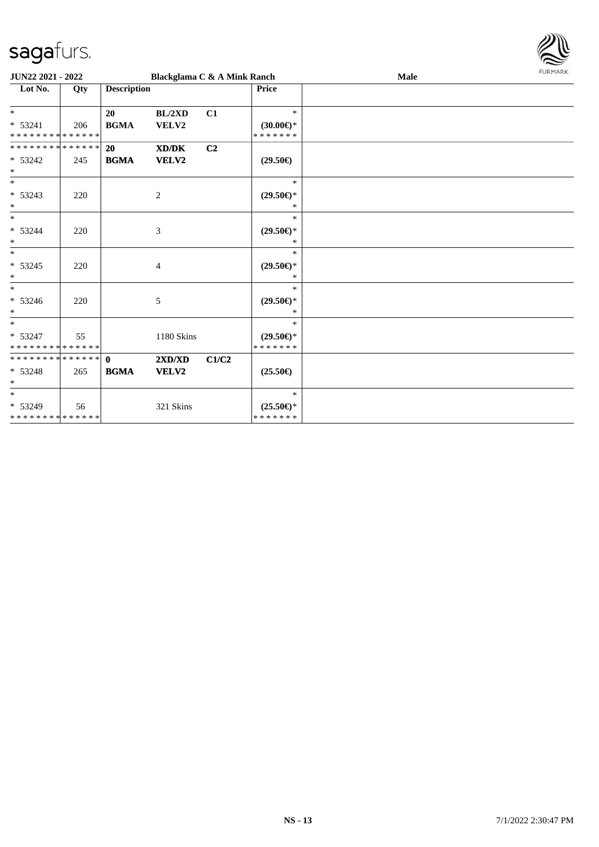

| <b>JUN22 2021 - 2022</b>                          |     |                             | Blackglama C & A Mink Ranch |                |                                                | Male | FURMARK |
|---------------------------------------------------|-----|-----------------------------|-----------------------------|----------------|------------------------------------------------|------|---------|
| Lot No.                                           | Qty | <b>Description</b>          |                             |                | <b>Price</b>                                   |      |         |
| $*$<br>* 53241<br>* * * * * * * * * * * * * *     | 206 | 20<br><b>BGMA</b>           | BL/2XD<br>VELV2             | C1             | $\ast$<br>$(30.00\epsilon)$ *<br>* * * * * * * |      |         |
| * * * * * * * * * * * * * * *<br>$* 53242$<br>$*$ | 245 | 20<br><b>BGMA</b>           | XD/DK<br>VELV2              | C <sub>2</sub> | $(29.50\epsilon)$                              |      |         |
| $*$<br>* 53243<br>$*$                             | 220 |                             | 2                           |                | $\ast$<br>$(29.50\epsilon)$ *<br>$\ast$        |      |         |
| $*$<br>* 53244<br>$\ast$                          | 220 |                             | $\mathfrak{Z}$              |                | $\ast$<br>$(29.50\epsilon)$ *<br>$\ast$        |      |         |
| $*$<br>$* 53245$<br>$*$                           | 220 |                             | $\overline{4}$              |                | $\ast$<br>$(29.50\epsilon)$ *<br>$\ast$        |      |         |
| $*$<br>$* 53246$<br>$\ast$                        | 220 |                             | 5                           |                | $\ast$<br>$(29.50\epsilon)$ *<br>$\ast$        |      |         |
| $*$<br>$* 53247$<br>* * * * * * * * * * * * * *   | 55  |                             | 1180 Skins                  |                | $\ast$<br>$(29.50\epsilon)$ *<br>* * * * * * * |      |         |
| * * * * * * * * * * * * * * *<br>* 53248<br>$*$   | 265 | $\mathbf{0}$<br><b>BGMA</b> | 2XD/XD<br><b>VELV2</b>      | C1/C2          | $(25.50\epsilon)$                              |      |         |
| $\ast$<br>* 53249<br>******** <mark>******</mark> | 56  |                             | 321 Skins                   |                | $\ast$<br>$(25.50\epsilon)$ *<br>* * * * * * * |      |         |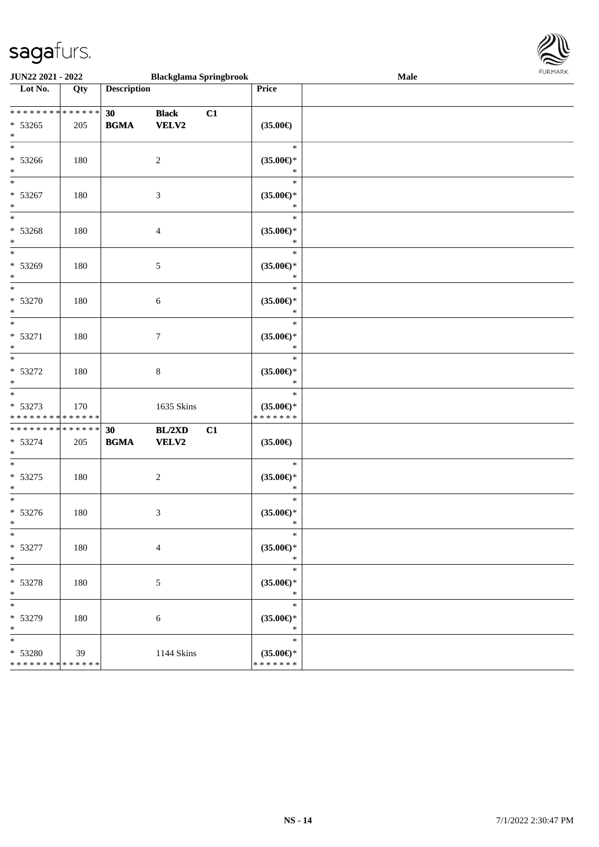

| JUN22 2021 - 2022                                               |     |                                                  | <b>Blackglama Springbrook</b> |    |                                                | Male |
|-----------------------------------------------------------------|-----|--------------------------------------------------|-------------------------------|----|------------------------------------------------|------|
| Lot No.                                                         | Qty | <b>Description</b>                               |                               |    | Price                                          |      |
| * * * * * * * * * * * * * *<br>$* 53265$<br>$\ast$              | 205 | 30<br>$\mathbf{B}\mathbf{G}\mathbf{M}\mathbf{A}$ | <b>Black</b><br>VELV2         | C1 | $(35.00\epsilon)$                              |      |
| $\overline{\ast}$<br>$* 53266$<br>$\ast$                        | 180 |                                                  | $\sqrt{2}$                    |    | $\ast$<br>$(35.00\epsilon)$ *<br>$\ast$        |      |
| $\overline{\phantom{a}^*}$<br>* 53267<br>$\ast$                 | 180 |                                                  | $\mathfrak{Z}$                |    | $\ast$<br>$(35.00ε)$ *<br>$\ast$               |      |
| $_{\ast}$<br>* 53268<br>$\ast$                                  | 180 |                                                  | $\overline{4}$                |    | $\ast$<br>$(35.00\epsilon)$ *<br>$\ast$        |      |
| $\overline{\phantom{1}}$<br>* 53269<br>$\ast$                   | 180 |                                                  | $5\,$                         |    | $\ast$<br>$(35.00\epsilon)$ *<br>$\ast$        |      |
| $\overline{\ast}$<br>$* 53270$<br>$\ast$                        | 180 |                                                  | $\boldsymbol{6}$              |    | $\ast$<br>$(35.00\epsilon)$ *<br>$\ast$        |      |
| $\ast$<br>$* 53271$<br>$\ast$                                   | 180 |                                                  | $\tau$                        |    | $\ast$<br>$(35.00\epsilon)$ *<br>$\ast$        |      |
| $\ast$<br>$* 53272$<br>$\ast$                                   | 180 |                                                  | $\,8\,$                       |    | $\ast$<br>$(35.00\epsilon)$ *<br>$\ast$        |      |
| $\ast$<br>* 53273<br>* * * * * * * * * * * * * *                | 170 |                                                  | 1635 Skins                    |    | $\ast$<br>$(35.00\epsilon)$ *<br>* * * * * * * |      |
| **************<br>$* 53274$<br>$\ast$                           | 205 | 30<br>$\mathbf{B}\mathbf{G}\mathbf{M}\mathbf{A}$ | BL/2XD<br>VELV2               | C1 | $(35.00\epsilon)$                              |      |
| $\ast$<br>$* 53275$<br>$\ast$                                   | 180 |                                                  | $\sqrt{2}$                    |    | $\ast$<br>$(35.00ε)$ *<br>$\ast$               |      |
| $\ast$<br>$* 53276$<br>$*$                                      | 180 |                                                  | $\mathfrak{Z}$                |    | $\ast$<br>$(35.00\epsilon)$ *<br>$\ast$        |      |
| $*$<br>$* 53277$<br>$\ast$                                      | 180 |                                                  | $\overline{4}$                |    | $\ast$<br>$(35.00\epsilon)$ *<br>$\ast$        |      |
| $\ast$<br>$* 53278$<br>$\ast$                                   | 180 |                                                  | 5                             |    | $\ast$<br>$(35.00\epsilon)$ *<br>$\ast$        |      |
| $\ast$<br>* 53279<br>$\ast$                                     | 180 |                                                  | 6                             |    | $\ast$<br>$(35.00\epsilon)$ *<br>$\ast$        |      |
| $\ast$<br>* 53280<br>* * * * * * * * <mark>* * * * * * *</mark> | 39  |                                                  | 1144 Skins                    |    | $\ast$<br>$(35.00\epsilon)$ *<br>* * * * * * * |      |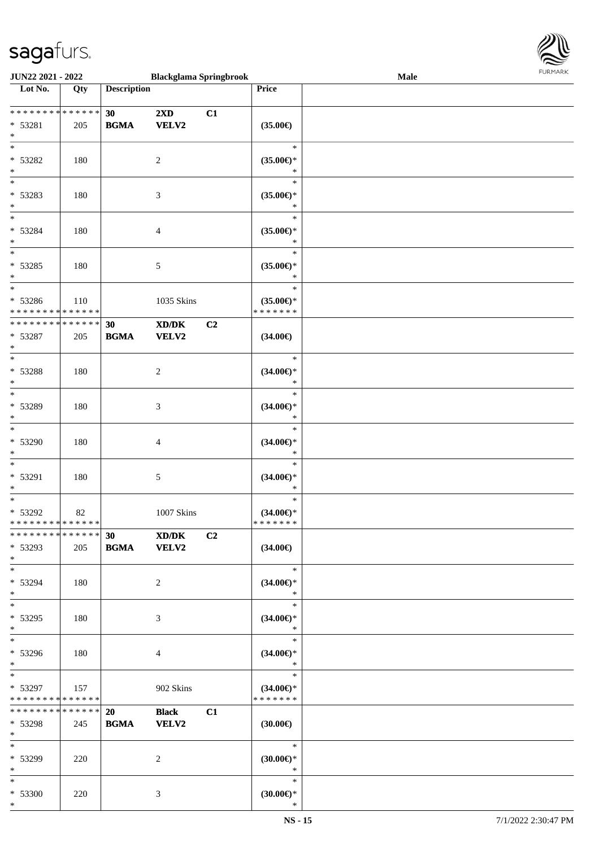\*



| JUN22 2021 - 2022                                  |     |                    | <b>Blackglama Springbrook</b>                        |    |                                                | <b>Male</b> |  |
|----------------------------------------------------|-----|--------------------|------------------------------------------------------|----|------------------------------------------------|-------------|--|
| Lot No.                                            | Qty | <b>Description</b> |                                                      |    | Price                                          |             |  |
| ******** <mark>******</mark><br>* 53281<br>$\ast$  | 205 | 30<br><b>BGMA</b>  | 2XD<br>VELV2                                         | C1 | $(35.00\epsilon)$                              |             |  |
| $\overline{\ast}$<br>* 53282<br>$\ast$             | 180 |                    | $\overline{c}$                                       |    | $\ast$<br>$(35.00\epsilon)$ *<br>$\ast$        |             |  |
| $\overline{\phantom{0}}$<br>* 53283<br>$*$<br>$*$  | 180 |                    | 3                                                    |    | $\ast$<br>$(35.00\epsilon)$ *<br>*             |             |  |
| * 53284<br>$\ast$<br>$\overline{\ast}$             | 180 |                    | $\overline{4}$                                       |    | $\ast$<br>$(35.00\epsilon)$ *<br>$\ast$        |             |  |
| * 53285<br>$\ast$<br>$\ast$                        | 180 |                    | 5                                                    |    | $\ast$<br>$(35.00\epsilon)$ *<br>$\ast$        |             |  |
| * 53286<br>* * * * * * * * * * * * * *             | 110 |                    | 1035 Skins                                           |    | $\ast$<br>$(35.00\epsilon)$ *<br>* * * * * * * |             |  |
| * * * * * * * * * * * * * *<br>* 53287<br>$\ast$   | 205 | 30<br><b>BGMA</b>  | $\mathbf{X}\mathbf{D}/\mathbf{D}\mathbf{K}$<br>VELV2 | C2 | $(34.00\epsilon)$                              |             |  |
| $*$<br>* 53288<br>$\ast$                           | 180 |                    | $\overline{c}$                                       |    | $\ast$<br>$(34.00\epsilon)$ *<br>$\ast$        |             |  |
| $\ast$<br>* 53289<br>$\ast$                        | 180 |                    | $\mathfrak{Z}$                                       |    | $\ast$<br>$(34.00\epsilon)$ *<br>$\ast$        |             |  |
| $\ast$<br>* 53290<br>$\ast$                        | 180 |                    | $\overline{4}$                                       |    | $\ast$<br>$(34.00ε)$ *<br>$\ast$               |             |  |
| $*$<br>* 53291<br>$\ast$                           | 180 |                    | 5                                                    |    | $\ast$<br>$(34.00\epsilon)$ *<br>$\ast$        |             |  |
| $\ast$<br>* 53292<br>* * * * * * * * * * * * * * * | 82  |                    | 1007 Skins                                           |    | $\ast$<br>$(34.00\epsilon)$ *<br>* * * * * * * |             |  |
| * * * * * * * * * * * * * * *<br>* 53293<br>$*$    | 205 | 30<br><b>BGMA</b>  | XD/DK<br><b>VELV2</b>                                | C2 | $(34.00\epsilon)$                              |             |  |
| $*$<br>* 53294<br>$*$                              | 180 |                    | 2                                                    |    | $\ast$<br>$(34.00\epsilon)$ *<br>$\ast$        |             |  |
| $*$<br>* 53295<br>$*$                              | 180 |                    | 3                                                    |    | $\ast$<br>$(34.00\epsilon)$ *<br>$\ast$        |             |  |
| $*$<br>* 53296<br>$*$                              | 180 |                    | 4                                                    |    | $\ast$<br>$(34.00\epsilon)$ *<br>$\ast$        |             |  |
| $*$<br>* 53297<br>* * * * * * * * * * * * * *      | 157 |                    | 902 Skins                                            |    | $\ast$<br>$(34.00\epsilon)$ *<br>* * * * * * * |             |  |
| * * * * * * * * * * * * * * *<br>* 53298<br>$*$    | 245 | 20<br><b>BGMA</b>  | <b>Black</b><br><b>VELV2</b>                         | C1 | $(30.00\epsilon)$                              |             |  |
| $*$<br>* 53299<br>$*$                              | 220 |                    | 2                                                    |    | $\ast$<br>$(30.00\epsilon)$ *<br>$\ast$        |             |  |
| $*$<br>$* 53300$<br>$*$                            | 220 |                    | 3                                                    |    | $\ast$<br>$(30.00\epsilon)$ *<br>$\ast$        |             |  |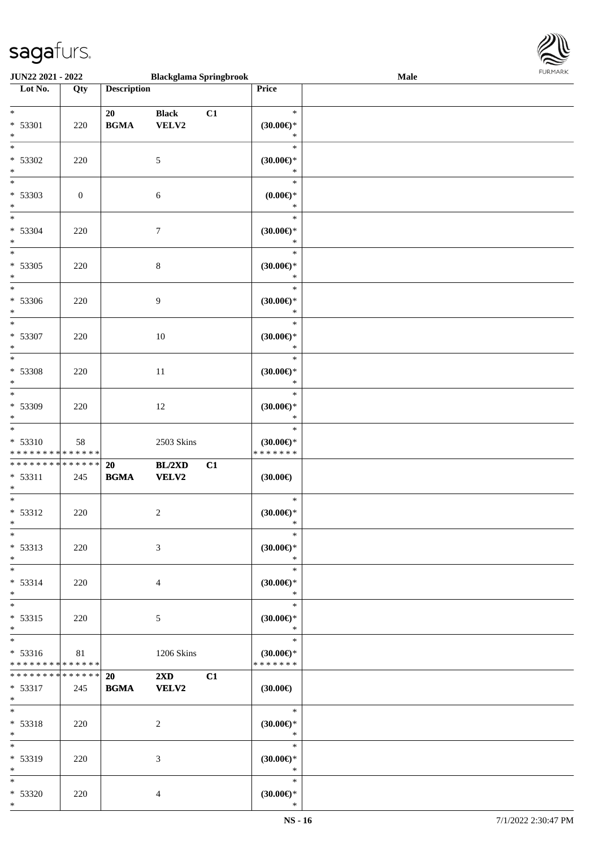

| JUN22 2021 - 2022                                              |                  |                                                  | <b>Blackglama Springbrook</b>           |    |                                                | Male | <b>FUNITANN</b> |
|----------------------------------------------------------------|------------------|--------------------------------------------------|-----------------------------------------|----|------------------------------------------------|------|-----------------|
| Lot No.                                                        | Qty              | <b>Description</b>                               |                                         |    | Price                                          |      |                 |
| $*$<br>* 53301<br>$\ast$                                       | 220              | 20<br>$\mathbf{B}\mathbf{G}\mathbf{M}\mathbf{A}$ | <b>Black</b><br>VELV2                   | C1 | $\ast$<br>$(30.00\epsilon)$ *<br>$\ast$        |      |                 |
| $\overline{\ast}$<br>* 53302<br>$*$                            | 220              |                                                  | 5                                       |    | $\ast$<br>$(30.00\epsilon)$ *<br>$\ast$        |      |                 |
| $\overline{\ast}$<br>* 53303<br>$\ast$                         | $\boldsymbol{0}$ |                                                  | 6                                       |    | $\ast$<br>$(0.00\varepsilon)$ *<br>$\ast$      |      |                 |
| $*$<br>* 53304<br>$\ast$                                       | 220              |                                                  | $\tau$                                  |    | $\ast$<br>$(30.00\epsilon)$ *<br>$\ast$        |      |                 |
| $\overline{\phantom{0}}$<br>* 53305<br>$\ast$                  | 220              |                                                  | $\,8\,$                                 |    | $\ast$<br>$(30.00\epsilon)$ *<br>$\ast$        |      |                 |
| $\overline{\ast}$<br>* 53306<br>$\ast$                         | 220              |                                                  | 9                                       |    | $\ast$<br>(30.00)<br>$\ast$                    |      |                 |
| $*$<br>* 53307<br>$\ast$                                       | 220              |                                                  | 10                                      |    | $\ast$<br>$(30.00\epsilon)$ *<br>$\ast$        |      |                 |
| $\overline{\ast}$<br>* 53308<br>$\ast$                         | 220              |                                                  | 11                                      |    | $\ast$<br>$(30.00\epsilon)$ *<br>$\ast$        |      |                 |
| $*$<br>* 53309<br>$\ast$                                       | 220              |                                                  | 12                                      |    | $\ast$<br>$(30.00\epsilon)$ *<br>$\ast$        |      |                 |
| $*$<br>$* 53310$<br>* * * * * * * * <mark>* * * * * * *</mark> | 58               |                                                  | 2503 Skins                              |    | $\ast$<br>$(30.00\epsilon)$ *<br>* * * * * * * |      |                 |
| ******** <mark>******</mark><br>* 53311<br>$*$                 | 245              | 20<br>$\mathbf{B}\mathbf{G}\mathbf{M}\mathbf{A}$ | BL/2XD<br>VELV2                         | C1 | (30.00)                                        |      |                 |
| $\overline{\ast}$<br>* 53312<br>$*$ $-$                        | 220              |                                                  | $\overline{c}$                          |    | $\ast$<br>(30.00)<br>$\ast$                    |      |                 |
| $*$<br>* 53313<br>$*$                                          | 220              |                                                  | 3                                       |    | $\ast$<br>$(30.00\epsilon)$ *<br>$\ast$        |      |                 |
| $\overline{\phantom{0}}$<br>$* 53314$<br>$*$                   | 220              |                                                  | 4                                       |    | $\ast$<br>$(30.00\epsilon)$ *<br>$\ast$        |      |                 |
| $\overline{\ast}$<br>* 53315<br>$*$                            | 220              |                                                  | 5                                       |    | $\ast$<br>$(30.00\epsilon)$ *<br>$\ast$        |      |                 |
| $*$<br>$* 53316$<br>* * * * * * * * * * * * * *                | 81               |                                                  | 1206 Skins                              |    | $\ast$<br>$(30.00\epsilon)$ *<br>* * * * * * * |      |                 |
| * * * * * * * * * * * * * * *<br>* 53317<br>$*$                | 245              | 20<br><b>BGMA</b>                                | $2\mathbf{X}\mathbf{D}$<br><b>VELV2</b> | C1 | $(30.00\epsilon)$                              |      |                 |
| $*$<br>* 53318<br>$*$                                          | 220              |                                                  | $\overline{c}$                          |    | $\ast$<br>$(30.00\epsilon)$ *<br>$\ast$        |      |                 |
| $*$<br>* 53319<br>$*$                                          | 220              |                                                  | 3                                       |    | $\ast$<br>$(30.00\epsilon)$ *<br>$\ast$        |      |                 |
| $*$<br>$* 53320$<br>$*$                                        | 220              |                                                  | 4                                       |    | $\ast$<br>$(30.00\epsilon)$ *<br>$\ast$        |      |                 |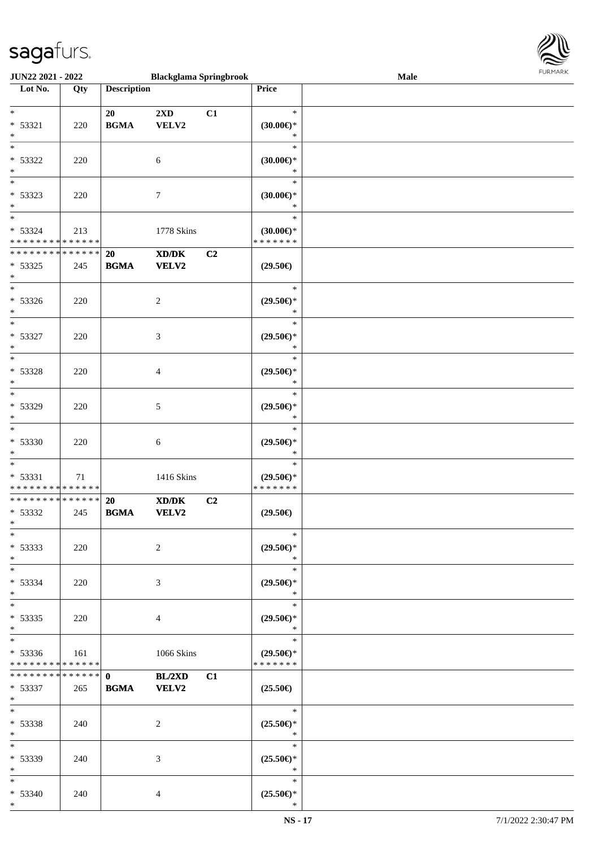

| JUN22 2021 - 2022             |     |                    | <b>Blackglama Springbrook</b>                                                                        |    |                               | <b>Male</b> |  |
|-------------------------------|-----|--------------------|------------------------------------------------------------------------------------------------------|----|-------------------------------|-------------|--|
| Lot No.                       | Qty | <b>Description</b> |                                                                                                      |    | Price                         |             |  |
|                               |     |                    |                                                                                                      |    |                               |             |  |
| $\ast$                        |     | 20                 | 2XD                                                                                                  | C1 | $\ast$                        |             |  |
| * 53321                       | 220 | <b>BGMA</b>        | VELV2                                                                                                |    | $(30.00\epsilon)$ *           |             |  |
| $\ast$                        |     |                    |                                                                                                      |    | $\ast$                        |             |  |
|                               |     |                    |                                                                                                      |    | $\ast$                        |             |  |
| * 53322                       | 220 |                    | $\sqrt{6}$                                                                                           |    | $(30.00\epsilon)$ *           |             |  |
| $\ast$                        |     |                    |                                                                                                      |    | $\ast$                        |             |  |
| $\overline{\phantom{0}}$      |     |                    |                                                                                                      |    |                               |             |  |
|                               |     |                    |                                                                                                      |    | $\ast$                        |             |  |
| * 53323                       | 220 |                    | $\boldsymbol{7}$                                                                                     |    | $(30.00\epsilon)$ *           |             |  |
| $*$                           |     |                    |                                                                                                      |    | $\ast$                        |             |  |
| $*$                           |     |                    |                                                                                                      |    | $\ast$                        |             |  |
| * 53324                       | 213 |                    | 1778 Skins                                                                                           |    | $(30.00\epsilon)$ *           |             |  |
| * * * * * * * * * * * * * *   |     |                    |                                                                                                      |    | * * * * * * *                 |             |  |
| * * * * * * * * * * * * * *   |     | 20                 | $\mathbf{X}\mathbf{D}/\mathbf{D}\mathbf{K}$                                                          | C2 |                               |             |  |
| $* 53325$                     | 245 | <b>BGMA</b>        | <b>VELV2</b>                                                                                         |    | $(29.50\epsilon)$             |             |  |
| $\ast$                        |     |                    |                                                                                                      |    |                               |             |  |
| $\ast$                        |     |                    |                                                                                                      |    | $\ast$                        |             |  |
| * 53326                       | 220 |                    | $\boldsymbol{2}$                                                                                     |    | $(29.50\epsilon)$ *           |             |  |
| $*$                           |     |                    |                                                                                                      |    | $\ast$                        |             |  |
| $\ast$                        |     |                    |                                                                                                      |    | $\ast$                        |             |  |
| * 53327                       |     |                    |                                                                                                      |    |                               |             |  |
| $\ast$                        | 220 |                    | 3                                                                                                    |    | $(29.50\epsilon)$ *<br>$\ast$ |             |  |
| $\ast$                        |     |                    |                                                                                                      |    |                               |             |  |
|                               |     |                    |                                                                                                      |    | $\ast$                        |             |  |
| * 53328                       | 220 |                    | $\overline{4}$                                                                                       |    | $(29.50\epsilon)$ *           |             |  |
| $\ast$                        |     |                    |                                                                                                      |    | $\ast$                        |             |  |
| $*$                           |     |                    |                                                                                                      |    | $\ast$                        |             |  |
| * 53329                       | 220 |                    | 5                                                                                                    |    | $(29.50\epsilon)$ *           |             |  |
| $*$                           |     |                    |                                                                                                      |    | $\ast$                        |             |  |
| $*$                           |     |                    |                                                                                                      |    | $\ast$                        |             |  |
| * 53330                       | 220 |                    | 6                                                                                                    |    | $(29.50\epsilon)$ *           |             |  |
| $*$                           |     |                    |                                                                                                      |    | $\ast$                        |             |  |
| $\ast$                        |     |                    |                                                                                                      |    | $\ast$                        |             |  |
| * 53331                       | 71  |                    | 1416 Skins                                                                                           |    | $(29.50\epsilon)$ *           |             |  |
| * * * * * * * * * * * * * *   |     |                    |                                                                                                      |    | *******                       |             |  |
| ******** <mark>******</mark>  |     | 20                 | $\boldsymbol{\text{X}}\boldsymbol{\text{D}}\boldsymbol{/}\boldsymbol{\text{D}}\boldsymbol{\text{K}}$ | C2 |                               |             |  |
| * 53332                       | 245 | <b>BGMA</b>        | VELV2                                                                                                |    | $(29.50\epsilon)$             |             |  |
| $*$                           |     |                    |                                                                                                      |    |                               |             |  |
| $*$                           |     |                    |                                                                                                      |    | $\ast$                        |             |  |
|                               |     |                    |                                                                                                      |    |                               |             |  |
| * 53333                       | 220 |                    | 2                                                                                                    |    | $(29.50\epsilon)$ *           |             |  |
| $*$                           |     |                    |                                                                                                      |    | $\ast$                        |             |  |
| $*$                           |     |                    |                                                                                                      |    | $\ast$                        |             |  |
| * 53334                       | 220 |                    | 3                                                                                                    |    | $(29.50\epsilon)$ *           |             |  |
| $*$                           |     |                    |                                                                                                      |    | $\ast$                        |             |  |
| $*$                           |     |                    |                                                                                                      |    | $\ast$                        |             |  |
| * 53335                       | 220 |                    | 4                                                                                                    |    | $(29.50\epsilon)$ *           |             |  |
| $*$                           |     |                    |                                                                                                      |    | $\ast$                        |             |  |
| $*$                           |     |                    |                                                                                                      |    | $\ast$                        |             |  |
| $* 53336$                     | 161 |                    | 1066 Skins                                                                                           |    | $(29.50\epsilon)$ *           |             |  |
| * * * * * * * * * * * * * *   |     |                    |                                                                                                      |    | * * * * * * *                 |             |  |
| * * * * * * * * * * * * * * * |     | $\mathbf{0}$       | BL/2XD                                                                                               | C1 |                               |             |  |
| * 53337                       | 265 | <b>BGMA</b>        | <b>VELV2</b>                                                                                         |    | $(25.50\epsilon)$             |             |  |
| $*$                           |     |                    |                                                                                                      |    |                               |             |  |
| $*$ $*$                       |     |                    |                                                                                                      |    | $\ast$                        |             |  |
| * 53338                       | 240 |                    | 2                                                                                                    |    | $(25.50\epsilon)$ *           |             |  |
| $*$                           |     |                    |                                                                                                      |    | $\ast$                        |             |  |
| $*$ $*$                       |     |                    |                                                                                                      |    | $\ast$                        |             |  |
|                               |     |                    |                                                                                                      |    |                               |             |  |
| * 53339                       | 240 |                    | 3                                                                                                    |    | $(25.50\epsilon)$ *           |             |  |
| $*$                           |     |                    |                                                                                                      |    | $\ast$                        |             |  |
| $*$ $*$                       |     |                    |                                                                                                      |    | $\ast$                        |             |  |
| * 53340                       | 240 |                    | 4                                                                                                    |    | $(25.50\epsilon)$ *           |             |  |
| $*$                           |     |                    |                                                                                                      |    | $\ast$                        |             |  |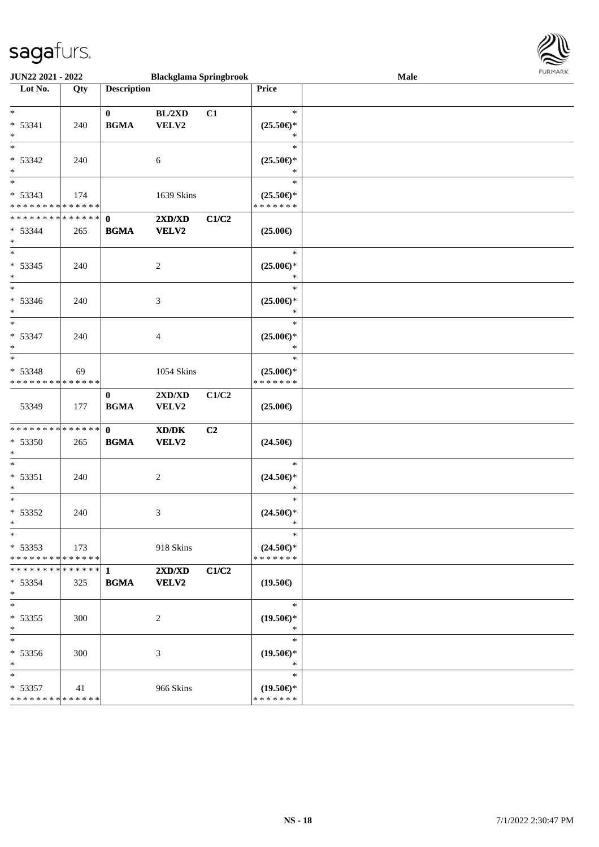

| JUN22 2021 - 2022                                         |     |                             | <b>Blackglama Springbrook</b>                                                                                        |       |                                                | <b>Male</b> |  |
|-----------------------------------------------------------|-----|-----------------------------|----------------------------------------------------------------------------------------------------------------------|-------|------------------------------------------------|-------------|--|
| Lot No.                                                   | Qty | <b>Description</b>          |                                                                                                                      |       | Price                                          |             |  |
| $*$<br>$* 53341$<br>$\ast$                                | 240 | $\bf{0}$<br><b>BGMA</b>     | BL/2XD<br>VELV2                                                                                                      | C1    | $\ast$<br>$(25.50\epsilon)$ *<br>∗             |             |  |
| $\ast$<br>$* 53342$<br>$\ast$<br>$\overline{\phantom{0}}$ | 240 |                             | 6                                                                                                                    |       | $\ast$<br>$(25.50\epsilon)$ *<br>∗<br>$\ast$   |             |  |
| * 53343<br>* * * * * * * * * * * * * *                    | 174 |                             | 1639 Skins                                                                                                           |       | $(25.50\epsilon)$ *<br>* * * * * * *           |             |  |
| * * * * * * * * * * * * * * *<br>$* 53344$<br>$*$         | 265 | $\mathbf{0}$<br><b>BGMA</b> | 2XD/XD<br><b>VELV2</b>                                                                                               | C1/C2 | $(25.00\epsilon)$                              |             |  |
| $*$<br>$* 53345$<br>$\ast$                                | 240 |                             | $\overline{c}$                                                                                                       |       | $\ast$<br>$(25.00\epsilon)$ *<br>$\ast$        |             |  |
| $*$<br>* 53346<br>$*$                                     | 240 |                             | 3                                                                                                                    |       | $\ast$<br>$(25.00\epsilon)$ *<br>$\ast$        |             |  |
| $\ast$<br>$* 53347$<br>$\ast$                             | 240 |                             | $\overline{4}$                                                                                                       |       | $\ast$<br>$(25.00\epsilon)$ *<br>$\ast$        |             |  |
| $*$<br>* 53348<br>* * * * * * * * * * * * * *             | 69  |                             | 1054 Skins                                                                                                           |       | $\ast$<br>$(25.00\epsilon)$ *<br>* * * * * * * |             |  |
| 53349                                                     | 177 | $\mathbf{0}$<br><b>BGMA</b> | 2XD/XD<br>VELV2                                                                                                      | C1/C2 | $(25.00\epsilon)$                              |             |  |
| * * * * * * * * * * * * * * *<br>* 53350<br>$*$           | 265 | $\mathbf{0}$<br><b>BGMA</b> | $\boldsymbol{\text{X}}\boldsymbol{\text{D}}\boldsymbol{/}\boldsymbol{\text{D}}\boldsymbol{\text{K}}$<br><b>VELV2</b> | C2    | $(24.50\epsilon)$                              |             |  |
| $*$<br>$* 53351$<br>$\ast$                                | 240 |                             | $\overline{c}$                                                                                                       |       | $\ast$<br>$(24.50\epsilon)$ *<br>$\ast$        |             |  |
| $*$<br>* 53352<br>$*$                                     | 240 |                             | 3                                                                                                                    |       | $\ast$<br>$(24.50\epsilon)$ *<br>$\ast$        |             |  |
| $*$<br>$* 53353$<br>* * * * * * * * * * * * * * *         | 173 |                             | 918 Skins                                                                                                            |       | $\ast$<br>$(24.50\epsilon)$ *<br>* * * * * * * |             |  |
| $* 53354$<br>$*$                                          | 325 | <b>BGMA</b>                 | 2XD/XD<br>VELV2                                                                                                      | C1/C2 | $(19.50\epsilon)$                              |             |  |
| $*$<br>* 53355<br>$*$                                     | 300 |                             | 2                                                                                                                    |       | $\ast$<br>$(19.50\epsilon)$ *<br>$\ast$        |             |  |
| $*$<br>* 53356<br>$*$                                     | 300 |                             | $\mathfrak{Z}$                                                                                                       |       | $\ast$<br>$(19.50\epsilon)$ *<br>$\ast$        |             |  |
| $*$<br>$* 53357$<br>* * * * * * * * * * * * * *           | 41  |                             | 966 Skins                                                                                                            |       | $\ast$<br>$(19.50\epsilon)$ *<br>* * * * * * * |             |  |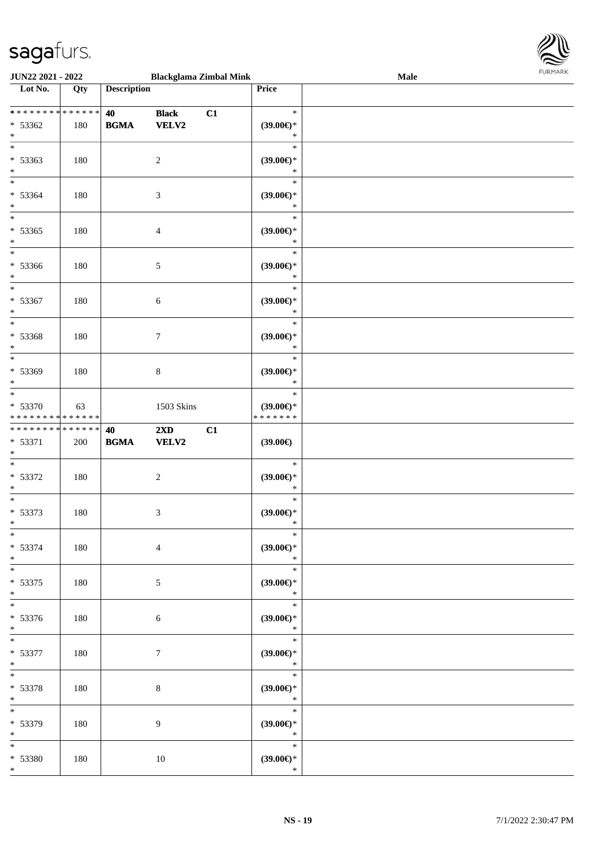\*



| JUN22 2021 - 2022                                    |     |                                                  | <b>Blackglama Zimbal Mink</b>    |    |                                                | Male | <b>FURMARK</b> |
|------------------------------------------------------|-----|--------------------------------------------------|----------------------------------|----|------------------------------------------------|------|----------------|
| Lot No.                                              | Qty | <b>Description</b>                               |                                  |    | Price                                          |      |                |
| ******** <mark>******</mark><br>* 53362<br>$*$       | 180 | 40<br>$\mathbf{B}\mathbf{G}\mathbf{M}\mathbf{A}$ | <b>Black</b><br>VELV2            | C1 | $\ast$<br>$(39.00\epsilon)$ *<br>$\ast$        |      |                |
| $*$<br>$* 53363$<br>$*$                              | 180 |                                                  | $\overline{2}$                   |    | $\ast$<br>$(39.00\epsilon)$ *<br>$\ast$        |      |                |
| $*$<br>$* 53364$<br>$*$                              | 180 |                                                  | $\mathfrak{Z}$                   |    | $\ast$<br>$(39.00\epsilon)$ *<br>$\ast$        |      |                |
| $*$<br>$* 53365$<br>$*$                              | 180 |                                                  | $\overline{4}$                   |    | $\ast$<br>$(39.00\epsilon)$ *<br>$\ast$        |      |                |
| $\overline{\phantom{0}}$<br>* 53366<br>$*$           | 180 |                                                  | 5                                |    | $\ast$<br>$(39.00\epsilon)$ *<br>$\ast$        |      |                |
| $*$<br>$* 53367$<br>$*$                              | 180 |                                                  | $\sqrt{6}$                       |    | $\ast$<br>(39.00)<br>$\ast$                    |      |                |
| $*$<br>* 53368<br>$*$                                | 180 |                                                  | $\tau$                           |    | $\ast$<br>(39.00)<br>$\ast$                    |      |                |
| $*$<br>* 53369<br>$*$                                | 180 |                                                  | $\,8\,$                          |    | $\ast$<br>$(39.00\epsilon)$ *<br>$\ast$        |      |                |
| $*$<br>* 53370<br>* * * * * * * * * * * * * * *      | 63  |                                                  | 1503 Skins                       |    | $\ast$<br>$(39.00\epsilon)$ *<br>* * * * * * * |      |                |
| * * * * * * * * * * * * * * *<br>$* 53371$<br>$\ast$ | 200 | 40<br><b>BGMA</b>                                | $2\mathbf{X}\mathbf{D}$<br>VELV2 | C1 | $(39.00\epsilon)$                              |      |                |
| $\overline{\phantom{0}}$<br>* 53372<br>$*$           | 180 |                                                  | $\overline{c}$                   |    | $\ast$<br>$(39.00\epsilon)$ *<br>$\ast$        |      |                |
| $*$<br>$* 53373$<br>$*$                              | 180 |                                                  | $\mathfrak{Z}$                   |    | $\ast$<br>$(39.00\epsilon)$ *                  |      |                |
| $\ast$<br>$* 53374$<br>$*$                           | 180 |                                                  | $\overline{4}$                   |    | $\ast$<br>(39.00)<br>$\ast$                    |      |                |
| $*$<br>$* 53375$<br>$*$                              | 180 |                                                  | 5                                |    | $\ast$<br>(39.00)<br>$\ast$                    |      |                |
| $*$<br>* 53376<br>$*$                                | 180 |                                                  | 6                                |    | $\ast$<br>$(39.00\epsilon)$ *<br>$\ast$        |      |                |
| $\overline{\ast}$<br>$* 53377$<br>$*$                | 180 |                                                  | $\tau$                           |    | $\ast$<br>$(39.00\epsilon)$ *<br>$\ast$        |      |                |
| $*$<br>* 53378<br>$*$                                | 180 |                                                  | 8                                |    | $\ast$<br>$(39.00\epsilon)$ *<br>$\ast$        |      |                |
| $*$<br>* 53379<br>$*$                                | 180 |                                                  | 9                                |    | $\ast$<br>$(39.00\epsilon)$ *<br>$\ast$        |      |                |
| $*$<br>* 53380<br>$*$                                | 180 |                                                  | 10                               |    | $\ast$<br>$(39.00\epsilon)$ *<br>$\ast$        |      |                |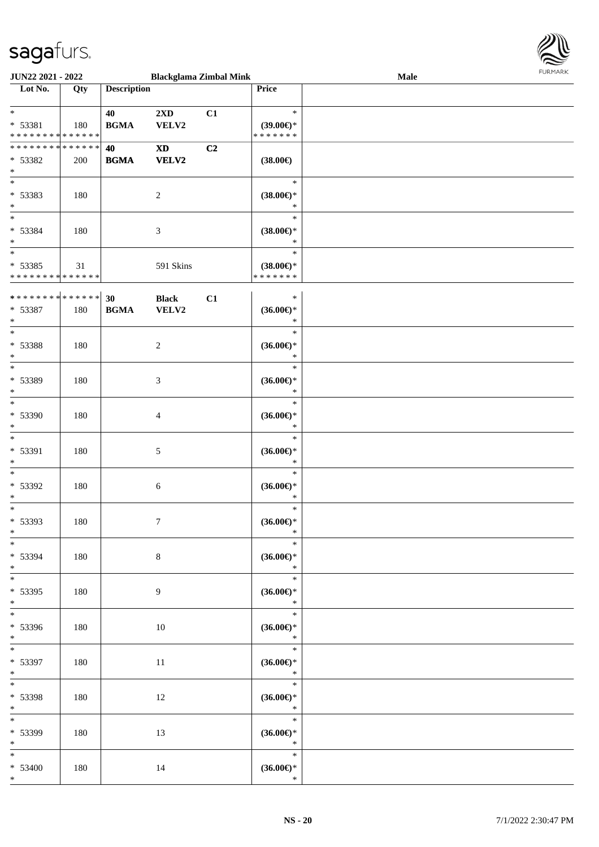

| <b>JUN22 2021 - 2022</b>                   |     |                    |                            | <b>Blackglama Zimbal Mink</b> |                     | Male | <b>FURPIARA</b> |
|--------------------------------------------|-----|--------------------|----------------------------|-------------------------------|---------------------|------|-----------------|
| Lot No.                                    | Qty | <b>Description</b> |                            |                               | Price               |      |                 |
|                                            |     |                    |                            |                               |                     |      |                 |
| $*$                                        |     | 40                 | $2\mathbf{X}\mathbf{D}$    | C1                            | $\ast$              |      |                 |
| $* 53381$                                  | 180 | <b>BGMA</b>        | VELV2                      |                               | $(39.00\epsilon)$ * |      |                 |
| * * * * * * * * <mark>* * * * * *</mark>   |     |                    |                            |                               | * * * * * * *       |      |                 |
| * * * * * * * * <mark>* * * * * * *</mark> |     | 40                 | $\boldsymbol{\mathrm{XD}}$ | C2                            |                     |      |                 |
| * 53382                                    | 200 | <b>BGMA</b>        | <b>VELV2</b>               |                               | $(38.00\epsilon)$   |      |                 |
| $*$                                        |     |                    |                            |                               |                     |      |                 |
| $*$                                        |     |                    |                            |                               | $\ast$              |      |                 |
| * 53383                                    | 180 |                    | 2                          |                               | $(38.00\epsilon)$ * |      |                 |
| $*$                                        |     |                    |                            |                               | $\ast$              |      |                 |
| $\overline{\phantom{0}}$                   |     |                    |                            |                               | $\ast$              |      |                 |
| * 53384                                    | 180 |                    | 3                          |                               | $(38.00\epsilon)$ * |      |                 |
| $\ast$                                     |     |                    |                            |                               | $\ast$              |      |                 |
|                                            |     |                    |                            |                               | $\ast$              |      |                 |
|                                            |     |                    |                            |                               |                     |      |                 |
| * 53385                                    | 31  |                    | 591 Skins                  |                               | $(38.00\epsilon)$ * |      |                 |
| * * * * * * * * <mark>* * * * * * *</mark> |     |                    |                            |                               | * * * * * * *       |      |                 |
|                                            |     |                    |                            |                               | $\ast$              |      |                 |
|                                            |     |                    | <b>Black</b>               | C1                            |                     |      |                 |
| * 53387                                    | 180 | <b>BGMA</b>        | VELV2                      |                               | $(36.00\epsilon)$ * |      |                 |
| $*$<br>$*$                                 |     |                    |                            |                               | $\ast$              |      |                 |
|                                            |     |                    |                            |                               | $\ast$              |      |                 |
| * 53388                                    | 180 |                    | 2                          |                               | $(36.00\epsilon)$ * |      |                 |
| $\ast$                                     |     |                    |                            |                               | $\ast$              |      |                 |
|                                            |     |                    |                            |                               | $\ast$              |      |                 |
| * 53389                                    | 180 |                    | 3                          |                               | $(36.00\epsilon)$ * |      |                 |
| $\ast$                                     |     |                    |                            |                               | $\ast$              |      |                 |
| $\ast$                                     |     |                    |                            |                               | $\ast$              |      |                 |
| * 53390                                    | 180 |                    | $\overline{4}$             |                               | $(36.00\epsilon)$ * |      |                 |
| $*$                                        |     |                    |                            |                               | $\ast$              |      |                 |
| $\ast$                                     |     |                    |                            |                               | $\ast$              |      |                 |
| * 53391                                    | 180 |                    | $\mathfrak{S}$             |                               | $(36.00\epsilon)$ * |      |                 |
| $\ast$                                     |     |                    |                            |                               | $\ast$              |      |                 |
| $\ast$                                     |     |                    |                            |                               | $\ast$              |      |                 |
| * 53392                                    | 180 |                    | 6                          |                               | $(36.00\epsilon)$ * |      |                 |
| $*$                                        |     |                    |                            |                               | $\ast$              |      |                 |
|                                            |     |                    |                            |                               | $\ast$              |      |                 |
|                                            |     |                    |                            |                               |                     |      |                 |
| * 53393                                    | 180 |                    | $7\phantom{.0}$            |                               | $(36.00\epsilon)$ * |      |                 |
| $\ast$<br>$\overline{\mathbf{r}}$          |     |                    |                            |                               | $\ast$<br>$\ast$    |      |                 |
|                                            |     |                    |                            |                               |                     |      |                 |
| * 53394                                    | 180 |                    | $\,8\,$                    |                               | $(36.00\epsilon)$ * |      |                 |
| $*$                                        |     |                    |                            |                               | $\ast$              |      |                 |
| $\overline{\ast}$                          |     |                    |                            |                               | $\ast$              |      |                 |
| * 53395                                    | 180 |                    | 9                          |                               | $(36.00\epsilon)$ * |      |                 |
| $*$                                        |     |                    |                            |                               | $\ast$              |      |                 |
| $\ddot{x}$                                 |     |                    |                            |                               | $\ast$              |      |                 |
| * 53396                                    | 180 |                    | 10                         |                               | $(36.00\epsilon)$ * |      |                 |
| $*$                                        |     |                    |                            |                               | $\star$             |      |                 |
| $\ddot{x}$                                 |     |                    |                            |                               | $\ast$              |      |                 |
| * 53397                                    | 180 |                    | 11                         |                               | $(36.00\epsilon)$ * |      |                 |
| $*$                                        |     |                    |                            |                               | $\ast$              |      |                 |
| $*$                                        |     |                    |                            |                               | $\ast$              |      |                 |
| * 53398                                    | 180 |                    | 12                         |                               | $(36.00\epsilon)$ * |      |                 |
| $*$ $-$                                    |     |                    |                            |                               | $\ast$              |      |                 |
| $*$                                        |     |                    |                            |                               | $\ast$              |      |                 |
| * 53399                                    | 180 |                    | 13                         |                               | $(36.00\epsilon)$ * |      |                 |
| $*$                                        |     |                    |                            |                               | $\ast$              |      |                 |
| $\overline{\ast}$                          |     |                    |                            |                               | $\ast$              |      |                 |
|                                            |     |                    |                            |                               |                     |      |                 |
| $* 53400$                                  | 180 |                    | 14                         |                               | $(36.00\epsilon)$ * |      |                 |
| $\ast$                                     |     |                    |                            |                               | $\ast$              |      |                 |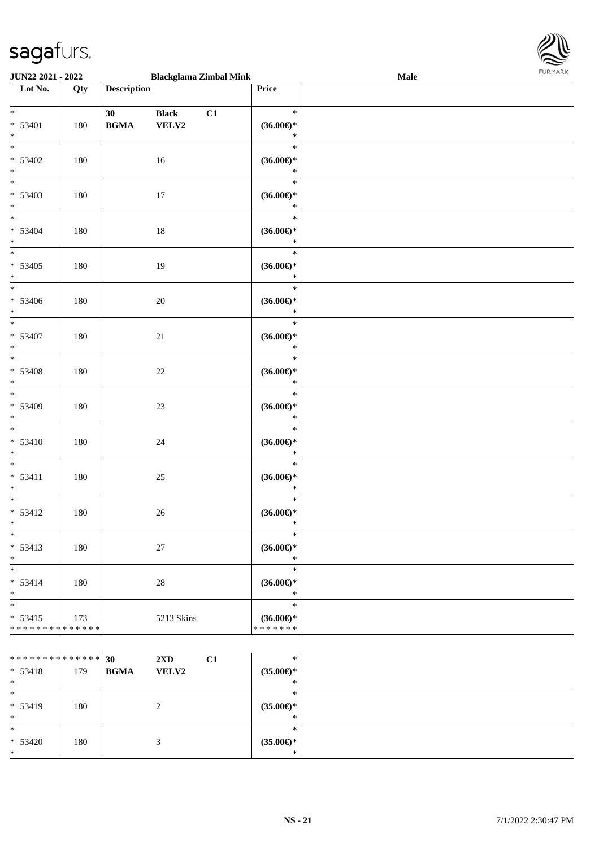

| <b>JUN22 2021 - 2022</b>                                          |     |                    |                       | <b>Blackglama Zimbal Mink</b> |                                                | Male | <b>I ORI IMPORT</b> |
|-------------------------------------------------------------------|-----|--------------------|-----------------------|-------------------------------|------------------------------------------------|------|---------------------|
| Lot No.                                                           | Qty | <b>Description</b> |                       |                               | Price                                          |      |                     |
| $*$<br>$* 53401$<br>$*$                                           | 180 | 30<br><b>BGMA</b>  | <b>Black</b><br>VELV2 | C1                            | $\ast$<br>$(36.00\epsilon)$ *<br>$\ast$        |      |                     |
| $* 53402$<br>$*$                                                  | 180 |                    | 16                    |                               | $\ast$<br>$(36.00\epsilon)$ *<br>$\ast$        |      |                     |
| $\overline{\mathbf{r}}$<br>$* 53403$<br>$*$                       | 180 |                    | 17                    |                               | $\ast$<br>$(36.00\epsilon)$ *<br>$\ast$        |      |                     |
| $\overline{\ast}$<br>$* 53404$<br>$\ast$                          | 180 |                    | 18                    |                               | $\ast$<br>$(36.00\epsilon)$ *<br>$\ast$        |      |                     |
| $\overline{\ }$<br>$* 53405$<br>$*$                               | 180 |                    | 19                    |                               | $\ast$<br>$(36.00\epsilon)$ *<br>$\ast$        |      |                     |
| $\overline{\mathbf{r}}$<br>$* 53406$<br>$*$                       | 180 |                    | $20\,$                |                               | $\ast$<br>$(36.00\epsilon)$ *<br>$\ast$        |      |                     |
| $*$<br>* 53407<br>$*$                                             | 180 |                    | 21                    |                               | $\ast$<br>$(36.00\epsilon)$ *<br>$\ast$        |      |                     |
| $* 53408$<br>$*$                                                  | 180 |                    | 22                    |                               | $\ast$<br>$(36.00\epsilon)$ *<br>$\ast$        |      |                     |
| $* 53409$<br>$\ast$                                               | 180 |                    | 23                    |                               | $\ast$<br>$(36.00\epsilon)$ *<br>$\ast$        |      |                     |
| $\ast$<br>$* 53410$<br>$\ast$                                     | 180 |                    | 24                    |                               | $\ast$<br>$(36.00\epsilon)$ *<br>$\ast$        |      |                     |
| $\ast$<br>$* 53411$<br>$*$                                        | 180 |                    | 25                    |                               | $\ast$<br>$(36.00\epsilon)$ *<br>$\ast$        |      |                     |
| $*$<br>$* 53412$<br>$\ddot{x}$                                    | 180 |                    | 26                    |                               | $\ast$<br>$(36.00\epsilon)$ *<br>$\ast$        |      |                     |
| $\ast$<br>$* 53413$<br>$*$                                        | 180 |                    | $27\,$                |                               | $\ast$<br>$(36.00\epsilon)$ *<br>$\ast$        |      |                     |
| $\ast$<br>$* 53414$<br>$*$                                        | 180 |                    | 28                    |                               | $\ast$<br>$(36.00\epsilon)$ *<br>$\ast$        |      |                     |
| $\ast$<br>$* 53415$<br>* * * * * * * * <mark>* * * * * * *</mark> | 173 |                    | 5213 Skins            |                               | $\ast$<br>$(36.00\epsilon)$ *<br>* * * * * * * |      |                     |
|                                                                   |     |                    |                       |                               |                                                |      |                     |

| ************** 30<br>$* 53418$<br>$*$ | 179 | $2\mathbf{X}\mathbf{D}$<br><b>BGMA</b> | C1<br><b>VELV2</b> | $\ast$<br>$(35.00\epsilon)$ *<br>∗   |  |
|---------------------------------------|-----|----------------------------------------|--------------------|--------------------------------------|--|
| $\ast$<br>* 53419<br>$*$              | 180 | ↑                                      |                    | $*$<br>$(35.00\epsilon)$ *<br>$\ast$ |  |
| $\ast$<br>$* 53420$<br>$*$            | 180 |                                        |                    | $*$<br>$(35.00\epsilon)$ *<br>$*$    |  |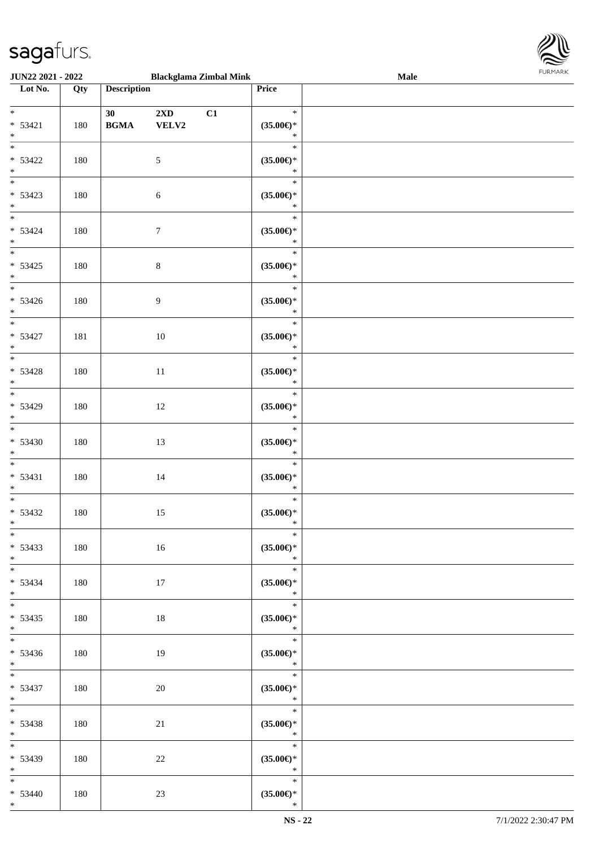

| <b>JUN22 2021 - 2022</b>                     |     |                                                  |                            | <b>Blackglama Zimbal Mink</b> |                                                    | <b>Male</b> |  |
|----------------------------------------------|-----|--------------------------------------------------|----------------------------|-------------------------------|----------------------------------------------------|-------------|--|
| Lot No.                                      | Qty | <b>Description</b>                               |                            |                               | Price                                              |             |  |
| $*$<br>$* 53421$<br>$*$                      | 180 | 30<br>$\mathbf{B}\mathbf{G}\mathbf{M}\mathbf{A}$ | $2{\bf X}{\bf D}$<br>VELV2 | C1                            | $\ast$<br>$(35.00\epsilon)$ *<br>$\ast$            |             |  |
| $* 53422$<br>$*$                             | 180 |                                                  | $\mathfrak{S}$             |                               | $\ast$<br>$(35.00\epsilon)$ *<br>$\ast$            |             |  |
| $* 53423$<br>$*$                             | 180 |                                                  | $\sqrt{6}$                 |                               | $\ast$<br>$(35.00\epsilon)$ *<br>$\ast$            |             |  |
| $\overline{\phantom{0}}$<br>$* 53424$<br>$*$ | 180 |                                                  | $\tau$                     |                               | $\ast$<br>$(35.00\epsilon)$ *<br>$\ast$            |             |  |
| $* 53425$<br>$*$<br>$\overline{\ast}$        | 180 |                                                  | $\,8\,$                    |                               | $\ast$<br>$(35.00\epsilon)$ *<br>$\ast$<br>$\ast$  |             |  |
| $* 53426$<br>$*$<br>$*$                      | 180 |                                                  | 9                          |                               | $(35.00\epsilon)$ *<br>$\ast$<br>$\ast$            |             |  |
| $* 53427$<br>$*$                             | 181 |                                                  | 10                         |                               | $(35.00\epsilon)$ *<br>$\ast$<br>$\ast$            |             |  |
| $* 53428$<br>$\ast$                          | 180 |                                                  | $11\,$                     |                               | $(35.00\epsilon)$ *<br>$\ast$<br>$\ast$            |             |  |
| * 53429<br>$*$                               | 180 |                                                  | 12                         |                               | $(35.00\epsilon)$ *<br>$\ast$<br>$\ast$            |             |  |
| $* 53430$<br>$*$<br>$*$                      | 180 |                                                  | 13                         |                               | $(35.00\epsilon)$ *<br>$\ast$<br>$\ast$            |             |  |
| $* 53431$<br>$*$<br>$*$                      | 180 |                                                  | 14                         |                               | $(35.00\mathnormal{\infty})^*$<br>$\ast$<br>$\ast$ |             |  |
| $* 53432$<br>$*$<br>$*$                      | 180 |                                                  | 15                         |                               | $(35.00\in)\!\!^*$<br>$\ast$<br>$\ast$             |             |  |
| $* 53433$<br>$*$                             | 180 |                                                  | 16                         |                               | $(35.00\epsilon)$ *<br>$\ast$<br>$\ast$            |             |  |
| $* 53434$<br>$*$<br>$*$                      | 180 |                                                  | 17                         |                               | $(35.00\epsilon)$ *<br>$\ast$<br>$\ast$            |             |  |
| $* 53435$<br>$*$                             | 180 |                                                  | 18                         |                               | $(35.00\epsilon)$ *<br>$\mathbb{R}^n$<br>$\ast$    |             |  |
| $* 53436$<br>$*$ $*$<br>$*$ and $*$          | 180 |                                                  | 19                         |                               | $(35.00\epsilon)$ *<br>$\ast$<br>$\ast$            |             |  |
| * 53437<br>$*$ $*$<br>$*$ and $*$            | 180 |                                                  | 20                         |                               | $(35.00\epsilon)$ *<br>$\ast$<br>$\ast$            |             |  |
| $* 53438$<br>$*$<br>$*$                      | 180 |                                                  | 21                         |                               | $(35.00\epsilon)$ *<br>$\ast$<br>$\ast$            |             |  |
| $* 53439$<br>$*$<br>$*$                      | 180 |                                                  | 22                         |                               | $(35.00\epsilon)$ *<br>$\star$<br>$\ast$           |             |  |
| $* 53440$<br>$*$                             | 180 |                                                  | 23                         |                               | $(35.00\epsilon)$ *<br>$\ast$                      |             |  |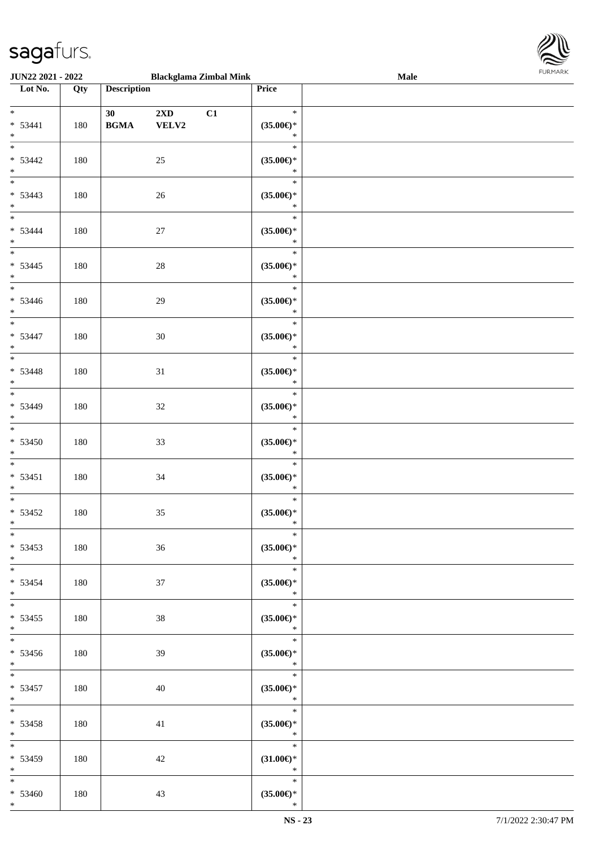

| JUN22 2021 - 2022                            |     |                                                               | <b>Blackglama Zimbal Mink</b>          |                                                 | Male | 10111111111 |
|----------------------------------------------|-----|---------------------------------------------------------------|----------------------------------------|-------------------------------------------------|------|-------------|
| $\overline{\phantom{1}}$ Lot No.             | Qty | <b>Description</b>                                            |                                        | Price                                           |      |             |
| $*$<br>$* 53441$<br>$*$                      | 180 | 30 <sup>°</sup><br>$\mathbf{B}\mathbf{G}\mathbf{M}\mathbf{A}$ | $2\mathbf{X}\mathbf{D}$<br>C1<br>VELV2 | $\ast$<br>$(35.00\epsilon)$ *<br>$\ast$         |      |             |
| $\overline{\ast}$<br>$* 53442$<br>$*$        | 180 |                                                               | $25\,$                                 | $\ast$<br>$(35.00\epsilon)$ *<br>$\ast$         |      |             |
| $* 53443$<br>$*$                             | 180 |                                                               | 26                                     | $\ast$<br>$(35.00\epsilon)$ *<br>$\ast$         |      |             |
| $*$<br>$* 53444$<br>$*$                      | 180 |                                                               | $27\,$                                 | $\ast$<br>$(35.00\epsilon)$ *<br>$\ast$         |      |             |
| $\overline{\phantom{0}}$<br>$* 53445$<br>$*$ | 180 |                                                               | $28\,$                                 | $\ast$<br>$(35.00\epsilon)$ *<br>$\ast$         |      |             |
| $\overline{\phantom{0}}$<br>$* 53446$<br>$*$ | 180 |                                                               | 29                                     | $\ast$<br>$(35.00\epsilon)$ *<br>$\ast$         |      |             |
| $\overline{\phantom{0}}$<br>$* 53447$<br>$*$ | 180 |                                                               | 30                                     | $\ast$<br>$(35.00\epsilon)$ *<br>$\ast$         |      |             |
| $\overline{\phantom{0}}$<br>$* 53448$<br>$*$ | 180 |                                                               | 31                                     | $\ast$<br>$(35.00\epsilon)$ *<br>$\ast$         |      |             |
| $* 53449$<br>$*$                             | 180 |                                                               | 32                                     | $\ast$<br>$(35.00\epsilon)$ *<br>$\ast$         |      |             |
| $* 53450$<br>$*$                             | 180 |                                                               | 33                                     | $\ast$<br>$(35.00\epsilon)$ *<br>$\ast$         |      |             |
| $*$<br>$* 53451$<br>$*$                      | 180 |                                                               | 34                                     | $\ast$<br>$(35.00\epsilon)$ *<br>$\ast$         |      |             |
| $*$<br>$* 53452$<br>$*$                      | 180 |                                                               | 35                                     | $\ast$<br>$(35.00\epsilon)$ *<br>$\ast$         |      |             |
| $*$<br>$* 53453$<br>$*$                      | 180 |                                                               | 36                                     | $\ast$<br>$(35.00\epsilon)$ *<br>$\ast$         |      |             |
| $*$ $*$<br>* 53454<br>$*$                    | 180 |                                                               | 37                                     | $\ast$<br>$(35.00\epsilon)$ *<br>$\ast$         |      |             |
| $*$<br>$* 53455$<br>$*$                      | 180 |                                                               | 38                                     | $\ast$<br>$(35.00\epsilon)$ *<br>$\ast$         |      |             |
| * 53456<br>$*$                               | 180 |                                                               | 39                                     | $\ast$<br>$(35.00\epsilon)$ *<br>$\mathbb{R}^n$ |      |             |
| $*$ $*$<br>$* 53457$<br>$*$ $*$              | 180 |                                                               | 40                                     | $\ast$<br>$(35.00\epsilon)$ *<br>$\ast$         |      |             |
| $*$ and $*$<br>$* 53458$<br>$*$ $-$          | 180 |                                                               | 41                                     | $\ast$<br>$(35.00\epsilon)$ *<br>$\mathbb{R}^n$ |      |             |
| $*$<br>$* 53459$<br>$*$ $*$                  | 180 |                                                               | 42                                     | $\ast$<br>$(31.00\epsilon)$ *<br>$\ast$         |      |             |
| $*$<br>$* 53460$<br>$*$                      | 180 |                                                               | 43                                     | $\ast$<br>$(35.00\epsilon)$ *<br>$\ast$         |      |             |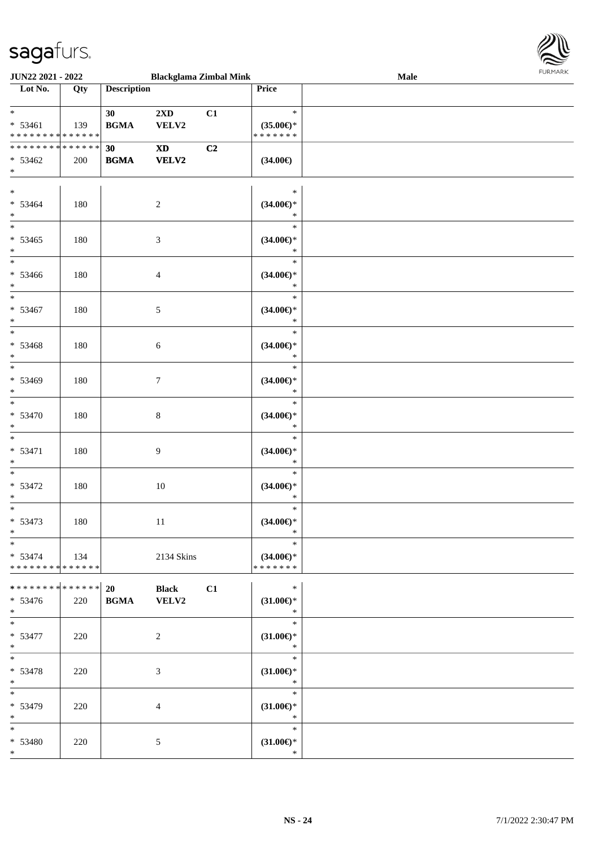

| <b>JUN22 2021 - 2022</b>                                            |     |                                                  | <b>Blackglama Zimbal Mink</b>          |    |                                                | Male | FURMARK |
|---------------------------------------------------------------------|-----|--------------------------------------------------|----------------------------------------|----|------------------------------------------------|------|---------|
| Lot No.                                                             | Qty | <b>Description</b>                               |                                        |    | Price                                          |      |         |
| $\ddot{x}$<br>$* 53461$<br>* * * * * * * * <mark>* * * * * *</mark> | 139 | 30 <sup>1</sup><br><b>BGMA</b>                   | $2\mathbf{X}\mathbf{D}$<br>VELV2       | C1 | $\ast$<br>$(35.00\epsilon)$ *<br>* * * * * * * |      |         |
| * * * * * * * * <mark>* * * * * * *</mark><br>$* 53462$<br>$*$      | 200 | 30<br>$\mathbf{B}\mathbf{G}\mathbf{M}\mathbf{A}$ | $\mathbf{X}\mathbf{D}$<br><b>VELV2</b> | C2 | $(34.00\epsilon)$                              |      |         |
| $*$<br>$* 53464$<br>$\ast$                                          | 180 |                                                  | $\overline{c}$                         |    | $\ast$<br>$(34.00\epsilon)$ *<br>$\ast$        |      |         |
| $*$<br>$* 53465$<br>$*$                                             | 180 |                                                  | $\mathfrak{Z}$                         |    | $\ast$<br>$(34.00\epsilon)$ *<br>$\ast$        |      |         |
| $*$<br>$* 53466$<br>$*$                                             | 180 |                                                  | $\overline{4}$                         |    | $\ast$<br>$(34.00\epsilon)$ *<br>$\ast$        |      |         |
| $*$<br>* 53467<br>$\ast$                                            | 180 |                                                  | $\mathfrak{S}$                         |    | $\ast$<br>$(34.00\epsilon)$ *<br>$\ast$        |      |         |
| $*$<br>$* 53468$<br>$*$                                             | 180 |                                                  | $\sqrt{6}$                             |    | $\ast$<br>$(34.00\epsilon)$ *<br>$\ast$        |      |         |
| $* 53469$<br>$\ast$                                                 | 180 |                                                  | $\tau$                                 |    | $\ast$<br>$(34.00\epsilon)$ *<br>$\ast$        |      |         |
| $*$<br>* 53470<br>$\ast$                                            | 180 |                                                  | $\,8\,$                                |    | $\ast$<br>$(34.00\epsilon)$ *<br>$\ast$        |      |         |
| $\overline{\ast}$<br>$* 53471$<br>$\ast$                            | 180 |                                                  | 9                                      |    | $\ast$<br>$(34.00\epsilon)$ *<br>$\ast$        |      |         |
| $\ast$<br>$* 53472$<br>$*$                                          | 180 |                                                  | 10                                     |    | $\ast$<br>$(34.00\epsilon)$ *<br>$\ast$        |      |         |
| $\ast$<br>$* 53473$<br>$\ast$                                       | 180 |                                                  | 11                                     |    | $\ast$<br>$(34.00\epsilon)$ *<br>$\ast$        |      |         |
| $\ast$<br>$* 53474$<br>* * * * * * * * <mark>* * * * * * *</mark>   | 134 |                                                  | 2134 Skins                             |    | $\ast$<br>$(34.00\epsilon)$ *<br>* * * * * * * |      |         |
| * 53476<br>$*$                                                      | 220 | $\mathbf{B}\mathbf{G}\mathbf{M}\mathbf{A}$       | <b>Black</b><br>VELV2                  | C1 | $\ast$<br>$(31.00\epsilon)$ *<br>$\ast$        |      |         |
| $*$<br>$* 53477$<br>$*$                                             | 220 |                                                  | 2                                      |    | $\ast$<br>$(31.00\mathbb{E})^*$<br>$\ast$      |      |         |
| $* 53478$<br>$\ast$                                                 | 220 |                                                  | 3                                      |    | $\ast$<br>$(31.00\epsilon)$ *<br>$\ast$        |      |         |
| * 53479<br>$*$                                                      | 220 |                                                  | $\overline{4}$                         |    | $\ast$<br>$(31.00\epsilon)$ *<br>$\ast$        |      |         |
| $*$<br>* 53480<br>$\ast$                                            | 220 |                                                  | 5                                      |    | $\ast$<br>$(31.00\epsilon)$ *<br>$\ast$        |      |         |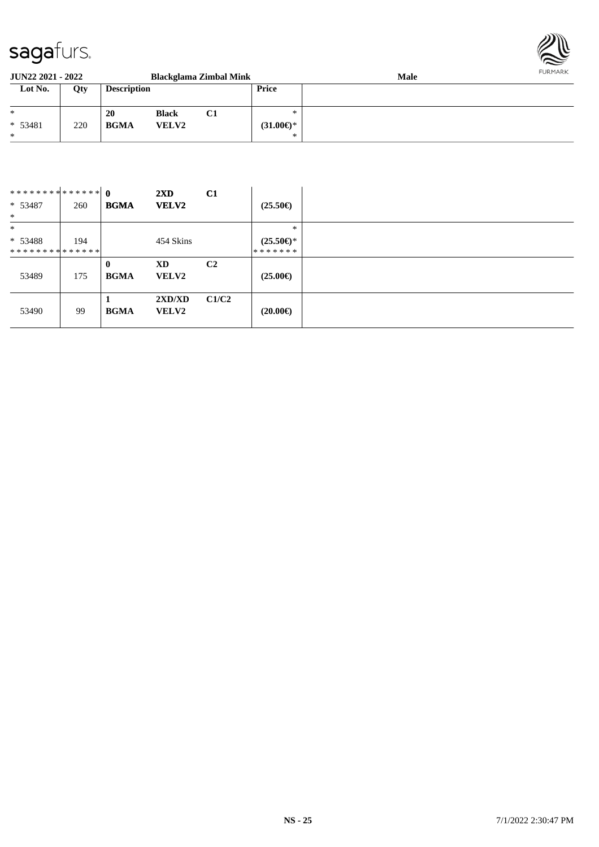

| <b>JUN22 2021 - 2022</b> |     |                    |              | <b>Blackglama Zimbal Mink</b> |                     | <b>Male</b> | FURMARK |
|--------------------------|-----|--------------------|--------------|-------------------------------|---------------------|-------------|---------|
| Lot No.                  | Qty | <b>Description</b> |              |                               | <b>Price</b>        |             |         |
| $*$                      |     | 20                 | <b>Black</b> | C1                            | ∗                   |             |         |
| $* 53481$                | 220 | <b>BGMA</b>        | <b>VELV2</b> |                               | $(31.00\epsilon)$ * |             |         |
| $\ast$                   |     |                    |              |                               | ∗                   |             |         |

| ************** 0<br>$* 53487$<br>$*$  | 260 | <b>BGMA</b>                 | $2\mathbf{X}\mathbf{D}$<br><b>VELV2</b> | C1             | $(25.50\epsilon)$                        |
|---------------------------------------|-----|-----------------------------|-----------------------------------------|----------------|------------------------------------------|
| $\ast$<br>$* 53488$<br>************** | 194 |                             | 454 Skins                               |                | $\ast$<br>$(25.50\epsilon)$ *<br>******* |
| 53489                                 | 175 | $\mathbf{0}$<br><b>BGMA</b> | XD<br><b>VELV2</b>                      | C <sub>2</sub> | $(25.00\epsilon)$                        |
| 53490                                 | 99  | <b>BGMA</b>                 | 2XD/XD<br><b>VELV2</b>                  | C1/C2          | $(20.00\epsilon)$                        |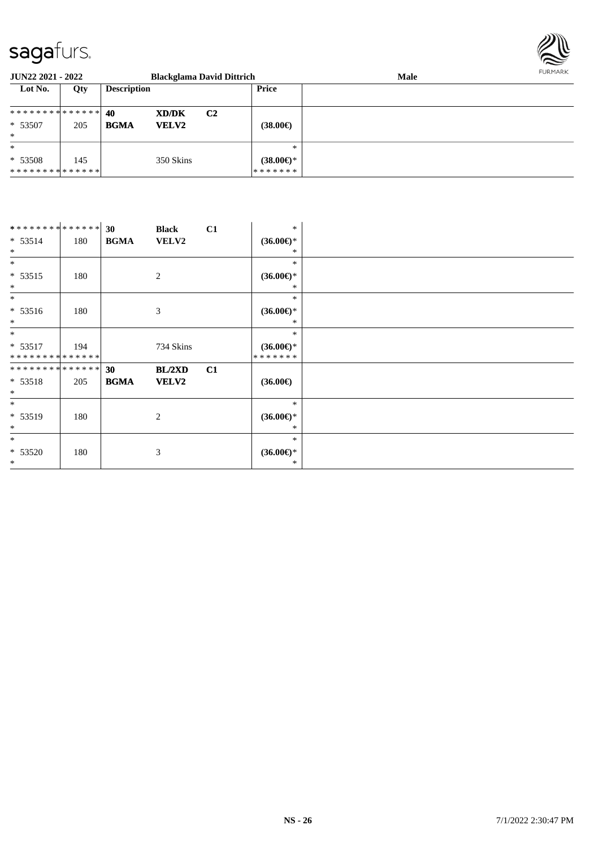

| <b>JUN22 2021 - 2022</b>      |     |                             | <b>Blackglama David Dittrich</b> |                     | Male | FURMARK |
|-------------------------------|-----|-----------------------------|----------------------------------|---------------------|------|---------|
| Lot No.                       | Qty | <b>Description</b>          |                                  | Price               |      |         |
| ************** 40             |     | <b>XD/DK</b>                | C <sub>2</sub>                   |                     |      |         |
| $*53507$                      | 205 | <b>BGMA</b><br><b>VELV2</b> |                                  | $(38.00\epsilon)$   |      |         |
| $\ast$                        |     |                             |                                  |                     |      |         |
| $\ast$                        |     |                             |                                  | $\ast$              |      |         |
| $* 53508$                     | 145 | 350 Skins                   |                                  | $(38.00\epsilon)$ * |      |         |
| * * * * * * * * * * * * * * * |     |                             |                                  | *******             |      |         |

| ************** 30 |     |             | <b>Black</b> | C1 | $\ast$              |
|-------------------|-----|-------------|--------------|----|---------------------|
| $* 53514$         | 180 | <b>BGMA</b> | VELV2        |    | $(36.00\epsilon)$ * |
| $*$               |     |             |              |    | ∗                   |
| $*$               |     |             |              |    | $\ast$              |
| $* 53515$         | 180 |             | 2            |    | $(36.00\epsilon)$ * |
| $*$               |     |             |              |    | ∗                   |
| $*$               |     |             |              |    | $\ast$              |
| $* 53516$         | 180 |             | 3            |    | $(36.00\epsilon)$ * |
| $*$               |     |             |              |    | ∗                   |
| $*$               |     |             |              |    | $\ast$              |
| $* 53517$         | 194 |             | 734 Skins    |    | $(36.00\epsilon)$ * |
| **************    |     |             |              |    | *******             |
| **************    |     | 30          | BL/2XD       | C1 |                     |
| $* 53518$         | 205 | <b>BGMA</b> | <b>VELV2</b> |    | $(36.00\epsilon)$   |
| $\ast$            |     |             |              |    |                     |
| $\ast$            |     |             |              |    | $\ast$              |
| * 53519           | 180 |             | 2            |    | $(36.00\epsilon)$ * |
| $*$               |     |             |              |    | ∗                   |
| $*$               |     |             |              |    | $\ast$              |
| $* 53520$         | 180 |             | 3            |    | $(36.00\epsilon)$ * |
| $\ast$            |     |             |              |    | *                   |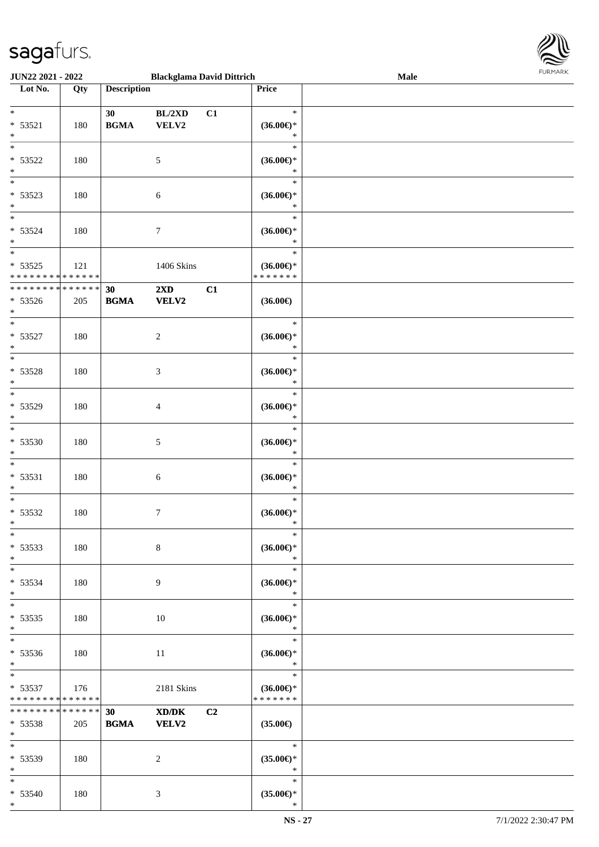\*



| <b>JUN22 2021 - 2022</b>                   |        |                    | <b>Blackglama David Dittrich</b> |                |                     | Male |  |
|--------------------------------------------|--------|--------------------|----------------------------------|----------------|---------------------|------|--|
| Lot No.                                    | Qty    | <b>Description</b> |                                  |                | Price               |      |  |
|                                            |        |                    |                                  |                |                     |      |  |
| $*$                                        |        | 30                 | BL/2XD                           | C1             | $\ast$              |      |  |
| $* 53521$                                  | 180    | <b>BGMA</b>        | VELV2                            |                | $(36.00\epsilon)$ * |      |  |
| $*$                                        |        |                    |                                  |                | $\ast$              |      |  |
| $\overline{\ast}$                          |        |                    |                                  |                | $\ast$              |      |  |
|                                            |        |                    |                                  |                |                     |      |  |
| $* 53522$                                  | 180    |                    | $\mathfrak{S}$                   |                | $(36.00\epsilon)$ * |      |  |
| $*$                                        |        |                    |                                  |                | $\ast$              |      |  |
|                                            |        |                    |                                  |                | $\ast$              |      |  |
| $* 53523$                                  | 180    |                    | 6                                |                | $(36.00\epsilon)$ * |      |  |
| $*$                                        |        |                    |                                  |                | $\ast$              |      |  |
| $\overline{\ast}$                          |        |                    |                                  |                | $\ast$              |      |  |
| * 53524                                    | 180    |                    | $\boldsymbol{7}$                 |                | $(36.00\epsilon)$ * |      |  |
| $*$                                        |        |                    |                                  |                | $\ast$              |      |  |
| $*$                                        |        |                    |                                  |                | $\ast$              |      |  |
|                                            |        |                    |                                  |                |                     |      |  |
| $* 53525$                                  | 121    |                    | 1406 Skins                       |                | $(36.00\epsilon)$ * |      |  |
| * * * * * * * * * * * * * *                |        |                    |                                  |                | * * * * * * *       |      |  |
| * * * * * * * * * * * * * *                |        | 30                 | 2XD                              | C1             |                     |      |  |
| $* 53526$                                  | 205    | <b>BGMA</b>        | <b>VELV2</b>                     |                | $(36.00\epsilon)$   |      |  |
| $*$                                        |        |                    |                                  |                |                     |      |  |
| $*$                                        |        |                    |                                  |                | $\ast$              |      |  |
| * 53527                                    | 180    |                    | 2                                |                | $(36.00\epsilon)$ * |      |  |
| $*$                                        |        |                    |                                  |                | $\ast$              |      |  |
| $\overline{\ast}$                          |        |                    |                                  |                | $\ast$              |      |  |
|                                            |        |                    |                                  |                |                     |      |  |
| * 53528                                    | 180    |                    | 3                                |                | $(36.00\epsilon)$ * |      |  |
| $\ast$                                     |        |                    |                                  |                | $\ast$              |      |  |
| $\overline{\ast}$                          |        |                    |                                  |                | $\ast$              |      |  |
| * 53529                                    | 180    |                    | $\overline{4}$                   |                | $(36.00\epsilon)$ * |      |  |
| $*$                                        |        |                    |                                  |                | $\ast$              |      |  |
| $\overline{\ast}$                          |        |                    |                                  |                | $\ast$              |      |  |
| * 53530                                    | 180    |                    | 5                                |                | $(36.00\epsilon)$ * |      |  |
| $\ast$                                     |        |                    |                                  |                | $\ast$              |      |  |
|                                            |        |                    |                                  |                | $\ast$              |      |  |
| $*$                                        |        |                    |                                  |                |                     |      |  |
| $* 53531$                                  | 180    |                    | 6                                |                | $(36.00\epsilon)$ * |      |  |
| $*$                                        |        |                    |                                  |                | $\ast$              |      |  |
| $\ast$                                     |        |                    |                                  |                | $\ast$              |      |  |
| $* 53532$                                  | 180    |                    | $7\phantom{.0}$                  |                | $(36.00\epsilon)$ * |      |  |
| $*$                                        |        |                    |                                  |                | $\ast$              |      |  |
| $*$                                        |        |                    |                                  |                | $\ast$              |      |  |
| $* 53533$                                  | 180    |                    | 8                                |                | $(36.00\epsilon)$ * |      |  |
| $*$                                        |        |                    |                                  |                | $\ast$              |      |  |
| $*$                                        |        |                    |                                  |                | $\ast$              |      |  |
|                                            |        |                    |                                  |                |                     |      |  |
| * 53534                                    | 180    |                    | 9                                |                | $(36.00\epsilon)$ * |      |  |
| $*$                                        |        |                    |                                  |                | $\ast$              |      |  |
| $*$                                        |        |                    |                                  |                | $\ast$              |      |  |
| $* 53535$                                  | 180    |                    | 10                               |                | $(36.00\epsilon)$ * |      |  |
| $*$                                        |        |                    |                                  |                | $\ast$              |      |  |
| $*$                                        |        |                    |                                  |                | $\ast$              |      |  |
| * 53536                                    | 180    |                    | 11                               |                | $(36.00\epsilon)$ * |      |  |
| $*$                                        |        |                    |                                  |                | $\ast$              |      |  |
| $*$ $*$                                    |        |                    |                                  |                | $\ast$              |      |  |
|                                            |        |                    |                                  |                |                     |      |  |
| $* 53537$                                  | 176    |                    | 2181 Skins                       |                | $(36.00\epsilon)$ * |      |  |
| * * * * * * * * <mark>* * * * * * *</mark> |        |                    |                                  |                | * * * * * * *       |      |  |
| * * * * * * * *                            | ****** | 30 <sub>1</sub>    | XD/DK                            | C <sub>2</sub> |                     |      |  |
| * 53538                                    | 205    | <b>BGMA</b>        | <b>VELV2</b>                     |                | $(35.00\epsilon)$   |      |  |
| $*$                                        |        |                    |                                  |                |                     |      |  |
| $*$ $-$                                    |        |                    |                                  |                | $\ast$              |      |  |
| * 53539                                    | 180    |                    | 2                                |                | $(35.00\epsilon)$ * |      |  |
| $*$                                        |        |                    |                                  |                | $\ast$              |      |  |
| $*$                                        |        |                    |                                  |                | $\ast$              |      |  |
| $* 53540$                                  | 180    |                    | 3                                |                | $(35.00\epsilon)$ * |      |  |
| $*$                                        |        |                    |                                  |                | $\ast$              |      |  |
|                                            |        |                    |                                  |                |                     |      |  |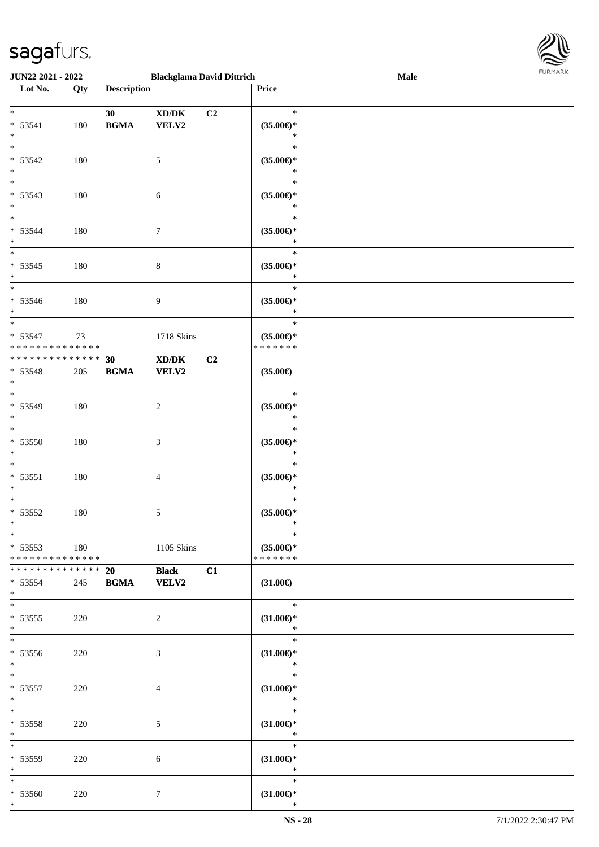

| <b>JUN22 2021 - 2022</b>                   |     | <b>Blackglama David Dittrich</b> |                                             |                |                     | Male |
|--------------------------------------------|-----|----------------------------------|---------------------------------------------|----------------|---------------------|------|
| Lot No.                                    | Qty | <b>Description</b>               |                                             |                | Price               |      |
|                                            |     |                                  |                                             |                |                     |      |
| $*$                                        |     | 30                               | XD/DK                                       | C <sub>2</sub> | $\ast$              |      |
| $* 53541$                                  |     | <b>BGMA</b>                      | VELV2                                       |                |                     |      |
|                                            | 180 |                                  |                                             |                | $(35.00\epsilon)$ * |      |
| $*$                                        |     |                                  |                                             |                | $\ast$              |      |
|                                            |     |                                  |                                             |                | $\ast$              |      |
| $* 53542$                                  | 180 |                                  | $\mathfrak{S}$                              |                | $(35.00\epsilon)$ * |      |
| $*$                                        |     |                                  |                                             |                | $\ast$              |      |
|                                            |     |                                  |                                             |                | $\ast$              |      |
|                                            |     |                                  |                                             |                |                     |      |
| $* 53543$                                  | 180 |                                  | $\sqrt{6}$                                  |                | $(35.00\epsilon)$ * |      |
| $*$                                        |     |                                  |                                             |                | $\ast$              |      |
| $*$                                        |     |                                  |                                             |                | $\ast$              |      |
| * 53544                                    | 180 |                                  | $\boldsymbol{7}$                            |                | $(35.00\epsilon)$ * |      |
|                                            |     |                                  |                                             |                |                     |      |
| $\ast$                                     |     |                                  |                                             |                | $\ast$              |      |
| $\overline{\phantom{0}}$                   |     |                                  |                                             |                | $\ast$              |      |
| $* 53545$                                  | 180 |                                  | $\,8\,$                                     |                | $(35.00\epsilon)$ * |      |
| $*$                                        |     |                                  |                                             |                | $\ast$              |      |
| $*$                                        |     |                                  |                                             |                | $\ast$              |      |
|                                            |     |                                  |                                             |                |                     |      |
| * 53546                                    | 180 |                                  | 9                                           |                | $(35.00\epsilon)$ * |      |
| $*$                                        |     |                                  |                                             |                | $\ast$              |      |
|                                            |     |                                  |                                             |                | $\ast$              |      |
| * 53547                                    | 73  |                                  | 1718 Skins                                  |                | $(35.00\epsilon)$ * |      |
| * * * * * * * * * * * * * *                |     |                                  |                                             |                | * * * * * * *       |      |
|                                            |     |                                  |                                             |                |                     |      |
| * * * * * * * * * * * * * *                |     | 30                               | $\mathbf{X}\mathbf{D}/\mathbf{D}\mathbf{K}$ | C <sub>2</sub> |                     |      |
| * 53548                                    | 205 | <b>BGMA</b>                      | <b>VELV2</b>                                |                | $(35.00\epsilon)$   |      |
| $*$                                        |     |                                  |                                             |                |                     |      |
| $\overline{\phantom{0}}$                   |     |                                  |                                             |                | $\ast$              |      |
| * 53549                                    | 180 |                                  | $\sqrt{2}$                                  |                |                     |      |
|                                            |     |                                  |                                             |                | $(35.00\epsilon)$ * |      |
| $*$                                        |     |                                  |                                             |                | $\ast$              |      |
| $*$                                        |     |                                  |                                             |                | $\ast$              |      |
| $* 53550$                                  | 180 |                                  | $\mathfrak{Z}$                              |                | $(35.00\epsilon)$ * |      |
| $\ast$                                     |     |                                  |                                             |                | $\ast$              |      |
| $*$                                        |     |                                  |                                             |                | $\ast$              |      |
|                                            |     |                                  |                                             |                |                     |      |
| $* 53551$                                  | 180 |                                  | $\overline{4}$                              |                | $(35.00\epsilon)$ * |      |
| $*$                                        |     |                                  |                                             |                | $\ast$              |      |
| $*$                                        |     |                                  |                                             |                | $\ast$              |      |
| $* 53552$                                  | 180 |                                  | $\sqrt{5}$                                  |                | $(35.00\epsilon)$ * |      |
|                                            |     |                                  |                                             |                |                     |      |
| $*$                                        |     |                                  |                                             |                | $\ast$              |      |
| $*$                                        |     |                                  |                                             |                | $\ast$              |      |
| $* 53553$                                  | 180 |                                  | 1105 Skins                                  |                | $(35.00\epsilon)$ * |      |
| * * * * * * * * <mark>* * * * * * *</mark> |     |                                  |                                             |                | * * * * * * *       |      |
| * * * * * * * * <mark>* * * * * *</mark>   |     | 20                               | <b>Black</b>                                | C1             |                     |      |
|                                            |     |                                  |                                             |                |                     |      |
| * 53554                                    | 245 | <b>BGMA VELV2</b>                |                                             |                | $(31.00\epsilon)$   |      |
| $*$                                        |     |                                  |                                             |                |                     |      |
| $*$                                        |     |                                  |                                             |                | $\ast$              |      |
| $* 53555$                                  | 220 |                                  | 2                                           |                | $(31.00\epsilon)$ * |      |
| $*$                                        |     |                                  |                                             |                | $\ast$              |      |
| $*$                                        |     |                                  |                                             |                |                     |      |
|                                            |     |                                  |                                             |                | $\ast$              |      |
| * 53556                                    | 220 |                                  | 3                                           |                | $(31.00\epsilon)$ * |      |
| $*$                                        |     |                                  |                                             |                | $\ast$              |      |
| $*$ $*$                                    |     |                                  |                                             |                | $\ast$              |      |
|                                            |     |                                  |                                             |                |                     |      |
| $* 53557$                                  | 220 |                                  | $\overline{4}$                              |                | $(31.00\epsilon)$ * |      |
| $*$                                        |     |                                  |                                             |                | $\ast$              |      |
| $*$ $*$                                    |     |                                  |                                             |                | $\ast$              |      |
| $* 53558$                                  | 220 |                                  | $\sqrt{5}$                                  |                | $(31.00\epsilon)$ * |      |
| $*$                                        |     |                                  |                                             |                | $*$                 |      |
| $*$ $*$                                    |     |                                  |                                             |                | $\ast$              |      |
|                                            |     |                                  |                                             |                |                     |      |
| * 53559                                    | 220 |                                  | 6                                           |                | $(31.00\epsilon)$ * |      |
| $*$                                        |     |                                  |                                             |                | $*$                 |      |
| $*$                                        |     |                                  |                                             |                | $\ast$              |      |
| * 53560                                    | 220 |                                  | $\tau$                                      |                | $(31.00\epsilon)$ * |      |
| $*$                                        |     |                                  |                                             |                | $\ast$              |      |
|                                            |     |                                  |                                             |                |                     |      |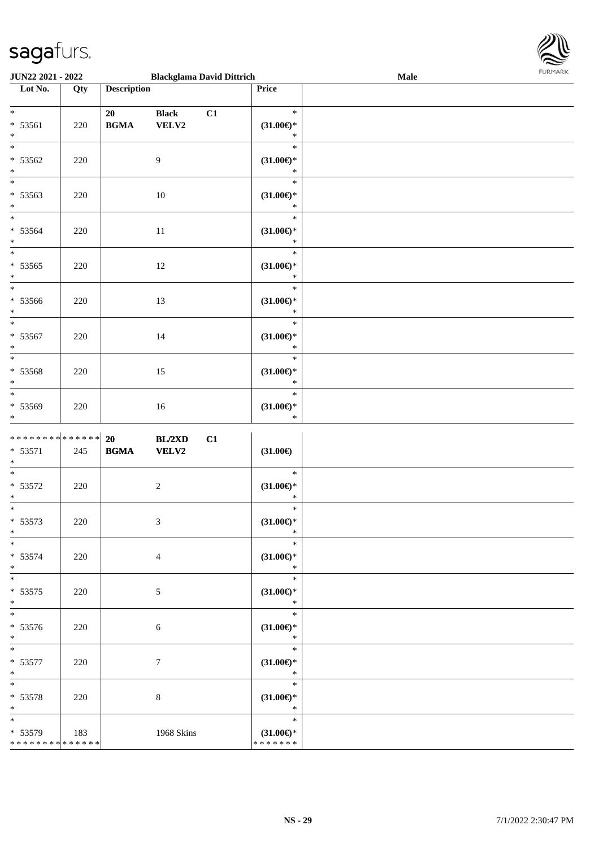

| JUN22 2021 - 2022                                   |     |                                                  | <b>Blackglama David Dittrich</b> |    |                                                   | Male | <b>FURPIARA</b> |
|-----------------------------------------------------|-----|--------------------------------------------------|----------------------------------|----|---------------------------------------------------|------|-----------------|
| Lot No.                                             | Qty | <b>Description</b>                               |                                  |    | Price                                             |      |                 |
| $*$<br>$* 53561$<br>$\ast$                          | 220 | 20<br>$\mathbf{B}\mathbf{G}\mathbf{M}\mathbf{A}$ | <b>Black</b><br>VELV2            | C1 | $\ast$<br>$(31.00\epsilon)$ *<br>$\ast$           |      |                 |
| $\overline{\phantom{0}}$<br>$* 53562$<br>$*$        | 220 |                                                  | 9                                |    | $\ast$<br>$(31.00\epsilon)$ *<br>$\ast$           |      |                 |
| $\overline{\ast}$<br>$* 53563$<br>$*$               | 220 |                                                  | 10                               |    | $\ast$<br>$(31.00\epsilon)$ *<br>$\ast$           |      |                 |
| * 53564<br>$*$                                      | 220 |                                                  | 11                               |    | $\ast$<br>$(31.00\epsilon)$ *<br>$\ast$           |      |                 |
| $* 53565$<br>$*$                                    | 220 |                                                  | 12                               |    | $\ast$<br>$(31.00\epsilon)$ *<br>$\ast$           |      |                 |
| * 53566<br>$*$                                      | 220 |                                                  | 13                               |    | $\ast$<br>$(31.00\epsilon)$ *<br>$\ast$           |      |                 |
| $*$<br>$* 53567$<br>$*$<br>$\overline{\phantom{0}}$ | 220 |                                                  | 14                               |    | $\ast$<br>$(31.00\epsilon)$ *<br>$\ast$           |      |                 |
| * 53568<br>$*$<br>$\overline{\ }$                   | 220 |                                                  | 15                               |    | $\ast$<br>$(31.00\epsilon)$ *<br>$\ast$           |      |                 |
| * 53569<br>$\ast$                                   | 220 |                                                  | 16                               |    | $\ast$<br>$(31.00\epsilon)$ *<br>$\ast$           |      |                 |
| ******** <mark>******</mark><br>$* 53571$<br>$\ast$ | 245 | 20<br>$\mathbf{B}\mathbf{G}\mathbf{M}\mathbf{A}$ | <b>BL/2XD</b><br><b>VELV2</b>    | C1 | $(31.00\epsilon)$                                 |      |                 |
| $*$<br>$* 53572$<br>$*$                             | 220 |                                                  | $\overline{2}$                   |    | $\ast$<br>$(31.00\epsilon)$ *<br>$\ast$           |      |                 |
| $* 53573$<br>$*$                                    | 220 |                                                  | $\mathfrak{Z}$                   |    | $\ast$<br>$(31.00\epsilon)$ *<br>$\ast$           |      |                 |
| * 53574<br>$*$                                      | 220 |                                                  | $\overline{4}$                   |    | $\ast$<br>$(31.00\epsilon)$ *<br>$\ast$           |      |                 |
| $*$<br>$* 53575$<br>$*$<br>$*$                      | 220 |                                                  | 5                                |    | $\ast$<br>$(31.00\in)^\ast$<br>$\ast$             |      |                 |
| $* 53576$<br>$*$<br>$*$                             | 220 |                                                  | $6\phantom{1}6$                  |    | $\ast$<br>$(31.00\epsilon)$ *<br>$\ast$<br>$\ast$ |      |                 |
| $* 53577$<br>$*$<br>$*$                             | 220 |                                                  | $7\phantom{.0}$                  |    | $(31.00\epsilon)$ *<br>$\ast$<br>$\ast$           |      |                 |
| $* 53578$<br>$*$<br>$*$                             | 220 |                                                  | $\,8\,$                          |    | $(31.00\epsilon)$ *<br>$\ast$<br>$\ast$           |      |                 |
| * 53579<br>* * * * * * * * * * * * * *              | 183 |                                                  | 1968 Skins                       |    | $(31.00\epsilon)$ *<br>* * * * * * *              |      |                 |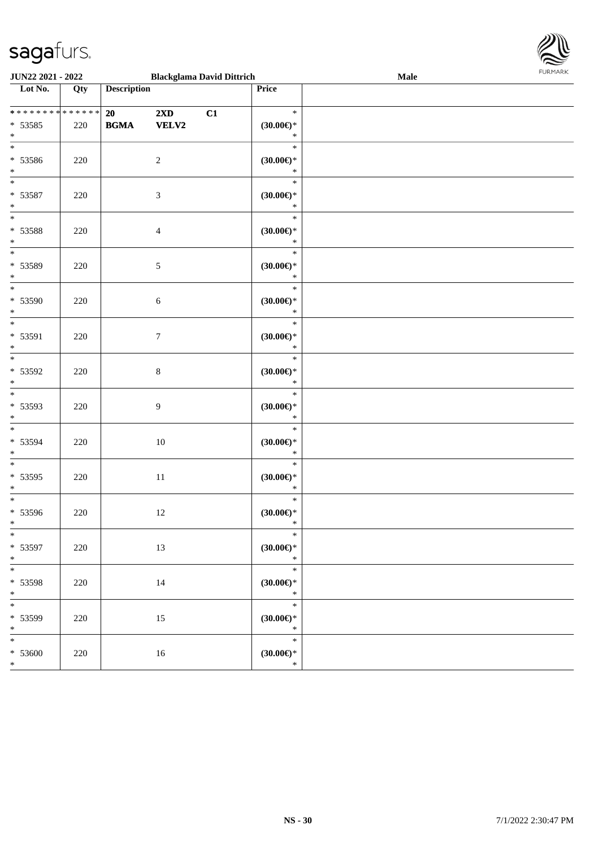

| <b>JUN22 2021 - 2022</b>                     |     |                    |                                         | <b>Blackglama David Dittrich</b> |                                         | Male |
|----------------------------------------------|-----|--------------------|-----------------------------------------|----------------------------------|-----------------------------------------|------|
| Lot No.                                      | Qty | <b>Description</b> |                                         |                                  | Price                                   |      |
| **************<br>$* 53585$<br>$*$           | 220 | 20<br><b>BGMA</b>  | $2\mathbf{X}\mathbf{D}$<br><b>VELV2</b> | C1                               | $\ast$<br>$(30.00\epsilon)$ *<br>$\ast$ |      |
| $\overline{\ast}$<br>* 53586<br>$\ast$       | 220 |                    | $\overline{c}$                          |                                  | $\ast$<br>$(30.00\epsilon)$ *<br>$\ast$ |      |
| $\overline{\phantom{0}}$<br>$* 53587$<br>$*$ | 220 | $\mathfrak{Z}$     |                                         |                                  | $\ast$<br>$(30.00\epsilon)$ *<br>$\ast$ |      |
| $*$<br>* 53588<br>$*$                        | 220 |                    | $\overline{4}$                          |                                  | $\ast$<br>$(30.00\epsilon)$ *<br>$\ast$ |      |
| $*$<br>* 53589<br>$\ast$                     | 220 |                    | $\sqrt{5}$                              |                                  | $\ast$<br>$(30.00\epsilon)$ *<br>$\ast$ |      |
| $\overline{\phantom{0}}$<br>* 53590<br>$*$   | 220 |                    | $\sqrt{6}$                              |                                  | $\ast$<br>$(30.00\epsilon)$ *<br>$\ast$ |      |
| $*$<br>* 53591<br>$*$                        | 220 |                    | $\tau$                                  |                                  | $\ast$<br>$(30.00\epsilon)$ *<br>$\ast$ |      |
| * 53592<br>$*$                               | 220 |                    | $\,8\,$                                 |                                  | $\ast$<br>$(30.00\epsilon)$ *<br>$\ast$ |      |
| $\overline{\phantom{0}}$<br>* 53593<br>$*$   | 220 |                    | $\overline{9}$                          |                                  | $\ast$<br>$(30.00\epsilon)$ *<br>$\ast$ |      |
| $\overline{\phantom{0}}$<br>* 53594<br>$*$   | 220 |                    | 10                                      |                                  | $\ast$<br>$(30.00\epsilon)$ *<br>$\ast$ |      |
| $\ast$<br>* 53595<br>$*$                     | 220 |                    | 11                                      |                                  | $\ast$<br>$(30.00\epsilon)$ *<br>$\ast$ |      |
| $*$<br>$* 53596$<br>$*$                      | 220 |                    | 12                                      |                                  | $\ast$<br>(30.00)<br>$\ast$             |      |
| $*$<br>* 53597<br>$*$                        | 220 |                    | 13                                      |                                  | $\ast$<br>$(30.00\epsilon)$ *<br>$*$    |      |
| $*$<br>* 53598<br>$*$                        | 220 |                    | 14                                      |                                  | $\ast$<br>$(30.00\epsilon)$ *<br>$\ast$ |      |
| * 53599<br>$*$                               | 220 |                    | 15                                      |                                  | $\ast$<br>(30.00)<br>$\ast$             |      |
| $\overline{\ast}$<br>$* 53600$<br>$*$        | 220 |                    | 16                                      |                                  | $\ast$<br>$(30.00\in)^\ast$<br>$\ast$   |      |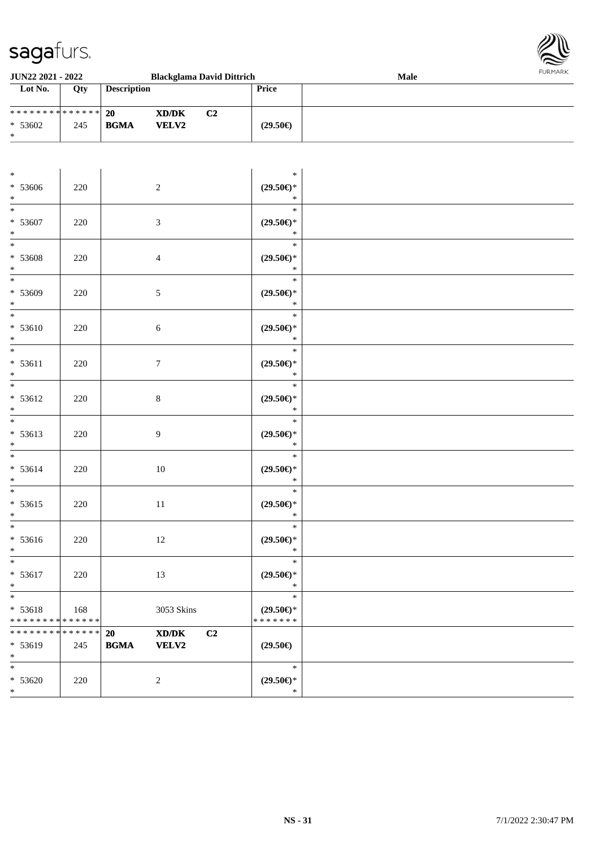

| JUN22 2021 - 2022                                |                    |                                                  |                                                                                                                      | <b>Blackglama David Dittrich</b>                                       | 10111111111<br>Male |
|--------------------------------------------------|--------------------|--------------------------------------------------|----------------------------------------------------------------------------------------------------------------------|------------------------------------------------------------------------|---------------------|
| Lot No.                                          | Qty                | <b>Description</b>                               |                                                                                                                      | Price                                                                  |                     |
| * * * * * * * * * * * * * *<br>* 53602<br>$\ast$ | 245                | 20<br><b>BGMA</b>                                | $\mathbf{X}\mathbf{D}/\mathbf{D}\mathbf{K}$<br><b>VELV2</b>                                                          | C2<br>$(29.50\epsilon)$                                                |                     |
|                                                  |                    |                                                  |                                                                                                                      |                                                                        |                     |
| $\ast$<br>$* 53606$<br>$\ast$                    | $220\,$            | $\sqrt{2}$                                       |                                                                                                                      | $\ast$<br>$(29.50\epsilon)$ *<br>$\ast$                                |                     |
| $\ast$<br>* 53607<br>$\ast$                      | 220                | 3                                                |                                                                                                                      | $\ast$<br>$(29.50\epsilon)$ *<br>$\ast$                                |                     |
| $*$<br>$* 53608$<br>$\ast$                       | 220                | 4                                                |                                                                                                                      | $\ast$<br>$(29.50\epsilon)$ *<br>$\ast$                                |                     |
| $\overline{\ast}$<br>* 53609<br>$\ast$           | 220                | 5                                                |                                                                                                                      | $\ast$<br>$(29.50\epsilon)$ *<br>$\ast$                                |                     |
| * 53610<br>$\ast$                                | 220                | $\sqrt{6}$                                       |                                                                                                                      | $\ast$<br>$(29.50\epsilon)$ *<br>$\ast$                                |                     |
| $\overline{\ast}$<br>$* 53611$<br>$\ast$         | $220\,$            | $\tau$                                           |                                                                                                                      | $\ast$<br>$(29.50\epsilon)$ *<br>$\ast$                                |                     |
| $\overline{\phantom{0}}$<br>$* 53612$<br>$\ast$  | 220                | $8\,$                                            |                                                                                                                      | $\ast$<br>$(29.50\mathnormal{\in}\mathcal{)^{\! \! \times}}$<br>$\ast$ |                     |
| $\overline{\phantom{0}}$<br>$* 53613$<br>$\ast$  | 220                | 9                                                |                                                                                                                      | $\ast$<br>$(29.50\epsilon)$ *<br>$\ast$                                |                     |
| $\overline{\ }$<br>$* 53614$<br>$\ast$           | $220\,$            | $10\,$                                           |                                                                                                                      | $\ast$<br>$(29.50\epsilon)$ *<br>$\ast$                                |                     |
| $\ast$<br>$* 53615$<br>$*$                       | 220                | 11                                               |                                                                                                                      | $\ast$<br>$(29.50\mathnormal{\in}\mathcal{)^{\! \! \times}}$<br>$\ast$ |                     |
| $\ast$<br>$* 53616$<br>$\ast$                    | 220                | 12                                               |                                                                                                                      | $\ast$<br>$(29.50\epsilon)$ *<br>$\ast$                                |                     |
| $\ast$<br>* 53617<br>$*$                         | 220                | 13                                               |                                                                                                                      | $\ast$<br>$(29.50\epsilon)$ *<br>$\ast$                                |                     |
| $\overline{\ast}$<br>* 53618<br>* * * * * * * *  | 168<br>* * * * * * |                                                  | 3053 Skins                                                                                                           | $\ast$<br>$(29.50\epsilon)$ *<br>* * * * * * *                         |                     |
| * * * * * * * *<br>* 53619<br>$*$                | * * * * * *<br>245 | 20<br>$\mathbf{B}\mathbf{G}\mathbf{M}\mathbf{A}$ | $\boldsymbol{\text{X}}\boldsymbol{\text{D}}\boldsymbol{/}\boldsymbol{\text{D}}\boldsymbol{\text{K}}$<br><b>VELV2</b> | C2<br>$(29.50\epsilon)$                                                |                     |
| $\ast$<br>$* 53620$<br>$*$                       | $220\,$            | $\overline{c}$                                   |                                                                                                                      | $\ast$<br>$(29.50\epsilon)$ *<br>$\ast$                                |                     |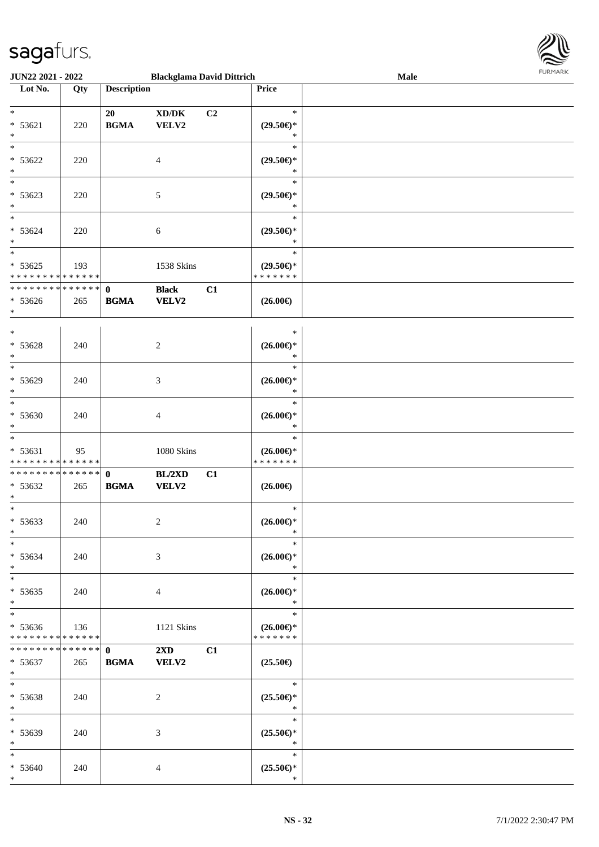

| JUN22 2021 - 2022                                              |                      |                             | <b>Blackglama David Dittrich</b>             |    |                                                   | Male | <b>FURITARK</b> |
|----------------------------------------------------------------|----------------------|-----------------------------|----------------------------------------------|----|---------------------------------------------------|------|-----------------|
| Lot No.                                                        | Qty                  | <b>Description</b>          |                                              |    | Price                                             |      |                 |
| $*$<br>$* 53621$<br>$*$                                        | 220                  | 20<br><b>BGMA</b>           | $\bold{X}\bold{D}/\bold{D}\bold{K}$<br>VELV2 | C2 | $\ast$<br>$(29.50\epsilon)$ *<br>$\ast$           |      |                 |
| $*$<br>$* 53622$<br>$*$                                        | 220                  |                             | 4                                            |    | $\ast$<br>$(29.50\epsilon)$ *<br>$\ast$           |      |                 |
| $\overline{\phantom{0}}$<br>$* 53623$<br>$*$                   | 220                  |                             | 5                                            |    | $\ast$<br>$(29.50\epsilon)$ *<br>$\ast$           |      |                 |
| $*$<br>$* 53624$<br>$*$                                        | 220                  |                             | 6                                            |    | $\ast$<br>$(29.50\epsilon)$ *<br>$\ast$<br>$\ast$ |      |                 |
| $* 53625$<br>* * * * * * * * * * * * * *                       | 193                  |                             | 1538 Skins                                   |    | $(29.50\epsilon)$ *<br>* * * * * * *              |      |                 |
| * * * * * * * * <mark>* * * * * * *</mark><br>$* 53626$<br>$*$ | 265                  | $\mathbf{0}$<br><b>BGMA</b> | <b>Black</b><br>VELV2                        | C1 | $(26.00\epsilon)$                                 |      |                 |
| $*$<br>$* 53628$<br>$\ast$                                     | 240                  |                             | 2                                            |    | $\ast$<br>$(26.00\epsilon)$ *<br>$\ast$           |      |                 |
| $\overline{\phantom{0}}$<br>* 53629<br>$\ast$                  | 240                  |                             | 3                                            |    | $\ast$<br>$(26.00\epsilon)$ *<br>$\ast$           |      |                 |
| $*$<br>$* 53630$<br>$*$                                        | 240                  |                             | $\overline{4}$                               |    | $\ast$<br>$(26.00\epsilon)$ *<br>$\ast$           |      |                 |
| $*$<br>* 53631<br>* * * * * * * * * * * * * *                  | 95                   |                             | 1080 Skins                                   |    | $\ast$<br>$(26.00\epsilon)$ *<br>* * * * * * *    |      |                 |
| * * * * * * * * * * * * * * *<br>$* 53632$<br>$*$              | 265                  | $\mathbf{0}$<br><b>BGMA</b> | BL/2XD<br><b>VELV2</b>                       | C1 | $(26.00\epsilon)$                                 |      |                 |
| $\overline{\phantom{0}}$<br>$* 53633$<br>$*$                   | 240                  |                             | 2                                            |    | $\ast$<br>$(26.00\epsilon)$ *<br>∗                |      |                 |
| $\ast$<br>$* 53634$<br>$*$                                     | 240                  |                             | 3                                            |    | $\ast$<br>$(26.00\epsilon)$ *<br>$\ast$           |      |                 |
| $*$<br>$* 53635$<br>$*$                                        | 240                  |                             | $\overline{4}$                               |    | $\ast$<br>$(26.00\epsilon)$ *<br>$\ast$           |      |                 |
| $*$<br>$* 53636$<br>* * * * * * * * * * * * * * *              | 136                  |                             | 1121 Skins                                   |    | $\ast$<br>$(26.00\epsilon)$ *<br>* * * * * * *    |      |                 |
| * * * * * * * *<br>* 53637<br>$*$                              | * * * * * *  <br>265 | $\mathbf{0}$<br><b>BGMA</b> | $2\mathbf{X}\mathbf{D}$<br><b>VELV2</b>      | C1 | $(25.50\epsilon)$                                 |      |                 |
| $*$<br>* 53638<br>$*$                                          | 240                  |                             | 2                                            |    | $\ast$<br>$(25.50\epsilon)$ *<br>$\ast$           |      |                 |
| $*$<br>* 53639<br>$*$                                          | 240                  |                             | 3                                            |    | $\ast$<br>$(25.50\epsilon)$ *<br>∗                |      |                 |
| $*$<br>$* 53640$<br>$*$                                        | 240                  |                             | $\overline{4}$                               |    | $\ast$<br>$(25.50\epsilon)$ *<br>$\ast$           |      |                 |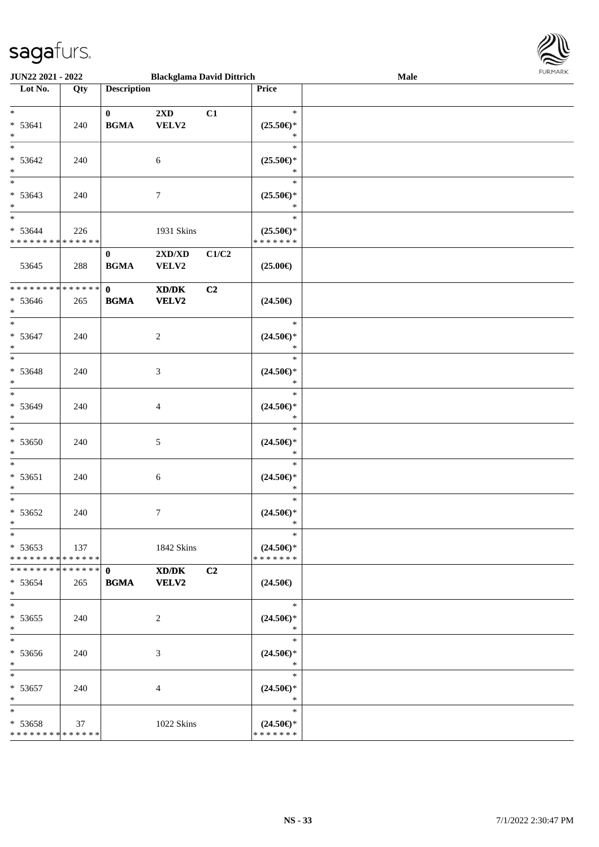

| <b>JUN22 2021 - 2022</b>                                          |     |                                                            | <b>Blackglama David Dittrich</b> |                |                                                | Male | 1.91111111 |
|-------------------------------------------------------------------|-----|------------------------------------------------------------|----------------------------------|----------------|------------------------------------------------|------|------------|
| Lot No.                                                           | Qty | <b>Description</b>                                         |                                  |                | Price                                          |      |            |
| $*$                                                               |     |                                                            |                                  |                | $\ast$                                         |      |            |
| $* 53641$<br>$*$                                                  | 240 | $\mathbf{0}$<br>$\mathbf{B}\mathbf{G}\mathbf{M}\mathbf{A}$ | $2\mathbf{X}\mathbf{D}$<br>VELV2 | C1             | $(25.50\epsilon)$ *<br>$\ast$                  |      |            |
| $* 53642$<br>$*$                                                  | 240 |                                                            | $\sqrt{6}$                       |                | $\ast$<br>$(25.50\epsilon)$ *<br>∗             |      |            |
| $* 53643$                                                         | 240 |                                                            | $\tau$                           |                | $\ast$<br>$(25.50\epsilon)$ *                  |      |            |
| $\ast$<br>$*$<br>$* 53644$                                        | 226 |                                                            | 1931 Skins                       |                | $\ast$<br>$\ast$<br>$(25.50\epsilon)$ *        |      |            |
| * * * * * * * * <mark>* * * * * * *</mark><br>53645               | 288 | $\mathbf{0}$<br><b>BGMA</b>                                | 2XD/XD<br>VELV2                  | C1/C2          | * * * * * * *<br>$(25.00\epsilon)$             |      |            |
| * * * * * * * * <mark>* * * * * * *</mark>                        |     |                                                            |                                  |                |                                                |      |            |
| $* 53646$<br>$\ast$                                               | 265 | $\mathbf{0}$<br><b>BGMA</b>                                | XD/DK<br><b>VELV2</b>            | C2             | $(24.50\epsilon)$                              |      |            |
| $\ast$<br>$* 53647$<br>$\ast$                                     | 240 |                                                            | 2                                |                | $\ast$<br>$(24.50\epsilon)$ *<br>$\ast$        |      |            |
| $\overline{\ast}$<br>$* 53648$<br>$*$                             | 240 |                                                            | 3                                |                | $\ast$<br>$(24.50\epsilon)$ *<br>$\ast$        |      |            |
| $*$<br>$* 53649$<br>$\ast$                                        | 240 |                                                            | 4                                |                | $\ast$<br>$(24.50\epsilon)$ *<br>$\ast$        |      |            |
| $\ddot{x}$<br>* 53650<br>$\ast$                                   | 240 |                                                            | 5                                |                | $\ast$<br>$(24.50\epsilon)$ *<br>$\ast$        |      |            |
| $\ast$<br>$* 53651$<br>$*$                                        | 240 |                                                            | 6                                |                | $\ast$<br>$(24.50\epsilon)$ *<br>$\ast$        |      |            |
| $\ast$<br>$* 53652$<br>$\ast$                                     | 240 |                                                            | 7                                |                | $\ast$<br>$(24.50\epsilon)$ *<br>$\ast$        |      |            |
| $\ast$<br>$* 53653$<br>* * * * * * * * * * * * * * <mark>*</mark> | 137 |                                                            | 1842 Skins                       |                | $\ast$<br>$(24.50\epsilon)$ *<br>* * * * * * * |      |            |
| * * * * * * * * * * * * * * <mark>*</mark><br>$* 53654$<br>$*$    | 265 | $\mathbf{0}$<br><b>BGMA</b>                                | XD/DK<br><b>VELV2</b>            | C <sub>2</sub> | $(24.50\epsilon)$                              |      |            |
| $\ast$<br>$* 53655$<br>$\ast$                                     | 240 |                                                            | 2                                |                | $\ast$<br>$(24.50\epsilon)$ *<br>$\ast$        |      |            |
| $*$<br>* 53656<br>$\ast$                                          | 240 |                                                            | 3                                |                | $\ast$<br>$(24.50\epsilon)$ *<br>$\ast$        |      |            |
| $\ast$<br>$* 53657$<br>$\ast$                                     | 240 |                                                            | $\overline{4}$                   |                | $\ast$<br>$(24.50\epsilon)$ *<br>$*$           |      |            |
| $*$<br>$* 53658$<br>* * * * * * * * <mark>* * * * * *</mark>      | 37  |                                                            | 1022 Skins                       |                | $\ast$<br>$(24.50\epsilon)$ *<br>* * * * * * * |      |            |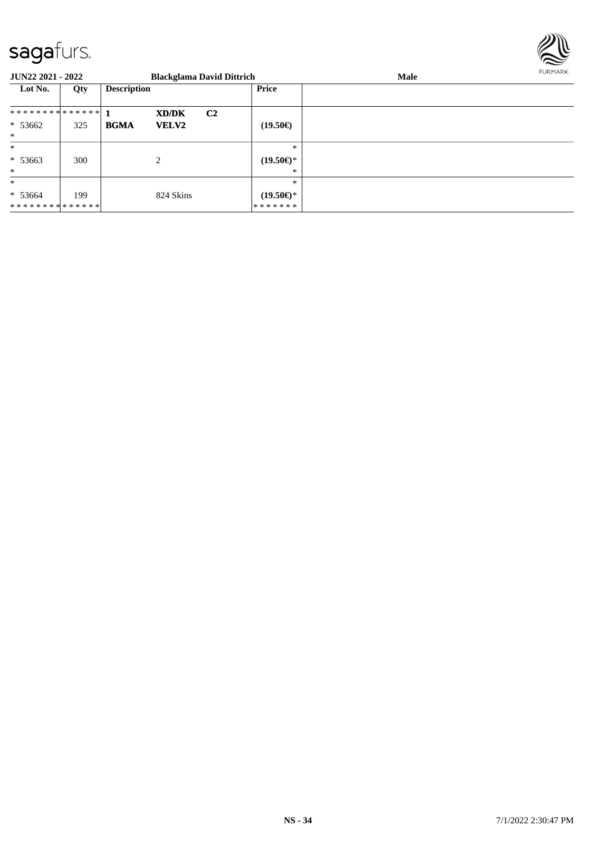

| JUN22 2021 - 2022 |     |                    |              | <b>Blackglama David Dittrich</b> |                     | Male | <b>FURMARK</b> |
|-------------------|-----|--------------------|--------------|----------------------------------|---------------------|------|----------------|
| Lot No.           | Qty | <b>Description</b> |              |                                  | Price               |      |                |
| ************** 1  |     |                    | XD/DK        | C <sub>2</sub>                   |                     |      |                |
| $* 53662$         | 325 | <b>BGMA</b>        | <b>VELV2</b> |                                  | $(19.50\epsilon)$   |      |                |
| $\ast$            |     |                    |              |                                  |                     |      |                |
| $\ast$            |     |                    |              |                                  | $*$                 |      |                |
| $* 53663$         | 300 |                    | 2            |                                  | $(19.50\epsilon)$ * |      |                |
| $*$               |     |                    |              |                                  | ∗                   |      |                |
| $\ast$            |     |                    |              |                                  | $\ast$              |      |                |
| $* 53664$         | 199 |                    | 824 Skins    |                                  | $(19.50\epsilon)$ * |      |                |
| **************    |     |                    |              |                                  | *******             |      |                |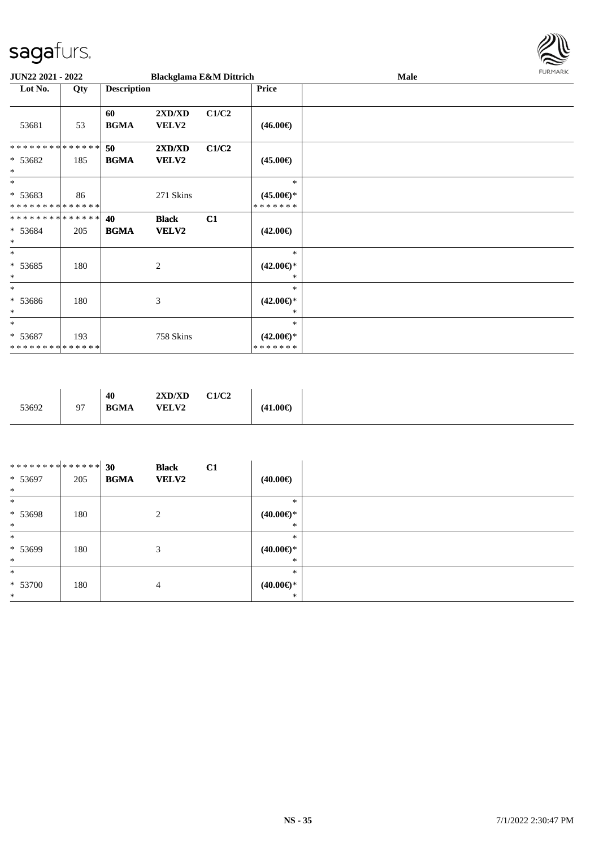

| JUN22 2021 - 2022                               |     |                    | <b>Blackglama E&amp;M Dittrich</b> |       |                                                | Male | <b>FURMARK</b> |
|-------------------------------------------------|-----|--------------------|------------------------------------|-------|------------------------------------------------|------|----------------|
| Lot No.                                         | Qty | <b>Description</b> |                                    |       | <b>Price</b>                                   |      |                |
| 53681                                           | 53  | 60<br><b>BGMA</b>  | 2XD/XD<br><b>VELV2</b>             | C1/C2 | $(46.00\epsilon)$                              |      |                |
| **************<br>* 53682<br>$\ast$             | 185 | 50<br><b>BGMA</b>  | 2XD/XD<br>VELV2                    | C1/C2 | $(45.00\epsilon)$                              |      |                |
| $\ast$<br>* 53683<br>**************             | 86  |                    | 271 Skins                          |       | $\ast$<br>$(45.00\epsilon)$ *<br>* * * * * * * |      |                |
| **************<br>* 53684<br>$\ast$             | 205 | 40<br><b>BGMA</b>  | <b>Black</b><br><b>VELV2</b>       | C1    | $(42.00\epsilon)$                              |      |                |
| $*$<br>$* 53685$<br>$\ast$                      | 180 |                    | $\overline{2}$                     |       | $\ast$<br>$(42.00\epsilon)$ *<br>∗             |      |                |
| $\ast$<br>* 53686<br>$\ast$                     | 180 |                    | 3                                  |       | $\ast$<br>$(42.00\epsilon)$ *<br>∗             |      |                |
| $*$<br>* 53687<br>* * * * * * * * * * * * * * * | 193 |                    | 758 Skins                          |       | $\ast$<br>$(42.00\epsilon)$ *<br>* * * * * * * |      |                |

| 53692 | C1/C2<br>2XD/XD<br>40<br><b>BGMA</b><br><b>VELV2</b> | $(41.00\epsilon)$<br>. |
|-------|------------------------------------------------------|------------------------|
|-------|------------------------------------------------------|------------------------|

| ******** <mark>******</mark> |     | 30          | <b>Black</b>   | C1 |                     |  |
|------------------------------|-----|-------------|----------------|----|---------------------|--|
| $* 53697$                    | 205 | <b>BGMA</b> | <b>VELV2</b>   |    | $(40.00\epsilon)$   |  |
| $\ast$                       |     |             |                |    |                     |  |
| $\ast$                       |     |             |                |    | $\ast$              |  |
| $* 53698$                    | 180 |             | 2              |    | $(40.00\epsilon)$ * |  |
| $\ast$                       |     |             |                |    | $\ast$              |  |
| $\ast$                       |     |             |                |    | $\ast$              |  |
| $* 53699$                    | 180 |             | 3              |    | $(40.00\epsilon)$ * |  |
| $\ast$                       |     |             |                |    | *                   |  |
| $\ast$                       |     |             |                |    | $\ast$              |  |
| $* 53700$                    | 180 |             | $\overline{4}$ |    | $(40.00\epsilon)$ * |  |
| $\ast$                       |     |             |                |    | $\ast$              |  |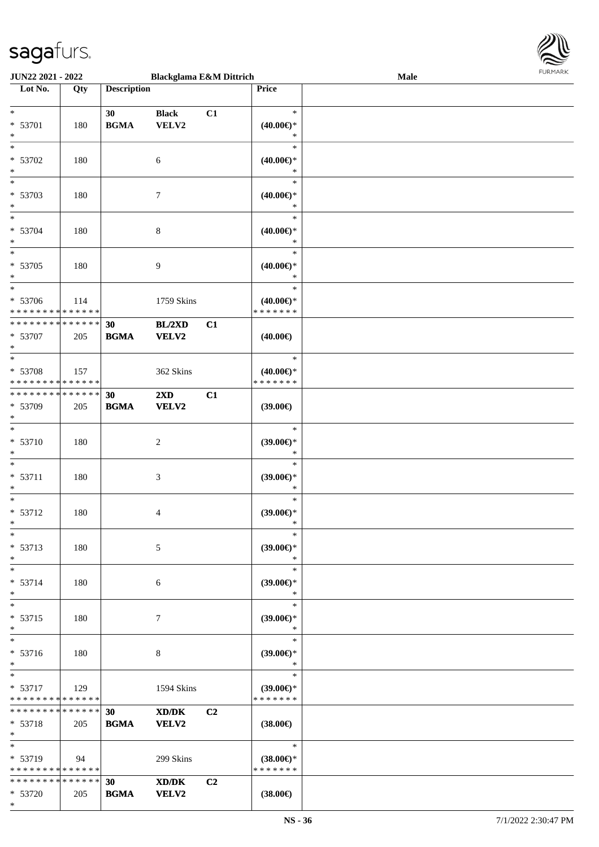

| JUN22 2021 - 2022             |     |                    | <b>Blackglama E&amp;M Dittrich</b> |    |                               | Male |  |
|-------------------------------|-----|--------------------|------------------------------------|----|-------------------------------|------|--|
| Lot No.                       | Qty | <b>Description</b> |                                    |    | Price                         |      |  |
|                               |     |                    |                                    |    |                               |      |  |
| $\ast$                        |     | 30                 | <b>Black</b>                       | C1 | $\ast$                        |      |  |
| * 53701                       | 180 | <b>BGMA</b>        | VELV2                              |    | $(40.00\epsilon)$ *           |      |  |
| $\ast$                        |     |                    |                                    |    | $\ast$                        |      |  |
| $\overline{\ast}$             |     |                    |                                    |    | $\ast$                        |      |  |
|                               |     |                    |                                    |    |                               |      |  |
| * 53702                       | 180 |                    | 6                                  |    | $(40.00\epsilon)$ *           |      |  |
| $\ast$                        |     |                    |                                    |    | $\ast$                        |      |  |
| $\overline{\ }$               |     |                    |                                    |    | $\ast$                        |      |  |
| * 53703                       | 180 |                    | $\tau$                             |    | $(40.00\epsilon)$ *           |      |  |
| $\ast$                        |     |                    |                                    |    | $\ast$                        |      |  |
| $\overline{\ast}$             |     |                    |                                    |    | $\ast$                        |      |  |
| * 53704                       | 180 |                    | $\,8\,$                            |    | $(40.00\epsilon)$ *           |      |  |
| $*$                           |     |                    |                                    |    | $\ast$                        |      |  |
| $\overline{\ast}$             |     |                    |                                    |    | $\ast$                        |      |  |
| * 53705                       |     |                    |                                    |    |                               |      |  |
|                               | 180 |                    | 9                                  |    | $(40.00\epsilon)$ *<br>$\ast$ |      |  |
| $*$<br>$*$                    |     |                    |                                    |    |                               |      |  |
|                               |     |                    |                                    |    | $\ast$                        |      |  |
| * 53706                       | 114 |                    | 1759 Skins                         |    | $(40.00\epsilon)$ *           |      |  |
| * * * * * * * * * * * * * *   |     |                    |                                    |    | *******                       |      |  |
| * * * * * * * * * * * * * *   |     | 30                 | BL/2XD                             | C1 |                               |      |  |
| * 53707                       | 205 | <b>BGMA</b>        | <b>VELV2</b>                       |    | $(40.00\epsilon)$             |      |  |
| $*$                           |     |                    |                                    |    |                               |      |  |
| $\overline{\ast}$             |     |                    |                                    |    | $\ast$                        |      |  |
| * 53708                       | 157 |                    | 362 Skins                          |    | $(40.00\epsilon)$ *           |      |  |
| * * * * * * * * * * * * * *   |     |                    |                                    |    | * * * * * * *                 |      |  |
| * * * * * * * * * * * * * * * |     | 30                 | $2\mathbf{X}\mathbf{D}$            | C1 |                               |      |  |
| * 53709                       | 205 | <b>BGMA</b>        | VELV2                              |    | $(39.00\epsilon)$             |      |  |
| $*$                           |     |                    |                                    |    |                               |      |  |
| $*$                           |     |                    |                                    |    | $\ast$                        |      |  |
|                               |     |                    |                                    |    |                               |      |  |
| * 53710                       | 180 |                    | $\overline{c}$                     |    | $(39.00\epsilon)$ *           |      |  |
| $\ast$                        |     |                    |                                    |    | $\ast$                        |      |  |
| $\ast$                        |     |                    |                                    |    | $\ast$                        |      |  |
| $* 53711$                     | 180 |                    | $\mathfrak{Z}$                     |    | $(39.00\epsilon)$ *           |      |  |
| $*$                           |     |                    |                                    |    | $\ast$                        |      |  |
| $*$                           |     |                    |                                    |    | $\ast$                        |      |  |
| * 53712                       | 180 |                    | 4                                  |    | $(39.00\epsilon)$ *           |      |  |
| $*$                           |     |                    |                                    |    | $\ast$                        |      |  |
| $*$                           |     |                    |                                    |    | $\ast$                        |      |  |
| * 53713                       | 180 |                    | 5                                  |    | $(39.00\epsilon)$ *           |      |  |
| $*$                           |     |                    |                                    |    | $\ast$                        |      |  |
| $\ast$                        |     |                    |                                    |    | $\ast$                        |      |  |
| * 53714                       | 180 |                    |                                    |    |                               |      |  |
| $*$                           |     |                    | 6                                  |    | $(39.00\epsilon)$ *<br>$\ast$ |      |  |
| $*$                           |     |                    |                                    |    |                               |      |  |
|                               |     |                    |                                    |    | $\ast$                        |      |  |
| * 53715                       | 180 |                    | $\tau$                             |    | $(39.00\epsilon)$ *           |      |  |
| $*$                           |     |                    |                                    |    | $\ast$                        |      |  |
| $*$                           |     |                    |                                    |    | $\ast$                        |      |  |
| * 53716                       | 180 |                    | 8                                  |    | $(39.00\epsilon)$ *           |      |  |
| $\ast$                        |     |                    |                                    |    | $\ast$                        |      |  |
| $*$                           |     |                    |                                    |    | $\ast$                        |      |  |
| $* 53717$                     | 129 |                    | 1594 Skins                         |    | $(39.00\epsilon)$ *           |      |  |
| * * * * * * * * * * * * * *   |     |                    |                                    |    | * * * * * * *                 |      |  |
| * * * * * * * * * * * * * * * |     | 30                 | XD/DK                              | C2 |                               |      |  |
| * 53718                       | 205 | <b>BGMA</b>        | VELV2                              |    | $(38.00\epsilon)$             |      |  |
| $*$                           |     |                    |                                    |    |                               |      |  |
| $*$                           |     |                    |                                    |    | $\ast$                        |      |  |
| * 53719                       | 94  |                    | 299 Skins                          |    | $(38.00\epsilon)$ *           |      |  |
| * * * * * * * * * * * * * *   |     |                    |                                    |    | * * * * * * *                 |      |  |
| * * * * * * * * * * * * * * * |     | 30                 | XD/DK                              | C2 |                               |      |  |
| * 53720                       |     | <b>BGMA</b>        | VELV2                              |    |                               |      |  |
| $*$                           | 205 |                    |                                    |    | $(38.00\epsilon)$             |      |  |
|                               |     |                    |                                    |    |                               |      |  |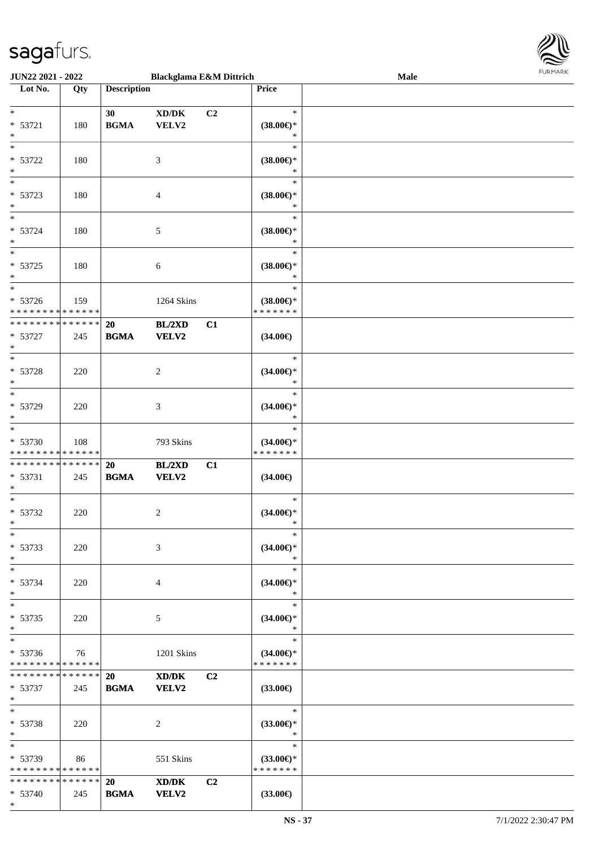\*



| JUN22 2021 - 2022                          |     |                    | <b>Blackglama E&amp;M Dittrich</b> |                |                          | Male |  |
|--------------------------------------------|-----|--------------------|------------------------------------|----------------|--------------------------|------|--|
| Lot No.                                    | Qty | <b>Description</b> |                                    |                | Price                    |      |  |
|                                            |     |                    |                                    |                |                          |      |  |
| $\ast$                                     |     | 30                 | XD/DK                              | C <sub>2</sub> | $\ast$                   |      |  |
| * 53721                                    | 180 | <b>BGMA</b>        | VELV2                              |                | $(38.00\epsilon)$ *      |      |  |
| $\ast$                                     |     |                    |                                    |                | $\ast$                   |      |  |
| $\ast$                                     |     |                    |                                    |                | $\ast$                   |      |  |
| $* 53722$                                  | 180 |                    | 3                                  |                | $(38.00\epsilon)$ *      |      |  |
| $\ast$                                     |     |                    |                                    |                | $\ast$                   |      |  |
| $\overline{\ast}$                          |     |                    |                                    |                | $\ast$                   |      |  |
| * 53723                                    |     |                    |                                    |                |                          |      |  |
| $*$                                        | 180 |                    | $\overline{4}$                     |                | $(38.00\epsilon)$ *<br>* |      |  |
| $\ast$                                     |     |                    |                                    |                |                          |      |  |
|                                            |     |                    |                                    |                | $\ast$                   |      |  |
| * 53724                                    | 180 |                    | 5                                  |                | $(38.00\epsilon)$ *      |      |  |
| $\ast$                                     |     |                    |                                    |                | $\ast$                   |      |  |
| $\ast$                                     |     |                    |                                    |                | $\ast$                   |      |  |
| $* 53725$                                  | 180 |                    | 6                                  |                | $(38.00\epsilon)$ *      |      |  |
| $*$                                        |     |                    |                                    |                | $\ast$                   |      |  |
| $\ast$                                     |     |                    |                                    |                | $\ast$                   |      |  |
| $* 53726$                                  | 159 |                    | 1264 Skins                         |                | $(38.00\epsilon)$ *      |      |  |
| * * * * * * * * * * * * * * *              |     |                    |                                    |                | * * * * * * *            |      |  |
| * * * * * * * * * * * * * *                |     | 20                 | <b>BL/2XD</b>                      | C1             |                          |      |  |
| $* 53727$                                  | 245 | <b>BGMA</b>        | <b>VELV2</b>                       |                | $(34.00\epsilon)$        |      |  |
| $\ast$                                     |     |                    |                                    |                |                          |      |  |
| $\ast$                                     |     |                    |                                    |                | $\ast$                   |      |  |
| * 53728                                    | 220 |                    | 2                                  |                | $(34.00\epsilon)$ *      |      |  |
| $\ast$                                     |     |                    |                                    |                | $\ast$                   |      |  |
| $*$                                        |     |                    |                                    |                | $\ast$                   |      |  |
|                                            |     |                    |                                    |                |                          |      |  |
| * 53729                                    | 220 |                    | 3                                  |                | $(34.00\epsilon)$ *      |      |  |
| $*$                                        |     |                    |                                    |                | $\ast$                   |      |  |
| $\ast$                                     |     |                    |                                    |                | $\ast$                   |      |  |
| * 53730                                    | 108 |                    | 793 Skins                          |                | $(34.00\epsilon)$ *      |      |  |
| * * * * * * * * * * * * * *                |     |                    |                                    |                | * * * * * * *            |      |  |
| * * * * * * * * <mark>* * * * * * *</mark> |     | 20                 | <b>BL/2XD</b>                      | C1             |                          |      |  |
| $* 53731$                                  | 245 | <b>BGMA</b>        | <b>VELV2</b>                       |                | $(34.00\epsilon)$        |      |  |
| $\ast$                                     |     |                    |                                    |                |                          |      |  |
| $*$                                        |     |                    |                                    |                | $\ast$                   |      |  |
| * 53732                                    | 220 |                    | 2                                  |                | $(34.00\epsilon)$ *      |      |  |
| $*$                                        |     |                    |                                    |                | $\ast$                   |      |  |
| $\ast$                                     |     |                    |                                    |                | $\ast$                   |      |  |
| * 53733                                    | 220 |                    | 3                                  |                | $(34.00\epsilon)$ *      |      |  |
| $*$                                        |     |                    |                                    |                | $\ast$                   |      |  |
| $*$                                        |     |                    |                                    |                | $\ast$                   |      |  |
| * 53734                                    | 220 |                    | 4                                  |                | $(34.00€)$ *             |      |  |
| $*$                                        |     |                    |                                    |                | $\ast$                   |      |  |
| $*$                                        |     |                    |                                    |                | $\ast$                   |      |  |
| * 53735                                    |     |                    |                                    |                | $(34.00\epsilon)$ *      |      |  |
| $*$                                        | 220 |                    | 5                                  |                | $\ast$                   |      |  |
| $*$                                        |     |                    |                                    |                | $\ast$                   |      |  |
|                                            |     |                    |                                    |                |                          |      |  |
| $* 53736$                                  | 76  |                    | 1201 Skins                         |                | $(34.00\epsilon)$ *      |      |  |
| * * * * * * * * * * * * * *                |     |                    |                                    |                | * * * * * * *            |      |  |
| * * * * * * * * * * * * * * *              |     | <b>20</b>          | XD/DK                              | C2             |                          |      |  |
| * 53737                                    | 245 | <b>BGMA</b>        | VELV2                              |                | $(33.00\epsilon)$        |      |  |
| $*$                                        |     |                    |                                    |                |                          |      |  |
| $*$                                        |     |                    |                                    |                | $\ast$                   |      |  |
| $* 53738$                                  | 220 |                    | 2                                  |                | $(33.00\epsilon)$ *      |      |  |
| $*$                                        |     |                    |                                    |                | $\ast$                   |      |  |
| $*$                                        |     |                    |                                    |                | $\ast$                   |      |  |
| * 53739                                    | 86  |                    | 551 Skins                          |                | $(33.00€)$ *             |      |  |
| * * * * * * * * * * * * * *                |     |                    |                                    |                | * * * * * * *            |      |  |
| * * * * * * * * * * * * * * *              |     | 20                 | XD/DK                              | C2             |                          |      |  |
| * 53740                                    | 245 | <b>BGMA</b>        | <b>VELV2</b>                       |                | $(33.00\epsilon)$        |      |  |
|                                            |     |                    |                                    |                |                          |      |  |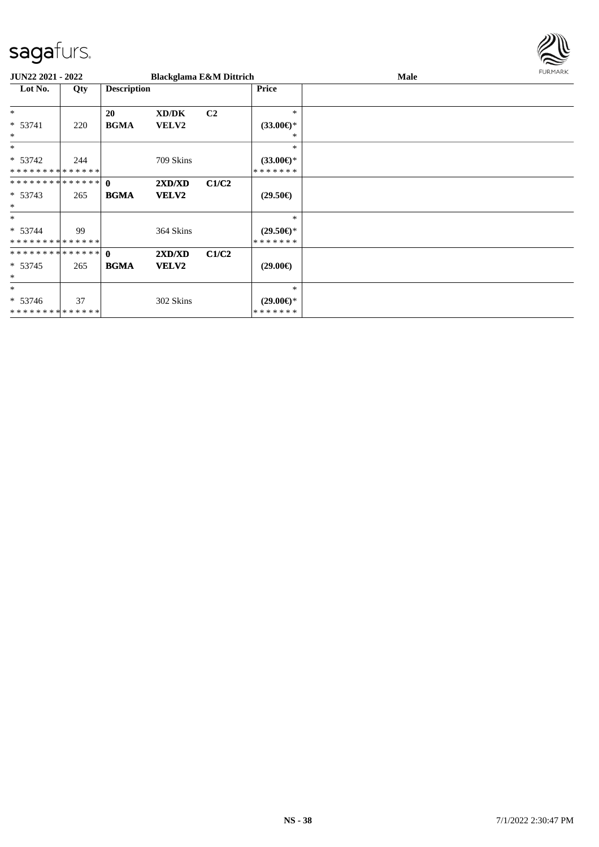

| <b>JUN22 2021 - 2022</b>                   |     |                    | <b>Blackglama E&amp;M Dittrich</b> |                |                                      | Male | <b>FURMARK</b> |
|--------------------------------------------|-----|--------------------|------------------------------------|----------------|--------------------------------------|------|----------------|
| Lot No.                                    | Qty | <b>Description</b> |                                    |                | <b>Price</b>                         |      |                |
| $\ast$                                     |     | <b>20</b>          | XD/DK                              | C <sub>2</sub> | $\ast$                               |      |                |
| * 53741<br>$\ast$                          | 220 | <b>BGMA</b>        | <b>VELV2</b>                       |                | $(33.00\epsilon)$ *<br>∗             |      |                |
| $*$                                        |     |                    |                                    |                | *                                    |      |                |
| $* 53742$<br>**************                | 244 |                    | 709 Skins                          |                | $(33.00\epsilon)$ *<br>* * * * * * * |      |                |
| ************** 0                           |     |                    | 2XD/XD                             | C1/C2          |                                      |      |                |
| $* 53743$<br>$\ast$                        | 265 | <b>BGMA</b>        | <b>VELV2</b>                       |                | $(29.50\epsilon)$                    |      |                |
| $\ast$                                     |     |                    |                                    |                | *                                    |      |                |
| $* 53744$<br>* * * * * * * * * * * * * * * | 99  |                    | 364 Skins                          |                | $(29.50\epsilon)$ *<br>* * * * * * * |      |                |
| ************** 0                           |     |                    | 2XD/XD                             | C1/C2          |                                      |      |                |
| $* 53745$<br>$\ast$                        | 265 | <b>BGMA</b>        | <b>VELV2</b>                       |                | $(29.00\epsilon)$                    |      |                |
| $\ast$                                     |     |                    |                                    |                | *                                    |      |                |
| $* 53746$<br>**************                | 37  |                    | 302 Skins                          |                | $(29.00 \in )$ *<br>* * * * * * *    |      |                |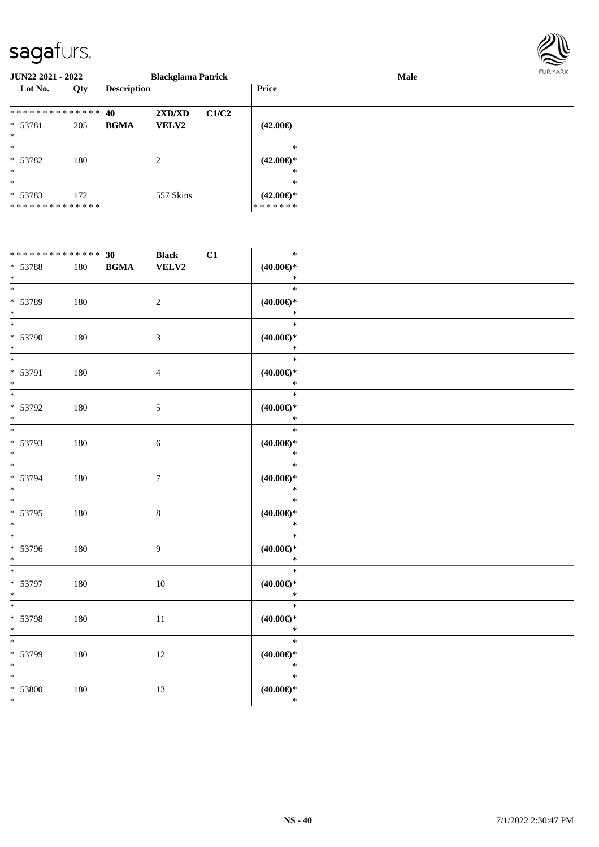

| <b>JUN22 2021 - 2022</b>    |     |                    | <b>Blackglama Patrick</b> |       |                                | <b>Male</b> | <b>FURMARK</b> |
|-----------------------------|-----|--------------------|---------------------------|-------|--------------------------------|-------------|----------------|
| Lot No.                     | Qty | <b>Description</b> |                           |       | Price                          |             |                |
| ************** 40           |     |                    | 2XD/XD                    | C1/C2 |                                |             |                |
| * 53781<br>$*$              | 205 | <b>BGMA</b>        | <b>VELV2</b>              |       | $(42.00\epsilon)$              |             |                |
| $\ast$                      |     |                    |                           |       | $\ast$                         |             |                |
| * 53782                     | 180 |                    | $\overline{2}$            |       | $(42.00\epsilon)$ *            |             |                |
| $*$                         |     |                    |                           |       | $\ast$                         |             |                |
| $*$                         |     |                    |                           |       | $\ast$                         |             |                |
| $* 53783$<br>************** | 172 |                    | 557 Skins                 |       | $(42.00\epsilon)$ *<br>******* |             |                |

| ******** <sup>*</sup> ****** <sup>20</sup> |     |             | <b>Black</b>     | C1 | $\ast$                                  |  |
|--------------------------------------------|-----|-------------|------------------|----|-----------------------------------------|--|
| * 53788<br>$\ast$                          | 180 | <b>BGMA</b> | VELV2            |    | $(40.00\epsilon)$ *<br>$\ast$           |  |
| $_{\ast}^{-}$                              |     |             |                  |    | $\ast$                                  |  |
| * 53789<br>$\ast$                          | 180 |             | $\sqrt{2}$       |    | $(40.00\epsilon)$ *<br>$\ast$           |  |
| $\overline{\phantom{a}^*}$                 |     |             |                  |    | $\ast$                                  |  |
| * 53790<br>$\ast$                          | 180 |             | $\mathfrak{Z}$   |    | $(40.00\epsilon)$ *<br>$\ast$           |  |
| $\ast$                                     |     |             |                  |    | $\ast$                                  |  |
| * 53791                                    | 180 |             | $\overline{4}$   |    | $(40.00\epsilon)$ *                     |  |
| $\ast$<br>$\overline{\phantom{a}}$         |     |             |                  |    | $\ast$                                  |  |
| * 53792                                    | 180 |             | $5\,$            |    | $\ast$<br>$(40.00\epsilon)$ *           |  |
| $\ast$                                     |     |             |                  |    | $\ast$                                  |  |
| * 53793                                    | 180 |             | $6\,$            |    | $\ast$<br>$(40.00\epsilon)$ *           |  |
| $*$<br>$\overline{\phantom{0}}$            |     |             |                  |    | $\ast$                                  |  |
| * 53794                                    | 180 |             | $\boldsymbol{7}$ |    | $\ast$<br>$(40.00\epsilon)$ *           |  |
| $\ast$<br>$\overline{\phantom{a}^*}$       |     |             |                  |    | $\ast$                                  |  |
| * 53795<br>$\ast$                          | 180 |             | $8\,$            |    | $\ast$<br>$(40.00\epsilon)$ *<br>$\ast$ |  |
| $\overline{\phantom{1}}$                   |     |             |                  |    | $\ast$                                  |  |
| * 53796<br>$\ast$                          | 180 |             | $\overline{9}$   |    | $(40.00\epsilon)$ *<br>$\ast$           |  |
| $\ast$                                     |     |             |                  |    | $\ast$                                  |  |
| * 53797<br>$\ast$                          | 180 |             | $10\,$           |    | $(40.00\epsilon)$ *<br>$\ast$           |  |
| $\ast$                                     |     |             |                  |    | $\ast$                                  |  |
| * 53798<br>$\ast$                          | 180 |             | $11\,$           |    | $(40.00\epsilon)$ *<br>$\ast$           |  |
| $\overline{\phantom{0}}$                   |     |             |                  |    | $\ast$                                  |  |
| * 53799<br>$\ast$                          | 180 |             | $12\,$           |    | $(40.00\epsilon)$ *<br>$\ast$           |  |
| $\overline{\phantom{0}}$                   |     |             |                  |    | $\overline{\ast}$                       |  |
| * 53800                                    | 180 |             | 13               |    | $(40.00\epsilon)$ *<br>$\ast$           |  |
| $\overline{\ }$                            |     |             |                  |    |                                         |  |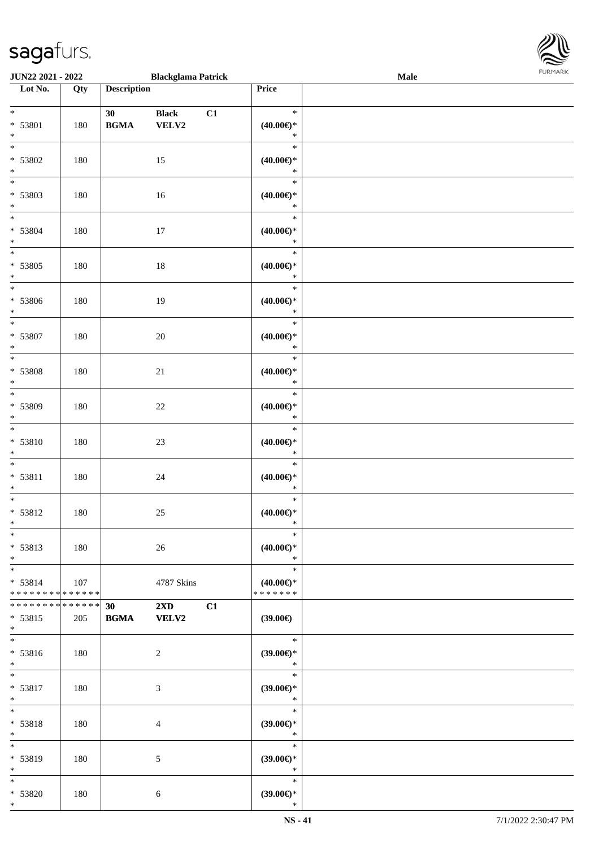\* \* \*

\* \* \*

\* \* \*

\* \* \*

\* \* \*

\* \* \*

\* \* \*

\* \* \*

\* \* \*

\* \* \*

> \* \* \*

\* \* \*

\* \* \*

\* \* <del>1</del>

\* \*

\* \* \*

\* \* \*

> \* \* \*

\* \* \*

\*

| <b>JUN22 2021 - 2022</b>                   |     |                    | <b>Blackglama Patrick</b> |    |                     | Male |  |
|--------------------------------------------|-----|--------------------|---------------------------|----|---------------------|------|--|
| Lot No.                                    | Qty | <b>Description</b> |                           |    | Price               |      |  |
|                                            |     |                    |                           |    |                     |      |  |
| $*$                                        |     | 30                 | <b>Black</b>              | C1 | $\ast$              |      |  |
| * 53801                                    | 180 | <b>BGMA</b>        | VELV2                     |    | $(40.00\epsilon)$ * |      |  |
| $\ast$                                     |     |                    |                           |    | $\ast$              |      |  |
| $\overline{\mathbf{r}}$                    |     |                    |                           |    | $\ast$              |      |  |
| * 53802                                    | 180 |                    | 15                        |    | $(40.00\epsilon)$ * |      |  |
| $\ast$                                     |     |                    |                           |    | $\ast$              |      |  |
| $\overline{\phantom{0}}$                   |     |                    |                           |    | $\ast$              |      |  |
| * 53803                                    | 180 |                    | 16                        |    | $(40.00\epsilon)$ * |      |  |
| $\ast$                                     |     |                    |                           |    | $\ast$              |      |  |
| $*$                                        |     |                    |                           |    | $\ast$              |      |  |
| * 53804                                    | 180 |                    | $17\,$                    |    | (40.00)             |      |  |
| $*$                                        |     |                    |                           |    | $\ast$              |      |  |
| $\overline{\ast}$                          |     |                    |                           |    | $\ast$              |      |  |
| * 53805                                    | 180 |                    | $18\,$                    |    | $(40.00\epsilon)$ * |      |  |
| $\ast$                                     |     |                    |                           |    | $\ast$              |      |  |
| $*$                                        |     |                    |                           |    | $\ast$              |      |  |
| * 53806                                    | 180 |                    | 19                        |    | (40.00)             |      |  |
| $*$                                        |     |                    |                           |    | $\ast$              |      |  |
| $\overline{\ast}$                          |     |                    |                           |    | $\ast$              |      |  |
| * 53807                                    | 180 |                    | 20                        |    | $(40.00\epsilon)$ * |      |  |
| $\ast$                                     |     |                    |                           |    | $\ast$              |      |  |
| $\overline{\ast}$                          |     |                    |                           |    | $\ast$              |      |  |
| * 53808                                    | 180 |                    | $21\,$                    |    | $(40.00\epsilon)$ * |      |  |
| $\ast$                                     |     |                    |                           |    | $\ast$              |      |  |
| $\overline{\ast}$                          |     |                    |                           |    | $\ast$              |      |  |
| * 53809                                    | 180 |                    | $22\,$                    |    | $(40.00\epsilon)$ * |      |  |
| $\ast$                                     |     |                    |                           |    | $\ast$              |      |  |
| $\ddot{x}$                                 |     |                    |                           |    | $\ast$              |      |  |
| $* 53810$                                  | 180 |                    | 23                        |    | $(40.00\epsilon)$ * |      |  |
| $\ast$                                     |     |                    |                           |    | $\ast$              |      |  |
| $\ast$                                     |     |                    |                           |    | $\ast$              |      |  |
| $* 53811$                                  | 180 |                    | $24\,$                    |    | $(40.00\epsilon)$ * |      |  |
| $\ast$                                     |     |                    |                           |    | $\ast$              |      |  |
| $\ast$                                     |     |                    |                           |    | $\ast$              |      |  |
| * 53812                                    | 180 |                    | $25\,$                    |    | $(40.00\epsilon)$ * |      |  |
| $*$                                        |     |                    |                           |    | $\ast$              |      |  |
| $\ast$                                     |     |                    |                           |    | $\ast$              |      |  |
| * 53813                                    | 180 |                    | 26                        |    | $(40.00\epsilon)$ * |      |  |
| $*$                                        |     |                    |                           |    | $\ast$              |      |  |
| $*$                                        |     |                    |                           |    | $\ast$              |      |  |
| $* 53814$                                  | 107 |                    | 4787 Skins                |    | $(40.00\epsilon)$ * |      |  |
| * * * * * * * * <mark>* * * * * * *</mark> |     |                    |                           |    | * * * * * * *       |      |  |
| * * * * * * * * <mark>* * * * * *</mark>   |     | 30                 | $2XD$ $C1$                |    |                     |      |  |
| * 53815                                    | 205 | <b>BGMA</b>        | <b>VELV2</b>              |    | (39.00)             |      |  |
| $\ast$                                     |     |                    |                           |    |                     |      |  |
| $\overline{\ast}$                          |     |                    |                           |    | $\ast$              |      |  |
| $* 53816$                                  | 180 |                    | 2                         |    | $(39.00\epsilon)$ * |      |  |
| $*$                                        |     |                    |                           |    | $\mathbb{R}^2$      |      |  |
| $\ddot{x}$                                 |     |                    |                           |    | $\ast$              |      |  |
| * 53817                                    | 180 |                    | $\mathfrak{Z}$            |    | $(39.00\epsilon)$ * |      |  |
| $*$                                        |     |                    |                           |    | $\ast$              |      |  |
| $*$ $-$                                    |     |                    |                           |    | $\ast$              |      |  |
| * 53818                                    | 180 |                    | $\overline{4}$            |    | $(39.00\epsilon)$ * |      |  |
| $\ast$                                     |     |                    |                           |    | $\ast$              |      |  |
| $*$                                        |     |                    |                           |    | $\ast$              |      |  |
| * 53819                                    | 180 |                    | 5                         |    | $(39.00\epsilon)$ * |      |  |
| $*$                                        |     |                    |                           |    | $\ast$              |      |  |
| $*$                                        |     |                    |                           |    | $\ast$              |      |  |
| * 53820                                    | 180 |                    | 6                         |    | $(39.00\epsilon)$ * |      |  |
|                                            |     |                    |                           |    |                     |      |  |

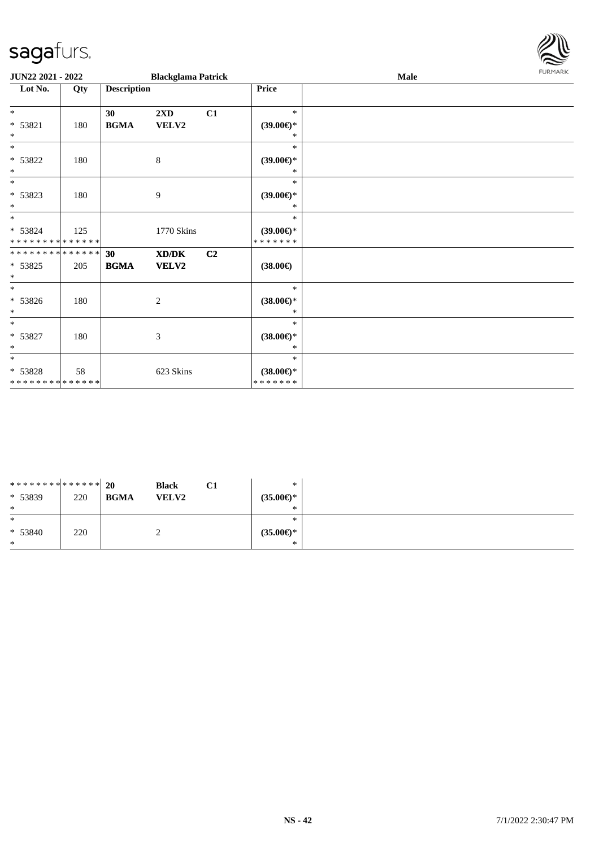

| JUN22 2021 - 2022                          |     |                                            | <b>Blackglama Patrick</b> |    |                                | Male | FURMARK |
|--------------------------------------------|-----|--------------------------------------------|---------------------------|----|--------------------------------|------|---------|
| Lot No.                                    | Qty | <b>Description</b>                         |                           |    | Price                          |      |         |
| $*$                                        |     | 30                                         | $2\mathbf{X}\mathbf{D}$   | C1 | $\ast$                         |      |         |
| * 53821<br>$*$                             | 180 | $\mathbf{B}\mathbf{G}\mathbf{M}\mathbf{A}$ | VELV2                     |    | $(39.00\epsilon)$ *<br>$\ast$  |      |         |
| $*$                                        |     |                                            |                           |    | $\ast$                         |      |         |
| * 53822<br>$*$                             | 180 |                                            | 8                         |    | $(39.00\epsilon)$ *<br>$\ast$  |      |         |
| $*$                                        |     |                                            |                           |    | $\ast$                         |      |         |
| $* 53823$<br>$*$                           | 180 |                                            | 9                         |    | $(39.00\epsilon)$ *<br>$\ast$  |      |         |
| $*$                                        |     |                                            |                           |    | $\ast$                         |      |         |
| $* 53824$<br>* * * * * * * * * * * * * * * | 125 |                                            | 1770 Skins                |    | $(39.00\epsilon)$ *<br>******* |      |         |
| * * * * * * * * * * * * * * *              |     | 30                                         | XD/DK                     | C2 |                                |      |         |
| $* 53825$<br>$\ast$                        | 205 | <b>BGMA</b>                                | VELV2                     |    | $(38.00\epsilon)$              |      |         |
| $*$                                        |     |                                            |                           |    | $\ast$                         |      |         |
| $* 53826$<br>$\ast$                        | 180 |                                            | $\overline{2}$            |    | $(38.00\epsilon)$ *<br>∗       |      |         |
| $\ast$                                     |     |                                            |                           |    | $\ast$                         |      |         |
| * 53827<br>$\ast$                          | 180 |                                            | 3                         |    | $(38.00\epsilon)$ *<br>$\ast$  |      |         |
| $*$                                        |     |                                            |                           |    | $\ast$                         |      |         |
| * 53828<br>* * * * * * * * * * * * * *     | 58  |                                            | 623 Skins                 |    | $(38.00\epsilon)$ *<br>******* |      |         |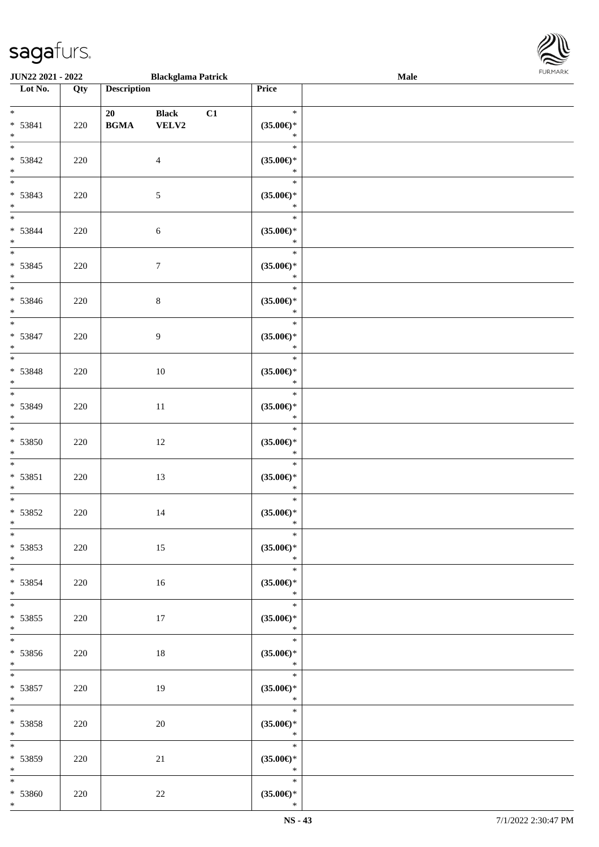\*

| JUN22 2021 - 2022                 |     |                                            | <b>Blackglama Patrick</b> |    |                               | <b>Male</b> |  |
|-----------------------------------|-----|--------------------------------------------|---------------------------|----|-------------------------------|-------------|--|
| Lot No.                           | Qty | <b>Description</b>                         |                           |    | Price                         |             |  |
|                                   |     |                                            |                           |    |                               |             |  |
| $\ast$                            |     | 20                                         | <b>Black</b>              | C1 | $\ast$                        |             |  |
| * 53841<br>$\ast$                 | 220 | $\mathbf{B}\mathbf{G}\mathbf{M}\mathbf{A}$ | VELV2                     |    | $(35.00\epsilon)$ *<br>$\ast$ |             |  |
| $\overline{\phantom{a}^*}$        |     |                                            |                           |    | $\ast$                        |             |  |
| * 53842                           | 220 |                                            | $\overline{4}$            |    | $(35.00\epsilon)$ *           |             |  |
| $\ast$                            |     |                                            |                           |    | $\ast$                        |             |  |
| $\overline{\phantom{0}}$          |     |                                            |                           |    | $\ast$                        |             |  |
| $* 53843$                         | 220 |                                            | $5\,$                     |    | $(35.00\epsilon)$ *           |             |  |
| $\ast$                            |     |                                            |                           |    | $\ast$                        |             |  |
| $\overline{\phantom{a}^*}$        |     |                                            |                           |    | $\ast$                        |             |  |
| * 53844                           | 220 |                                            | $6\,$                     |    | $(35.00\epsilon)$ *           |             |  |
| $\ast$<br>$\overline{\ast}$       |     |                                            |                           |    | $\ast$<br>$\ast$              |             |  |
| $* 53845$                         |     |                                            |                           |    |                               |             |  |
| $\ast$                            | 220 |                                            | $\boldsymbol{7}$          |    | $(35.00\epsilon)$ *<br>$\ast$ |             |  |
| $\overline{\phantom{a}}$          |     |                                            |                           |    | $\ast$                        |             |  |
| * 53846                           | 220 |                                            | $8\,$                     |    | $(35.00\epsilon)$ *           |             |  |
| $\ast$                            |     |                                            |                           |    | $\ast$                        |             |  |
| $\overline{\phantom{a}^*}$        |     |                                            |                           |    | $\ast$                        |             |  |
| * 53847                           | 220 |                                            | 9                         |    | $(35.00\epsilon)$ *           |             |  |
| $\ast$                            |     |                                            |                           |    | $\ast$                        |             |  |
| $_{\ast}^{-}$                     |     |                                            |                           |    | $\ast$                        |             |  |
| * 53848                           | 220 |                                            | 10                        |    | $(35.00\epsilon)$ *           |             |  |
| $\ast$<br>$_{\ast}^{-}$           |     |                                            |                           |    | $\ast$<br>$\ast$              |             |  |
| * 53849                           |     |                                            |                           |    |                               |             |  |
| $\ast$                            | 220 |                                            | $11\,$                    |    | $(35.00\epsilon)$ *<br>$\ast$ |             |  |
| $\overline{\phantom{a}^*}$        |     |                                            |                           |    | $\ast$                        |             |  |
| $* 53850$                         | 220 |                                            | $12\,$                    |    | $(35.00\in)\!\!^*$            |             |  |
| $\ast$                            |     |                                            |                           |    | $\ast$                        |             |  |
| $\ast$                            |     |                                            |                           |    | $\ast$                        |             |  |
| $* 53851$                         | 220 |                                            | 13                        |    | $(35.00\in)\!\!^*$            |             |  |
| $\ast$                            |     |                                            |                           |    | $\ast$                        |             |  |
| $\ast$                            |     |                                            |                           |    | $\ast$                        |             |  |
| $* 53852$<br>$*$                  | 220 |                                            | 14                        |    | $(35.00\epsilon)$ *<br>$\ast$ |             |  |
| $*$                               |     |                                            |                           |    | $\ast$                        |             |  |
| $* 53853$                         | 220 |                                            | 15                        |    | $(35.00\epsilon)$ *           |             |  |
| $*$                               |     |                                            |                           |    | $\ast$                        |             |  |
| $*$                               |     |                                            |                           |    | $\ast$                        |             |  |
| $* 53854$                         | 220 |                                            | 16                        |    | $(35.00\epsilon)$ *           |             |  |
| $*$                               |     |                                            |                           |    | $\ast$                        |             |  |
| $\ast$                            |     |                                            |                           |    | $\ast$                        |             |  |
| $* 53855$                         | 220 |                                            | 17                        |    | $(35.00\epsilon)$ *           |             |  |
| $*$<br>$\overline{\phantom{a}^*}$ |     |                                            |                           |    | $\ast$                        |             |  |
|                                   |     |                                            |                           |    | $\ast$                        |             |  |
| $* 53856$<br>$*$ and $*$          | 220 |                                            | $18\,$                    |    | $(35.00\epsilon)$ *<br>$\ast$ |             |  |
| $\ddot{x}$                        |     |                                            |                           |    | $\ast$                        |             |  |
| $* 53857$                         | 220 |                                            | 19                        |    | $(35.00\epsilon)$ *           |             |  |
| $*$                               |     |                                            |                           |    | $\ast$                        |             |  |
| $\ast$                            |     |                                            |                           |    | $\ast$                        |             |  |
| * 53858                           | 220 |                                            | 20                        |    | $(35.00\epsilon)$ *           |             |  |
| $*$                               |     |                                            |                           |    | $\ast$                        |             |  |
| $\ast$                            |     |                                            |                           |    | $\ast$                        |             |  |
| * 53859                           | 220 |                                            | 21                        |    | $(35.00\epsilon)$ *           |             |  |
| $*$ $-$                           |     |                                            |                           |    | $\ast$<br>$\ast$              |             |  |
| $*$                               |     |                                            |                           |    |                               |             |  |
| * 53860                           | 220 |                                            | $22\,$                    |    | $(35.00\epsilon)$ *           |             |  |

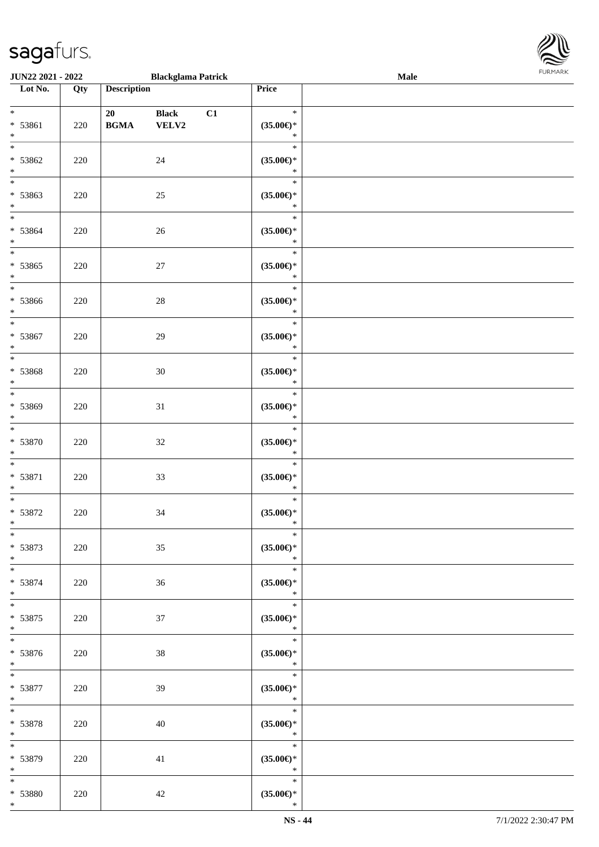\*

| <b>JUN22 2021 - 2022</b>                    |     |                    | <b>Blackglama Patrick</b>     |    |                                          | Male |  |
|---------------------------------------------|-----|--------------------|-------------------------------|----|------------------------------------------|------|--|
| Lot No.                                     | Qty | <b>Description</b> |                               |    | Price                                    |      |  |
| $*$<br>$* 53861$<br>$\ast$                  | 220 | 20<br><b>BGMA</b>  | <b>Black</b><br>${\bf VELV2}$ | C1 | $\ast$<br>$(35.00\epsilon)$ *<br>$\ast$  |      |  |
| * 53862<br>$\ast$                           | 220 |                    | 24                            |    | $\ast$<br>$(35.00\epsilon)$ *<br>$\ast$  |      |  |
| $\overline{\ }$<br>* 53863<br>$\ast$        | 220 |                    | 25                            |    | $\ast$<br>$(35.00\epsilon)$ *<br>$\ast$  |      |  |
| $*$<br>* 53864<br>$*$                       | 220 |                    | 26                            |    | $\ast$<br>$(35.00\epsilon)$ *<br>$\ast$  |      |  |
| $\overline{\ast}$<br>* 53865<br>$\ast$      | 220 |                    | 27                            |    | $\ast$<br>$(35.00\epsilon)$ *<br>$\ast$  |      |  |
| $*$<br>* 53866<br>$*$                       | 220 |                    | 28                            |    | $\ast$<br>$(35.00\epsilon)$ *<br>$\ast$  |      |  |
| $\overline{\phantom{0}}$<br>* 53867<br>$*$  | 220 |                    | 29                            |    | $\ast$<br>$(35.00\epsilon)$ *<br>$\ast$  |      |  |
| $\overline{\ast}$<br>* 53868<br>$\ast$      | 220 |                    | $30\,$                        |    | $\ast$<br>$(35.00\epsilon)$ *<br>$\ast$  |      |  |
| $\overline{\ast}$<br>* 53869<br>$\ast$      | 220 |                    | 31                            |    | $\ast$<br>$(35.00\epsilon)$ *<br>$\ast$  |      |  |
| $\ast$<br>* 53870<br>$*$                    | 220 |                    | 32                            |    | $\ast$<br>$(35.00\epsilon)$ *<br>$\ast$  |      |  |
| $\ddot{x}$<br>$* 53871$<br>$\ast$           | 220 |                    | 33                            |    | $\ast$<br>$(35.00\epsilon)$ *<br>$\ast$  |      |  |
| $\ast$<br>* 53872<br>$\ast$                 | 220 |                    | 34                            |    | $\ast$<br>$(35.00\epsilon)$ *<br>$\ast$  |      |  |
| $\ast$<br>$* 53873$<br>$*$                  | 220 |                    | 35                            |    | $\ast$<br>$(35.00\epsilon)$ *<br>$\ast$  |      |  |
| $\overline{\mathbf{r}}$<br>$* 53874$<br>$*$ | 220 |                    | 36                            |    | $\ast$<br>$(35.00\epsilon)$ *<br>$\ast$  |      |  |
| $\ddot{x}$<br>* 53875<br>$*$                | 220 |                    | 37                            |    | $\ast$<br>$(35.00\epsilon)$ *<br>$\ast$  |      |  |
| $*$<br>$* 53876$<br>$*$                     | 220 |                    | 38                            |    | $\ast$<br>$(35.00\epsilon)$ *<br>$\star$ |      |  |
| $*$<br>$* 53877$<br>$*$                     | 220 |                    | 39                            |    | $\ast$<br>$(35.00\epsilon)$ *<br>$\ast$  |      |  |
| $*$ and $*$<br>* 53878<br>$*$ $-$           | 220 |                    | 40                            |    | $\ast$<br>$(35.00\epsilon)$ *<br>$\ast$  |      |  |
| * 53879<br>$*$                              | 220 |                    | 41                            |    | $\ast$<br>$(35.00\epsilon)$ *<br>$\ast$  |      |  |
| $\ast$<br>* 53880                           | 220 |                    | 42                            |    | $\ast$<br>$(35.00\epsilon)$ *            |      |  |

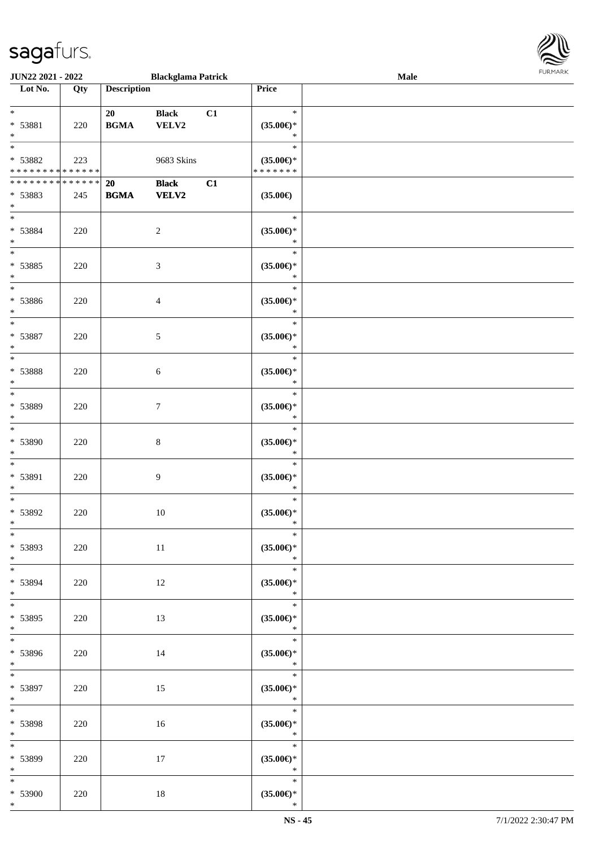

| <b>JUN22 2021 - 2022</b>                   |     |                    | <b>Blackglama Patrick</b> |    |                               | Male |  |
|--------------------------------------------|-----|--------------------|---------------------------|----|-------------------------------|------|--|
| Lot No.                                    | Qty | <b>Description</b> |                           |    | Price                         |      |  |
|                                            |     |                    |                           |    |                               |      |  |
| $*$                                        |     | 20                 | <b>Black</b>              | C1 | $\ast$                        |      |  |
| * 53881                                    | 220 | <b>BGMA</b>        | VELV2                     |    | $(35.00\epsilon)$ *           |      |  |
| $*$                                        |     |                    |                           |    | $\ast$                        |      |  |
| $\overline{\ast}$                          |     |                    |                           |    | $\ast$                        |      |  |
| * 53882                                    | 223 |                    | 9683 Skins                |    | $(35.00\epsilon)$ *           |      |  |
| * * * * * * * * * * * * * *                |     |                    |                           |    | * * * * * * *                 |      |  |
| * * * * * * * * <mark>* * * * * * *</mark> |     | <b>20</b>          | <b>Black</b>              | C1 |                               |      |  |
| * 53883                                    | 245 | <b>BGMA</b>        | <b>VELV2</b>              |    | $(35.00\epsilon)$             |      |  |
| $*$                                        |     |                    |                           |    |                               |      |  |
| $*$                                        |     |                    |                           |    | $\ast$                        |      |  |
| * 53884                                    | 220 |                    | $\overline{2}$            |    | $(35.00\epsilon)$ *           |      |  |
| $*$                                        |     |                    |                           |    | $\ast$                        |      |  |
| $*$                                        |     |                    |                           |    | $\ast$                        |      |  |
| * 53885                                    |     |                    |                           |    |                               |      |  |
| $\ast$                                     | 220 |                    | $\mathfrak{Z}$            |    | $(35.00\epsilon)$ *<br>$\ast$ |      |  |
| $\overline{\phantom{0}}$                   |     |                    |                           |    | $\ast$                        |      |  |
|                                            |     |                    |                           |    |                               |      |  |
| * 53886                                    | 220 |                    | $\overline{4}$            |    | $(35.00\epsilon)$ *           |      |  |
| $*$                                        |     |                    |                           |    | $\ast$<br>$\ast$              |      |  |
|                                            |     |                    |                           |    |                               |      |  |
| * 53887                                    | 220 |                    | 5                         |    | $(35.00\epsilon)$ *           |      |  |
| $*$<br>$*$                                 |     |                    |                           |    | $\ast$                        |      |  |
|                                            |     |                    |                           |    | $\ast$                        |      |  |
| * 53888                                    | 220 |                    | 6                         |    | $(35.00\epsilon)$ *           |      |  |
| $\ast$<br>$\overline{\phantom{0}}$         |     |                    |                           |    | $\ast$                        |      |  |
|                                            |     |                    |                           |    | $\ast$                        |      |  |
| * 53889                                    | 220 |                    | $\tau$                    |    | $(35.00\epsilon)$ *           |      |  |
| $*$                                        |     |                    |                           |    | $\ast$                        |      |  |
| $\overline{\ }$                            |     |                    |                           |    | $\ast$                        |      |  |
| * 53890                                    | 220 |                    | $\,8\,$                   |    | $(35.00\epsilon)$ *           |      |  |
| $*$                                        |     |                    |                           |    | $\ast$                        |      |  |
| $*$                                        |     |                    |                           |    | $\ast$                        |      |  |
| * 53891                                    | 220 |                    | 9                         |    | $(35.00\epsilon)$ *           |      |  |
| $*$                                        |     |                    |                           |    | $\ast$                        |      |  |
| $*$                                        |     |                    |                           |    | $\ast$                        |      |  |
| * 53892                                    | 220 |                    | 10                        |    | $(35.00\epsilon)$ *           |      |  |
| $*$                                        |     |                    |                           |    | $\ast$                        |      |  |
| $*$                                        |     |                    |                           |    | $\ast$                        |      |  |
| * 53893                                    | 220 |                    | 11                        |    | $(35.00\epsilon)$ *           |      |  |
| $*$                                        |     |                    |                           |    | $\ast$                        |      |  |
| $*$                                        |     |                    |                           |    | $\ast$                        |      |  |
| * 53894                                    | 220 |                    | 12                        |    | $(35.00\epsilon)$ *           |      |  |
| $*$                                        |     |                    |                           |    | $\ast$                        |      |  |
| $*$                                        |     |                    |                           |    | $\ast$                        |      |  |
| * 53895                                    | 220 |                    | 13                        |    | $(35.00\epsilon)$ *           |      |  |
| $*$                                        |     |                    |                           |    | $\ast$                        |      |  |
|                                            |     |                    |                           |    | $\ast$                        |      |  |
| * 53896                                    | 220 |                    | 14                        |    | $(35.00\epsilon)$ *           |      |  |
| $*$                                        |     |                    |                           |    | $\ast$                        |      |  |
| $*$                                        |     |                    |                           |    | $\ast$                        |      |  |
| * 53897                                    | 220 |                    | 15                        |    | $(35.00\epsilon)$ *           |      |  |
| $*$                                        |     |                    |                           |    | $\ast$                        |      |  |
| $*$ $*$                                    |     |                    |                           |    | $\ast$                        |      |  |
| * 53898                                    | 220 |                    | 16                        |    | $(35.00\epsilon)$ *           |      |  |
| $*$                                        |     |                    |                           |    | $\ast$                        |      |  |
| $*$                                        |     |                    |                           |    | $\ast$                        |      |  |
| * 53899                                    | 220 |                    | 17                        |    | $(35.00\epsilon)$ *           |      |  |
| $*$                                        |     |                    |                           |    | $\star$                       |      |  |
| $*$                                        |     |                    |                           |    | $\ast$                        |      |  |
| * 53900                                    | 220 |                    | 18                        |    | $(35.00\epsilon)$ *           |      |  |
| $*$                                        |     |                    |                           |    | $\ast$                        |      |  |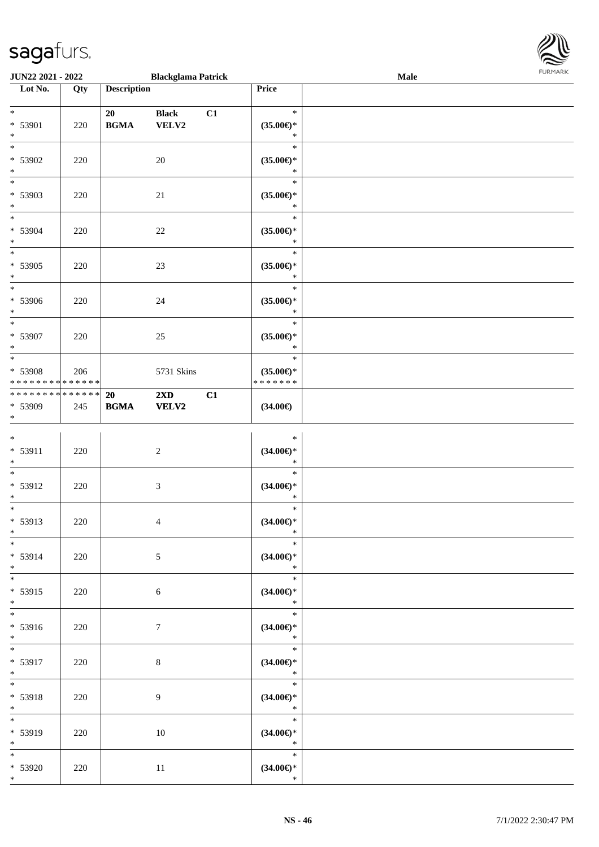| <b>JUN22 2021 - 2022</b>                                                   |         |                    | <b>Blackglama Patrick</b>               |    |                                                | Male |  |
|----------------------------------------------------------------------------|---------|--------------------|-----------------------------------------|----|------------------------------------------------|------|--|
| Lot No.                                                                    | Qty     | <b>Description</b> |                                         |    | Price                                          |      |  |
| $*$<br>* 53901<br>$\ast$                                                   | 220     | 20<br><b>BGMA</b>  | <b>Black</b><br>VELV2                   | C1 | $\ast$<br>$(35.00\epsilon)$ *<br>$\ast$        |      |  |
| $\overline{\phantom{0}}$<br>* 53902<br>$\ast$                              | 220     |                    | $20\,$                                  |    | $\ast$<br>$(35.00\epsilon)$ *<br>$\ast$        |      |  |
| * 53903<br>$\ast$                                                          | 220     |                    | 21                                      |    | $\ast$<br>$(35.00\epsilon)$ *<br>$\ast$        |      |  |
| $*$<br>* 53904<br>$*$                                                      | 220     |                    | 22                                      |    | $\ast$<br>$(35.00\epsilon)$ *<br>$\ast$        |      |  |
| $\overline{\ast}$<br>* 53905<br>$\ast$                                     | 220     |                    | 23                                      |    | $\ast$<br>$(35.00\epsilon)$ *<br>$\ast$        |      |  |
| $*$<br>* 53906<br>$*$                                                      | 220     |                    | 24                                      |    | $\ast$<br>$(35.00\epsilon)$ *<br>$\ast$        |      |  |
| $\overline{\ast}$<br>* 53907<br>$\ast$                                     | 220     |                    | 25                                      |    | $\ast$<br>$(35.00\epsilon)$ *<br>$\ast$        |      |  |
| $\overline{\ast}$<br>* 53908<br>* * * * * * * * <mark>* * * * * * *</mark> | 206     |                    | 5731 Skins                              |    | $\ast$<br>$(35.00\epsilon)$ *<br>* * * * * * * |      |  |
| * * * * * * * * <mark>* * * * * * *</mark><br>* 53909<br>$\ast$            | 245     | 20<br><b>BGMA</b>  | $2\mathbf{X}\mathbf{D}$<br><b>VELV2</b> | C1 | $(34.00\epsilon)$                              |      |  |
| $*$<br>$* 53911$<br>$\ast$                                                 | 220     |                    | 2                                       |    | $\ast$<br>$(34.00\epsilon)$ *<br>$\ast$        |      |  |
| $\ast$<br>* 53912<br>$\ast$                                                | 220     |                    | $\mathfrak{Z}$                          |    | $\ast$<br>$(34.00\epsilon)$ *<br>$\ast$        |      |  |
| $\overline{\phantom{0}}$<br>* 53913<br>$\ast$                              | $220\,$ |                    | $\overline{4}$                          |    | $\ast$<br>$(34.00\epsilon)$ *<br>$\ast$        |      |  |
| $\overline{\phantom{0}}$<br>* 53914<br>$*$                                 | 220     |                    | $\sqrt{5}$                              |    | $\ast$<br>$(34.00\mathsf{E})^*$<br>$\ast$      |      |  |
| $\overline{\mathbf{r}^*}$<br>* 53915<br>$*$                                | 220     |                    | $\sqrt{6}$                              |    | $\ast$<br>$(34.00\epsilon)$ *<br>$\ast$        |      |  |
| $*$<br>$* 53916$<br>$*$                                                    | 220     |                    | $\tau$                                  |    | $\ast$<br>$(34.00\epsilon)$ *<br>$\ast$        |      |  |
| $\overline{\ast}$<br>* 53917<br>$*$                                        | 220     |                    | $\,8\,$                                 |    | $\ast$<br>$(34.00\epsilon)$ *<br>$\ast$        |      |  |
| $\overline{\ast}$<br>* 53918<br>$*$                                        | 220     |                    | $\overline{9}$                          |    | $\ast$<br>$(34.00\epsilon)$ *<br>$\ast$        |      |  |
| $*$<br>* 53919<br>$*$                                                      | 220     |                    | 10                                      |    | $\ast$<br>$(34.00\epsilon)$ *<br>$\ast$        |      |  |
| $* 53920$<br>$*$                                                           | 220     |                    | 11                                      |    | $\ast$<br>$(34.00\in)^\ast$<br>$\ast$          |      |  |

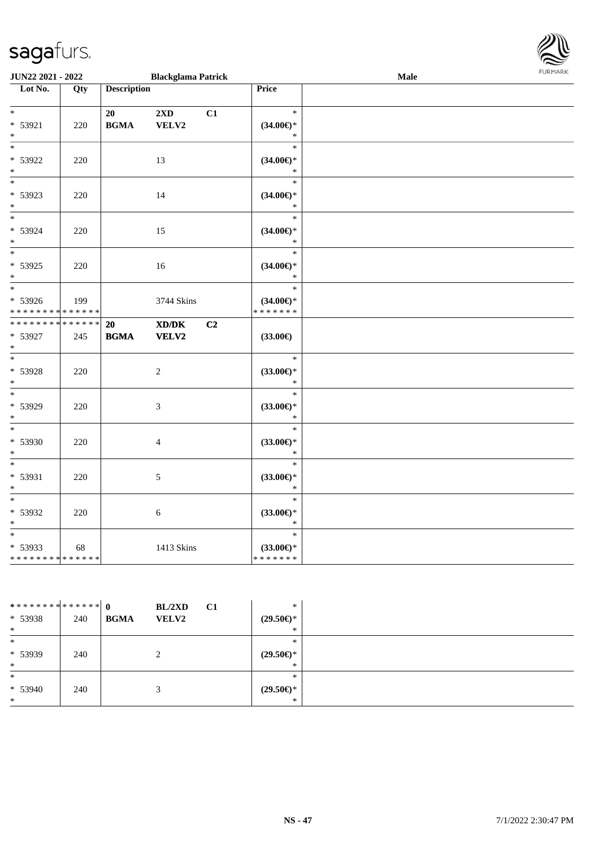| <b>JUN22 2021 - 2022</b>                                     | <b>Blackglama Patrick</b> |                    |                                                                     |    |                                                | <b>Male</b> |  |
|--------------------------------------------------------------|---------------------------|--------------------|---------------------------------------------------------------------|----|------------------------------------------------|-------------|--|
| Lot No.                                                      | Qty                       | <b>Description</b> |                                                                     |    | Price                                          |             |  |
| $\begin{array}{c c}\n\ast \\ \end{array}$<br>* 53921<br>$*$  | 220                       | 20<br><b>BGMA</b>  | $2\mathbf{X}\mathbf{D}$<br>VELV2                                    | C1 | $\ast$<br>$(34.00\epsilon)$ *<br>$\ast$        |             |  |
| $\overline{\phantom{0}}$<br>* 53922<br>$*$                   | 220                       |                    | 13                                                                  |    | $\ast$<br>$(34.00\epsilon)$ *<br>$\ast$        |             |  |
| $*$<br>* 53923<br>$*$                                        | 220                       |                    | 14                                                                  |    | $\ast$<br>$(34.00\epsilon)$ *<br>$\ast$        |             |  |
| * 53924<br>$*$                                               | 220                       |                    | 15                                                                  |    | $\ast$<br>$(34.00\epsilon)$ *<br>$\ast$        |             |  |
| $\overline{\phantom{0}}$<br>* 53925<br>$*$                   | 220                       |                    | 16                                                                  |    | $\ast$<br>$(34.00\epsilon)$ *<br>$\ast$        |             |  |
| $*$<br>* 53926<br>* * * * * * * * * * * * * *                | 199                       |                    | 3744 Skins                                                          |    | $\ast$<br>$(34.00\epsilon)$ *<br>* * * * * * * |             |  |
| * * * * * * * * <mark>* * * * * * *</mark><br>* 53927<br>$*$ | 245                       | 20<br><b>BGMA</b>  | $\boldsymbol{\text{X} \text{D} \text{/}\text{D} \text{K}}$<br>VELV2 | C2 | $(33.00\epsilon)$                              |             |  |
| $\overline{\phantom{0}}$<br>* 53928<br>$*$                   | 220                       |                    | $\overline{2}$                                                      |    | $\ast$<br>$(33.00\epsilon)$ *<br>$\ast$        |             |  |
| $\ast$<br>* 53929<br>$*$                                     | 220                       |                    | 3                                                                   |    | $\ast$<br>$(33.00\epsilon)$ *<br>$\ast$        |             |  |
| $*$<br>* 53930<br>$*$                                        | 220                       |                    | $\overline{4}$                                                      |    | $\ast$<br>$(33.00\epsilon)$ *<br>$\ast$        |             |  |
| $*$<br>* 53931<br>$*$                                        | 220                       |                    | $\mathfrak{S}$                                                      |    | $\ast$<br>$(33.00\epsilon)$ *<br>$\ast$        |             |  |
| $\overline{\phantom{0}}$<br>* 53932<br>$*$                   | 220                       |                    | 6                                                                   |    | $\ast$<br>$(33.00\epsilon)$ *<br>$\ast$        |             |  |
| * 53933<br>* * * * * * * * <mark>* * * * * * *</mark>        | 68                        |                    | 1413 Skins                                                          |    | $\ast$<br>$(33.00\epsilon)$ *<br>* * * * * * * |             |  |

| ************** 0 |     | BL/2XD                      | <b>C1</b> | $\ast$              |  |
|------------------|-----|-----------------------------|-----------|---------------------|--|
| * 53938          | 240 | <b>BGMA</b><br><b>VELV2</b> |           | $(29.50\epsilon)$ * |  |
| $\ast$           |     |                             |           | $*$                 |  |
| $\ast$           |     |                             |           | *                   |  |
| * 53939          | 240 | ◠<br>∠                      |           | $(29.50\epsilon)$ * |  |
| $\ast$           |     |                             |           | $\ast$              |  |
| $\ast$           |     |                             |           | $\ast$              |  |
| $* 53940$        | 240 |                             |           | $(29.50\epsilon)$ * |  |
| $\ast$           |     |                             |           | $\ast$              |  |

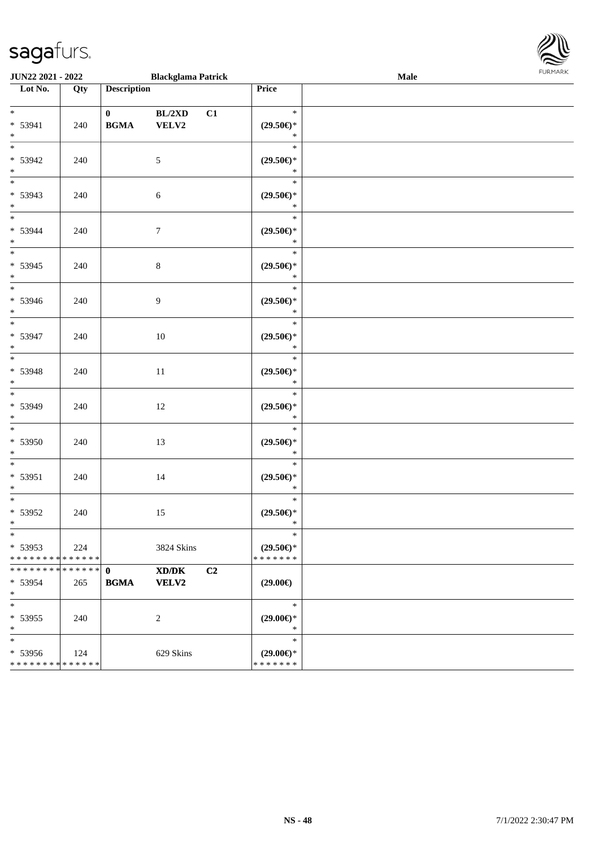\*

| <b>JUN22 2021 - 2022</b>                             |     | <b>Blackglama Patrick</b>                            |                                                                        | <b>Male</b> |  |
|------------------------------------------------------|-----|------------------------------------------------------|------------------------------------------------------------------------|-------------|--|
| Lot No.                                              | Qty | <b>Description</b>                                   | Price                                                                  |             |  |
| $*$<br>* 53941<br>$\ast$                             | 240 | BL/2XD<br>$\mathbf{0}$<br>C1<br>VELV2<br><b>BGMA</b> | $\ast$<br>$(29.50\epsilon)$ *<br>$\ast$                                |             |  |
| $\overline{\phantom{a}^*}$<br>* 53942<br>$\ast$      | 240 | $5\,$                                                | $\ast$<br>$(29.50\mathnormal{\in}\mathcal{)^{\! \! \times}}$<br>$\ast$ |             |  |
| $\overline{\phantom{0}}$<br>* 53943<br>$\ast$        | 240 | $\sqrt{6}$                                           | $\ast$<br>$(29.50\epsilon)$ *<br>$\ast$                                |             |  |
| $\overline{\phantom{0}}$<br>* 53944<br>$\ast$        | 240 | $\boldsymbol{7}$                                     | $\ast$<br>$(29.50\epsilon)$ *<br>$\ast$                                |             |  |
| $\overline{\ast}$<br>$* 53945$<br>$*$                | 240 | $8\,$                                                | $\ast$<br>$(29.50\epsilon)$ *<br>$\ast$                                |             |  |
| $\overline{\phantom{1}}$<br>* 53946<br>$*$           | 240 | 9                                                    | $\ast$<br>$(29.50\epsilon)$ *<br>$\ast$                                |             |  |
| $\frac{1}{*}$<br>* 53947<br>$\ast$                   | 240 | $10\,$                                               | $\ast$<br>$(29.50\epsilon)$ *<br>$\ast$                                |             |  |
| $\overline{\phantom{0}}$<br>* 53948<br>$\ast$        | 240 | 11                                                   | $\ast$<br>$(29.50\epsilon)$ *<br>$\ast$                                |             |  |
| $\overline{\phantom{0}}$<br>* 53949<br>$\ast$        | 240 | 12                                                   | $\ast$<br>$(29.50\epsilon)$ *<br>$\ast$                                |             |  |
| $\overline{\phantom{a}^*}$<br>$* 53950$<br>$\ast$    | 240 | 13                                                   | $\ast$<br>$(29.50\epsilon)$ *<br>$\ast$                                |             |  |
| $\ast$<br>$* 53951$<br>$*$                           | 240 | 14                                                   | $\ast$<br>$(29.50\mathnormal{\in}\mathcal{)^{\! \! \times}}$<br>$\ast$ |             |  |
| $\ast$<br>* 53952<br>$*$                             | 240 | 15                                                   | $\ast$<br>$(29.50\epsilon)$ *<br>$\ast$                                |             |  |
| $\ast$<br>$* 53953$<br>* * * * * * * * * * * * * * * | 224 | 3824 Skins                                           | $\ast$<br>$(29.50 \in )^*$<br>* * * * * * *                            |             |  |
| * * * * * * * * * * * * * * *<br>$* 53954$<br>$*$    | 265 | $\mathbf{0}$<br>XD/DK<br>C2<br><b>BGMA</b><br>VELV2  | $(29.00\epsilon)$                                                      |             |  |
| $\ast$<br>$* 53955$<br>$\ast$                        | 240 | 2                                                    | $\ast$<br>$(29.00\epsilon)$ *<br>$\ast$                                |             |  |
| $\ast$<br>$* 53956$<br>* * * * * * * * * * * * * *   | 124 | 629 Skins                                            | $\ast$<br>$(29.00\epsilon)$ *<br>* * * * * * *                         |             |  |

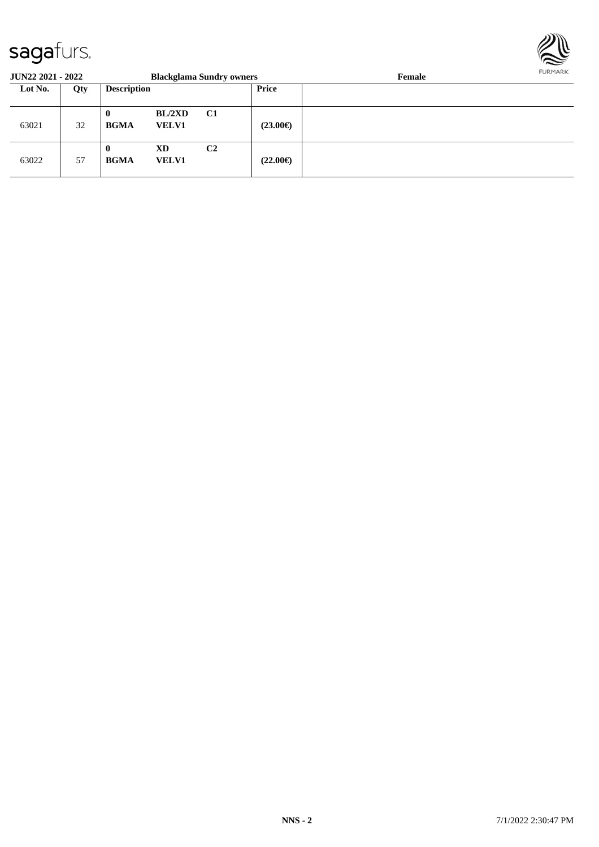

| <b>JUN22 2021 - 2022</b> |     |                         |                           | <b>Blackglama Sundry owners</b> |                   | Female | <b>FURMARK</b> |
|--------------------------|-----|-------------------------|---------------------------|---------------------------------|-------------------|--------|----------------|
| Lot No.                  | Qty | <b>Description</b>      |                           |                                 | <b>Price</b>      |        |                |
| 63021                    | 32  | $\bf{0}$<br><b>BGMA</b> | BL/2XD<br><b>VELV1</b>    | C1                              | $(23.00\epsilon)$ |        |                |
| 63022                    | 57  | $\bf{0}$<br><b>BGMA</b> | <b>XD</b><br><b>VELV1</b> | C <sub>2</sub>                  | $(22.00\epsilon)$ |        |                |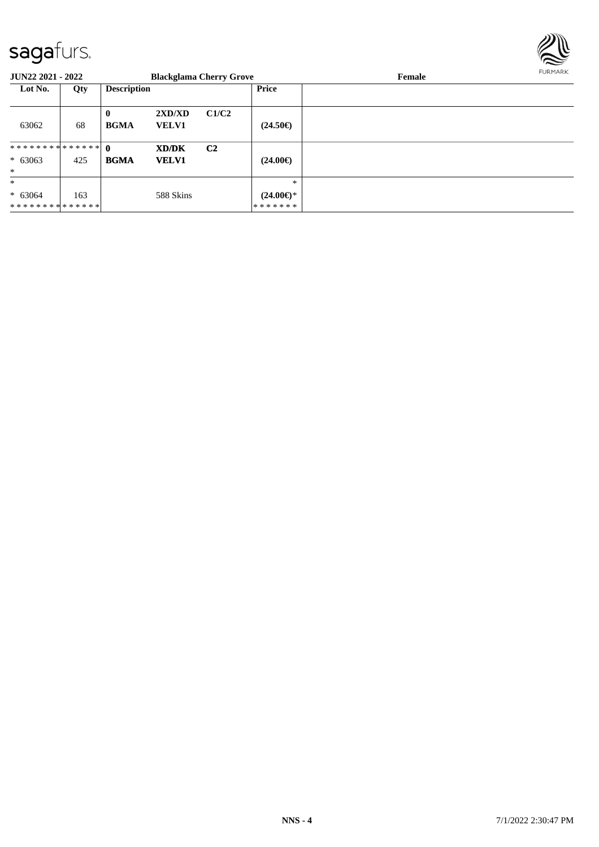

| JUN22 2021 - 2022           |     | <b>Blackglama Cherry Grove</b> |                        |                |                                | Female | FURMARK |
|-----------------------------|-----|--------------------------------|------------------------|----------------|--------------------------------|--------|---------|
| Lot No.                     | Qty | <b>Description</b>             |                        |                | <b>Price</b>                   |        |         |
| 63062                       | 68  | $\bf{0}$<br><b>BGMA</b>        | 2XD/XD<br><b>VELV1</b> | C1/C2          | $(24.50\epsilon)$              |        |         |
|                             |     |                                | <b>XD/DK</b>           | C <sub>2</sub> |                                |        |         |
| $* 63063$                   | 425 | <b>BGMA</b>                    | <b>VELV1</b>           |                | $(24.00\epsilon)$              |        |         |
| $*$                         |     |                                |                        |                |                                |        |         |
| $\ast$                      |     |                                |                        |                | $\ast$                         |        |         |
| $* 63064$<br>************** | 163 |                                | 588 Skins              |                | $(24.00\epsilon)$ *<br>******* |        |         |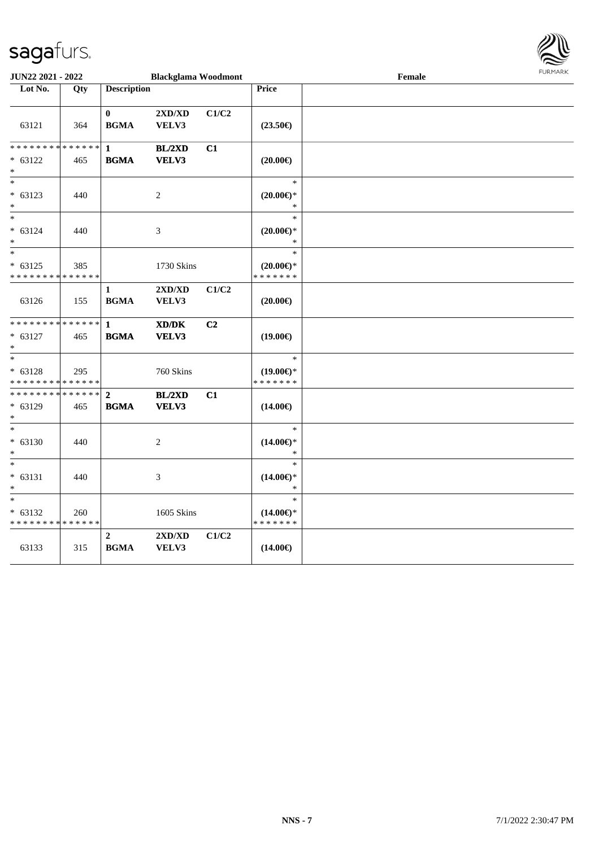

| <b>JUN22 2021 - 2022</b>                                |     |                               | <b>Blackglama Woodmont</b> |       |                                         | Female |  |
|---------------------------------------------------------|-----|-------------------------------|----------------------------|-------|-----------------------------------------|--------|--|
| Lot No.                                                 | Qty | <b>Description</b>            |                            |       | Price                                   |        |  |
|                                                         |     |                               |                            |       |                                         |        |  |
|                                                         |     | $\mathbf{0}$                  | 2XD/XD                     | C1/C2 |                                         |        |  |
| 63121                                                   | 364 | <b>BGMA</b>                   | VELV3                      |       | $(23.50\epsilon)$                       |        |  |
| * * * * * * * * <mark>* * * * * * *</mark>              |     | 1                             | BL/2XD                     | C1    |                                         |        |  |
| $* 63122$                                               | 465 | <b>BGMA</b>                   | VELV3                      |       | $(20.00\epsilon)$                       |        |  |
| $\ast$                                                  |     |                               |                            |       |                                         |        |  |
| $\ast$                                                  |     |                               |                            |       | $\ast$                                  |        |  |
| $* 63123$                                               | 440 |                               | $\overline{c}$             |       | $(20.00\epsilon)$ *                     |        |  |
|                                                         |     |                               |                            |       | $\ast$                                  |        |  |
| $*$                                                     |     |                               |                            |       | $\ast$                                  |        |  |
| $* 63124$                                               | 440 |                               | 3                          |       | $(20.00\epsilon)$ *                     |        |  |
| $\ast$                                                  |     |                               |                            |       | $\ast$                                  |        |  |
| $\ast$                                                  |     |                               |                            |       | $\ast$                                  |        |  |
| $* 63125$<br>* * * * * * * * <mark>* * * * * * *</mark> | 385 |                               | 1730 Skins                 |       | $(20.00\varepsilon)$ *<br>* * * * * * * |        |  |
|                                                         |     | $\mathbf{1}$                  | 2XD/XD                     | C1/C2 |                                         |        |  |
| 63126                                                   | 155 | <b>BGMA</b>                   | VELV3                      |       | $(20.00\epsilon)$                       |        |  |
|                                                         |     |                               |                            |       |                                         |        |  |
| * * * * * * * * <mark>* * * * * * *</mark>              |     | $\mathbf{1}$                  | XD/DK                      | C2    |                                         |        |  |
| $* 63127$                                               | 465 | <b>BGMA</b>                   | VELV3                      |       | $(19.00\epsilon)$                       |        |  |
| $\ast$                                                  |     |                               |                            |       |                                         |        |  |
| $\overline{\ast}$                                       |     |                               |                            |       | $\ast$                                  |        |  |
| $* 63128$                                               | 295 |                               | 760 Skins                  |       | $(19.00\epsilon)$ *                     |        |  |
| * * * * * * * * * * * * * * *                           |     |                               |                            |       | * * * * * * *                           |        |  |
| * * * * * * * * * * * * * * *                           |     | $\overline{2}$                | BL/2XD                     | C1    |                                         |        |  |
| $* 63129$<br>$*$                                        | 465 | <b>BGMA</b>                   | VELV3                      |       | $(14.00\epsilon)$                       |        |  |
| $\ast$                                                  |     |                               |                            |       | $\ast$                                  |        |  |
| $* 63130$                                               | 440 |                               | 2                          |       | $(14.00\epsilon)$ *                     |        |  |
|                                                         |     |                               |                            |       | $\ast$                                  |        |  |
| $*$                                                     |     |                               |                            |       | $\ast$                                  |        |  |
| $* 63131$                                               | 440 |                               | 3                          |       | $(14.00\epsilon)$ *                     |        |  |
| $\ast$                                                  |     |                               |                            |       | $\ast$                                  |        |  |
| $\ast$                                                  |     |                               |                            |       | $\ast$                                  |        |  |
| $* 63132$                                               | 260 |                               | 1605 Skins                 |       | $(14.00\epsilon)$ *                     |        |  |
| * * * * * * * * <mark>* * * * * * *</mark>              |     |                               |                            |       | * * * * * * *                           |        |  |
| 63133                                                   | 315 | $\overline{2}$<br><b>BGMA</b> | 2XD/XD<br>VELV3            | C1/C2 | $(14.00\epsilon)$                       |        |  |
|                                                         |     |                               |                            |       |                                         |        |  |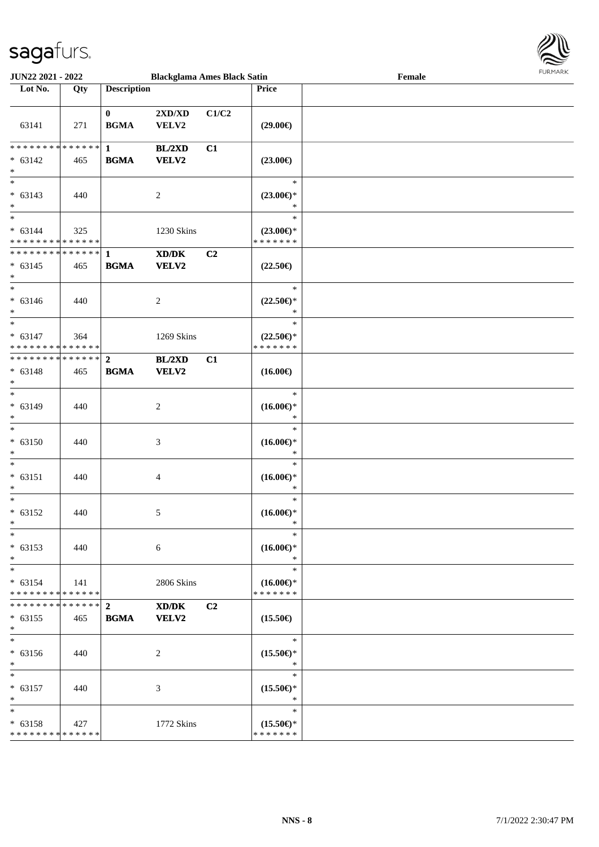

| <b>JUN22 2021 - 2022</b>                                     |     |                             | <b>Blackglama Ames Black Satin</b>        |                |                                                | Female | 1.91111111 |
|--------------------------------------------------------------|-----|-----------------------------|-------------------------------------------|----------------|------------------------------------------------|--------|------------|
| Lot No.                                                      | Qty | <b>Description</b>          |                                           |                | Price                                          |        |            |
| 63141                                                        | 271 | $\mathbf{0}$<br><b>BGMA</b> | $2{\bf X}{\bf D}/{\bf X}{\bf D}$<br>VELV2 | C1/C2          | $(29.00\epsilon)$                              |        |            |
| $* 63142$<br>$*$                                             | 465 | <b>BGMA</b>                 | <b>BL/2XD</b><br><b>VELV2</b>             | C1             | $(23.00\epsilon)$                              |        |            |
| $* 63143$<br>$\ast$                                          | 440 |                             | 2                                         |                | $\ast$<br>$(23.00\epsilon)$ *<br>$\ast$        |        |            |
| $* 63144$<br>* * * * * * * * <mark>* * * * * * *</mark>      | 325 |                             | 1230 Skins                                |                | $\ast$<br>$(23.00\epsilon)$ *<br>* * * * * * * |        |            |
| $* 63145$<br>$\ast$<br>$*$                                   | 465 | <b>BGMA</b>                 | XD/DK<br><b>VELV2</b>                     | C <sub>2</sub> | $(22.50\epsilon)$                              |        |            |
| $* 63146$<br>$\ast$<br>$\ast$                                | 440 |                             | $\overline{2}$                            |                | $\ast$<br>$(22.50\epsilon)$ *<br>$\ast$        |        |            |
| $* 63147$<br>* * * * * * * * <mark>* * * * * * *</mark>      | 364 |                             | 1269 Skins                                |                | $\ast$<br>$(22.50\epsilon)$ *<br>* * * * * * * |        |            |
| $* 63148$<br>$*$<br>$\overline{\phantom{0}}$                 | 465 | <b>BGMA</b>                 | BL/2XD<br>VELV2                           | C1             | $(16.00\epsilon)$                              |        |            |
| $* 63149$<br>$\ast$<br>$\ast$                                | 440 |                             | 2                                         |                | $\ast$<br>$(16.00\epsilon)$ *<br>$\ast$        |        |            |
| $* 63150$<br>$\ast$<br>$\ast$                                | 440 |                             | 3                                         |                | $\ast$<br>$(16.00\epsilon)$ *<br>$\ast$        |        |            |
| $* 63151$<br>$\ast$<br>$\ast$                                | 440 |                             | 4                                         |                | $\ast$<br>$(16.00\epsilon)$ *<br>$*$<br>$\ast$ |        |            |
| $* 63152$<br>$\ast$<br>$*$                                   | 440 |                             | 5                                         |                | $(16.00\epsilon)$ *<br>$\ast$<br>$\ast$        |        |            |
| $* 63153$<br>$*$<br>$\ast$                                   | 440 |                             | 6                                         |                | $(16.00\epsilon)$ *<br>$\ast$<br>$\ast$        |        |            |
| $* 63154$<br>* * * * * * * * * * * * * * <mark>*</mark>      | 141 |                             | 2806 Skins                                |                | $(16.00\epsilon)$ *<br>* * * * * * *           |        |            |
| $* 63155$<br>$\ast$                                          | 465 | <b>BGMA</b>                 | XD/DK<br><b>VELV2</b>                     | C2             | $(15.50\epsilon)$                              |        |            |
| $\ast$<br>$* 63156$<br>$\ast$                                | 440 |                             | 2                                         |                | $\ast$<br>$(15.50\epsilon)$ *<br>$\ast$        |        |            |
| $\ast$<br>$* 63157$<br>$\ast$                                | 440 |                             | 3                                         |                | $\ast$<br>$(15.50\epsilon)$ *<br>$\ast$        |        |            |
| $*$<br>$* 63158$<br>* * * * * * * * <mark>* * * * * *</mark> | 427 |                             | 1772 Skins                                |                | $\ast$<br>$(15.50\epsilon)$ *<br>* * * * * * * |        |            |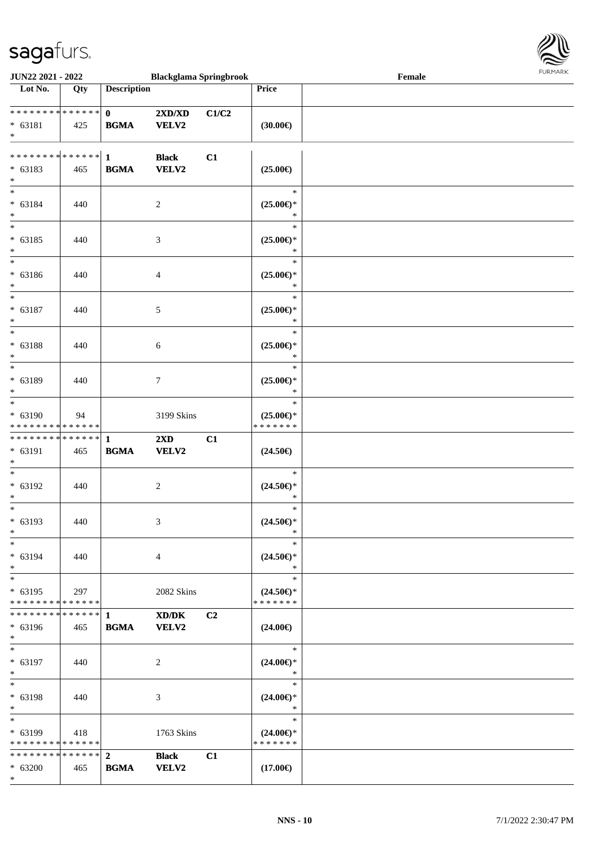

| JUN22 2021 - 2022                    |        |                    | <b>Blackglama Springbrook</b>                                                                        |       |                     | Female | 1.91111111 |
|--------------------------------------|--------|--------------------|------------------------------------------------------------------------------------------------------|-------|---------------------|--------|------------|
| $\overline{\phantom{1}}$ Lot No.     | Qty    | <b>Description</b> |                                                                                                      |       | Price               |        |            |
|                                      |        |                    |                                                                                                      |       |                     |        |            |
| **************                       |        | $\mathbf{0}$       | $2{\bf X}{\bf D}/{\bf X}{\bf D}$                                                                     | C1/C2 |                     |        |            |
| $* 63181$                            | 425    | <b>BGMA</b>        | <b>VELV2</b>                                                                                         |       | $(30.00\epsilon)$   |        |            |
| $*$                                  |        |                    |                                                                                                      |       |                     |        |            |
|                                      |        |                    |                                                                                                      |       |                     |        |            |
| ************** 1                     |        |                    | <b>Black</b>                                                                                         | C1    |                     |        |            |
| $* 63183$                            | 465    | <b>BGMA</b>        | VELV2                                                                                                |       | $(25.00\epsilon)$   |        |            |
| $*$                                  |        |                    |                                                                                                      |       |                     |        |            |
| $\ast$                               |        |                    |                                                                                                      |       | $\ast$              |        |            |
| $* 63184$                            | 440    |                    | $\overline{c}$                                                                                       |       | $(25.00\epsilon)$ * |        |            |
| $\ast$                               |        |                    |                                                                                                      |       | $\ast$              |        |            |
| $\overline{\ast}$                    |        |                    |                                                                                                      |       | $\ast$              |        |            |
|                                      |        |                    |                                                                                                      |       |                     |        |            |
| $* 63185$                            | 440    |                    | 3                                                                                                    |       | $(25.00\epsilon)$ * |        |            |
| $\ast$<br>$\overline{\phantom{a}^*}$ |        |                    |                                                                                                      |       | $\ast$              |        |            |
|                                      |        |                    |                                                                                                      |       | $\ast$              |        |            |
| $* 63186$                            | 440    |                    | 4                                                                                                    |       | $(25.00\epsilon)$ * |        |            |
| $\ast$                               |        |                    |                                                                                                      |       | $\ast$              |        |            |
| $\ast$                               |        |                    |                                                                                                      |       | $\ast$              |        |            |
| $* 63187$                            | 440    |                    | 5                                                                                                    |       | $(25.00\epsilon)$ * |        |            |
| $\ast$                               |        |                    |                                                                                                      |       | $\ast$              |        |            |
| $\ast$                               |        |                    |                                                                                                      |       | $\ast$              |        |            |
| * 63188                              | 440    |                    | 6                                                                                                    |       | $(25.00\epsilon)$ * |        |            |
| $\ast$                               |        |                    |                                                                                                      |       | $\ast$              |        |            |
| $\overline{\phantom{1}}$             |        |                    |                                                                                                      |       | $\ast$              |        |            |
| $* 63189$                            | 440    |                    | 7                                                                                                    |       | $(25.00\epsilon)$ * |        |            |
| $*$                                  |        |                    |                                                                                                      |       | $\ast$              |        |            |
| $\ast$                               |        |                    |                                                                                                      |       | $\ast$              |        |            |
| $* 63190$                            | 94     |                    | 3199 Skins                                                                                           |       | $(25.00\epsilon)$ * |        |            |
| * * * * * * * * * * * * * *          |        |                    |                                                                                                      |       | * * * * * * *       |        |            |
| **************                       |        | $\mathbf{1}$       | 2XD                                                                                                  | C1    |                     |        |            |
|                                      |        |                    |                                                                                                      |       |                     |        |            |
| * 63191                              | 465    | <b>BGMA</b>        | <b>VELV2</b>                                                                                         |       | $(24.50\epsilon)$   |        |            |
| $*$                                  |        |                    |                                                                                                      |       |                     |        |            |
| $\ast$                               |        |                    |                                                                                                      |       | $\ast$              |        |            |
| $* 63192$                            | 440    |                    | 2                                                                                                    |       | $(24.50\epsilon)$ * |        |            |
| $\ast$                               |        |                    |                                                                                                      |       | ∗                   |        |            |
| $*$                                  |        |                    |                                                                                                      |       | $\ast$              |        |            |
| $* 63193$                            | 440    |                    | 3                                                                                                    |       | $(24.50\epsilon)$ * |        |            |
| $\ast$                               |        |                    |                                                                                                      |       | $\ast$              |        |            |
| $\ast$                               |        |                    |                                                                                                      |       | $\ast$              |        |            |
| * 63194                              | 440    |                    | $\overline{4}$                                                                                       |       | $(24.50\epsilon)$ * |        |            |
| $\ast$                               |        |                    |                                                                                                      |       | $\ast$              |        |            |
| $\ast$                               |        |                    |                                                                                                      |       | $\ast$              |        |            |
| $* 63195$                            | 297    |                    | 2082 Skins                                                                                           |       | $(24.50\epsilon)$ * |        |            |
| * * * * * * * * * * * * * *          |        |                    |                                                                                                      |       | * * * * * * *       |        |            |
| * * * * * * * *                      | ****** | $\mathbf{1}$       | $\boldsymbol{\text{X}}\boldsymbol{\text{D}}\boldsymbol{/}\boldsymbol{\text{D}}\boldsymbol{\text{K}}$ | C2    |                     |        |            |
| * 63196                              | 465    | <b>BGMA</b>        | <b>VELV2</b>                                                                                         |       | $(24.00\epsilon)$   |        |            |
| $*$                                  |        |                    |                                                                                                      |       |                     |        |            |
| $\ast$                               |        |                    |                                                                                                      |       | $\ast$              |        |            |
| * 63197                              | 440    |                    | 2                                                                                                    |       | $(24.00\epsilon)$ * |        |            |
| $\ast$                               |        |                    |                                                                                                      |       | $\ast$              |        |            |
| $\ast$                               |        |                    |                                                                                                      |       | $\ast$              |        |            |
|                                      |        |                    |                                                                                                      |       |                     |        |            |
| * 63198                              | 440    |                    | 3                                                                                                    |       | $(24.00\epsilon)$ * |        |            |
| $*$                                  |        |                    |                                                                                                      |       | $\ast$              |        |            |
| $*$                                  |        |                    |                                                                                                      |       | $\ast$              |        |            |
| * 63199                              | 418    |                    | 1763 Skins                                                                                           |       | $(24.00\epsilon)$ * |        |            |
| * * * * * * * * * * * * * *          |        |                    |                                                                                                      |       | * * * * * * *       |        |            |
| * * * * * * * * * * * * * * *        |        | $\overline{2}$     | <b>Black</b>                                                                                         | C1    |                     |        |            |
| $* 63200$                            | 465    | <b>BGMA</b>        | <b>VELV2</b>                                                                                         |       | $(17.00\epsilon)$   |        |            |
| $*$                                  |        |                    |                                                                                                      |       |                     |        |            |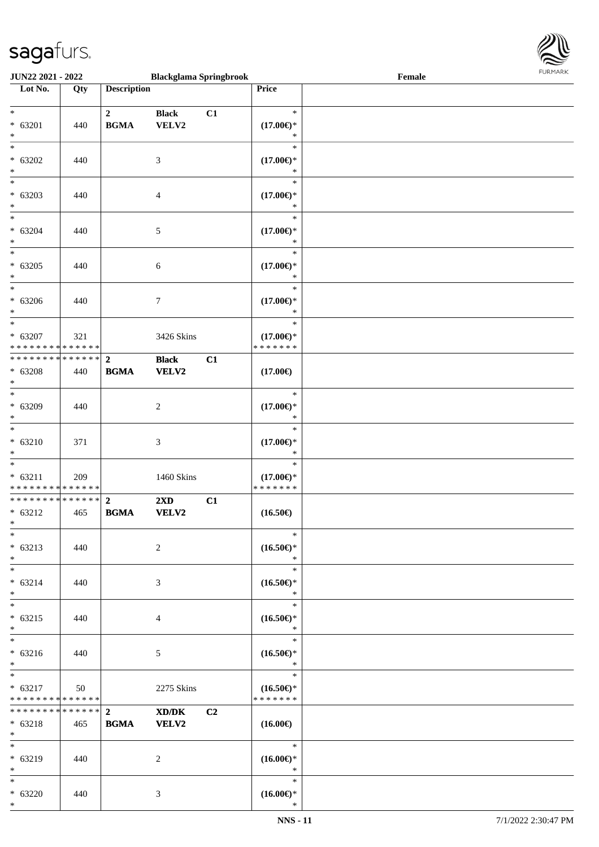

| <b>JUN22 2021 - 2022</b>                                       |     |                               | <b>Blackglama Springbrook</b> |    |                                                | Female |  |
|----------------------------------------------------------------|-----|-------------------------------|-------------------------------|----|------------------------------------------------|--------|--|
| Lot No.                                                        | Qty | <b>Description</b>            |                               |    | Price                                          |        |  |
| $*$<br>* 63201                                                 | 440 | $\mathbf{2}$<br><b>BGMA</b>   | <b>Black</b><br>VELV2         | C1 | $\ast$<br>$(17.00\epsilon)$ *                  |        |  |
| $\ast$<br>$*$<br>$* 63202$                                     |     |                               |                               |    | $\ast$<br>$\ast$<br>$(17.00\epsilon)$ *        |        |  |
| $\ast$<br>$\overline{\phantom{0}}$                             | 440 |                               | 3                             |    | $\ast$<br>$\ast$                               |        |  |
| $* 63203$<br>$*$<br>$*$                                        | 440 |                               | 4                             |    | $(17.00\epsilon)$ *<br>*<br>$\ast$             |        |  |
| $* 63204$<br>$*$<br>$\overline{\ast}$                          | 440 |                               | 5                             |    | $(17.00\epsilon)$ *<br>$\ast$<br>$\ast$        |        |  |
| $* 63205$<br>$\ast$                                            | 440 |                               | $\sqrt{6}$                    |    | $(17.00\epsilon)$ *<br>$\ast$                  |        |  |
| $_{*}$<br>$* 63206$<br>$*$                                     | 440 |                               | $\tau$                        |    | $\ast$<br>$(17.00\epsilon)$ *<br>$\ast$        |        |  |
| $*$<br>$* 63207$<br>* * * * * * * * * * * * * *                | 321 |                               | 3426 Skins                    |    | $\ast$<br>$(17.00\epsilon)$ *<br>* * * * * * * |        |  |
| * * * * * * * * * * * * * * *<br>* 63208<br>$*$                | 440 | $\overline{2}$<br><b>BGMA</b> | <b>Black</b><br>VELV2         | C1 | $(17.00\epsilon)$                              |        |  |
| $\overline{\phantom{0}}$<br>$* 63209$<br>$*$                   | 440 |                               | $\overline{c}$                |    | $\ast$<br>$(17.00\epsilon)$ *<br>*             |        |  |
| $*$<br>$* 63210$<br>$*$                                        | 371 |                               | 3                             |    | $\ast$<br>$(17.00\epsilon)$ *<br>$\ast$        |        |  |
| $*$<br>$* 63211$<br>* * * * * * * * * * * * * *                | 209 |                               | 1460 Skins                    |    | $\ast$<br>$(17.00\epsilon)$ *<br>* * * * * * * |        |  |
| ******** <mark>******</mark><br>$* 63212$<br>$*$               | 465 | $\overline{2}$<br><b>BGMA</b> | 2XD<br><b>VELV2</b>           | C1 | $(16.50\epsilon)$                              |        |  |
| $*$<br>$* 63213$<br>$*$                                        | 440 |                               | 2                             |    | $\ast$<br>$(16.50\epsilon)$ *<br>$\ast$        |        |  |
| $*$<br>$* 63214$<br>$*$                                        | 440 |                               | 3                             |    | $\ast$<br>$(16.50\epsilon)*$<br>$\ast$         |        |  |
| $*$<br>$* 63215$<br>$*$                                        | 440 |                               | 4                             |    | $\ast$<br>$(16.50\epsilon)$ *<br>$\ast$        |        |  |
| $*$<br>$* 63216$<br>$*$                                        | 440 |                               | 5                             |    | $\ast$<br>$(16.50\epsilon)$ *<br>$\ast$        |        |  |
| $*$<br>$* 63217$<br>* * * * * * * * <mark>* * * * * * *</mark> | 50  |                               | 2275 Skins                    |    | $\ast$<br>$(16.50\epsilon)$ *<br>* * * * * * * |        |  |
| * * * * * * * * * * * * * * *<br>* 63218<br>$*$                | 465 | $\overline{2}$<br><b>BGMA</b> | XD/DK<br><b>VELV2</b>         | C2 | $(16.00\epsilon)$                              |        |  |
| $*$<br>* 63219<br>$*$                                          | 440 |                               | 2                             |    | $\ast$<br>$(16.00\epsilon)$ *<br>$\ast$        |        |  |
| $*$<br>$* 63220$<br>$*$                                        | 440 |                               | 3                             |    | $\ast$<br>$(16.00\epsilon)$ *<br>$\ast$        |        |  |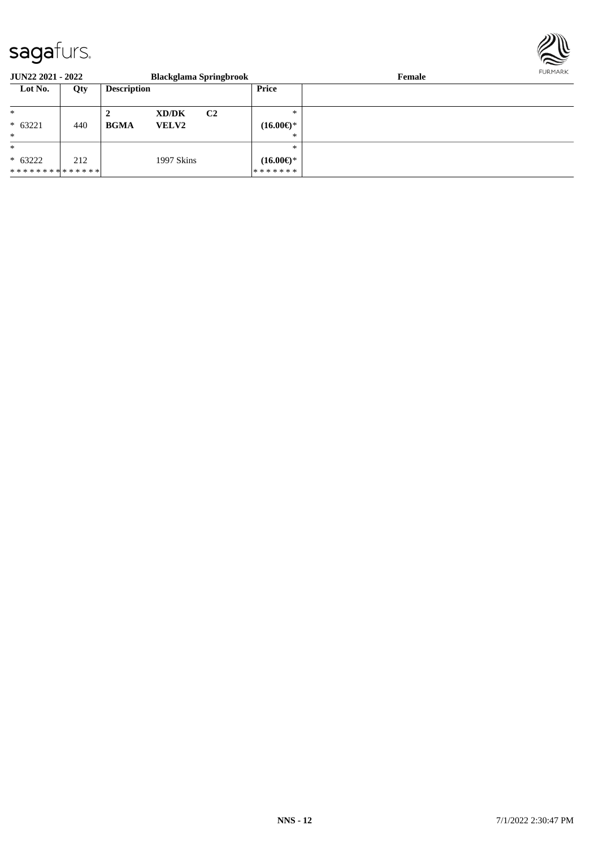

| <b>JUN22 2021 - 2022</b> |     |                    | <b>Blackglama Springbrook</b> |                |                     | FURMARK<br>Female |  |
|--------------------------|-----|--------------------|-------------------------------|----------------|---------------------|-------------------|--|
| Lot No.                  | Qty | <b>Description</b> |                               |                | Price               |                   |  |
| $\ast$                   |     | ∠                  | XD/DK                         | C <sub>2</sub> | $*$                 |                   |  |
| $* 63221$                | 440 | <b>BGMA</b>        | <b>VELV2</b>                  |                | $(16.00\epsilon)$ * |                   |  |
| $*$                      |     |                    |                               |                | $*$                 |                   |  |
| $\ast$                   |     |                    |                               |                | $\ast$              |                   |  |
| $* 63222$                | 212 |                    | 1997 Skins                    |                | $(16.00\epsilon)$ * |                   |  |
| **************           |     |                    |                               |                | *******             |                   |  |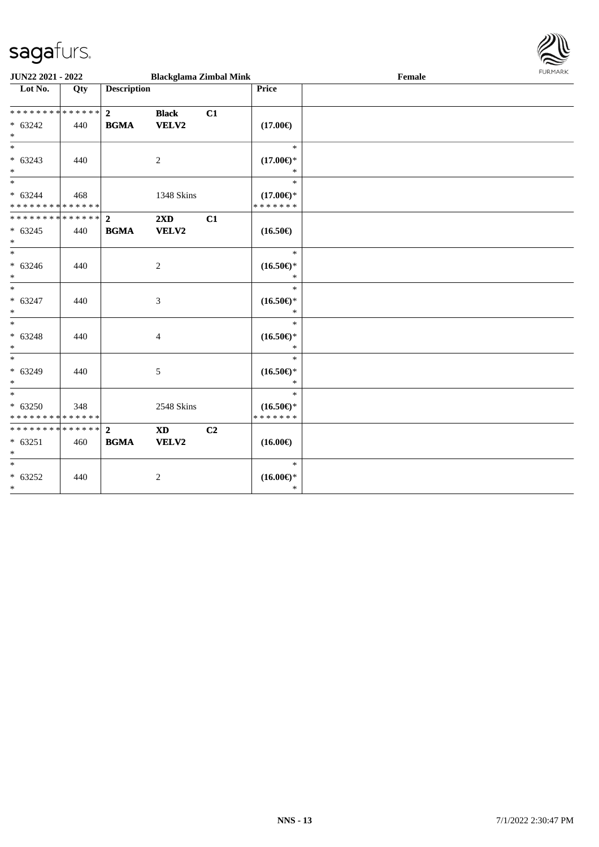

| <b>JUN22 2021 - 2022</b>                                                   |     |                               | <b>Blackglama Zimbal Mink</b>           |    |                                                | Female | 1.911171777 |
|----------------------------------------------------------------------------|-----|-------------------------------|-----------------------------------------|----|------------------------------------------------|--------|-------------|
| Lot No.                                                                    | Qty | <b>Description</b>            |                                         |    | Price                                          |        |             |
| __<br>******** <mark>******</mark><br>$* 63242$<br>$\ast$                  | 440 | $\overline{2}$<br><b>BGMA</b> | <b>Black</b><br>VELV2                   | C1 | $(17.00\epsilon)$                              |        |             |
| $*$<br>$* 63243$<br>$\ast$                                                 | 440 |                               | 2                                       |    | $\ast$<br>$(17.00\epsilon)$ *<br>$\ast$        |        |             |
| $\ast$<br>$* 63244$<br>* * * * * * * * <mark>* * * * * * *</mark>          | 468 |                               | 1348 Skins                              |    | $\ast$<br>$(17.00\epsilon)$ *<br>* * * * * * * |        |             |
| $* 63245$<br>$\ast$                                                        | 440 | <b>BGMA</b>                   | $2\mathbf{X}\mathbf{D}$<br><b>VELV2</b> | C1 | $(16.50\epsilon)$                              |        |             |
| $* 63246$<br>$\ast$                                                        | 440 |                               | 2                                       |    | $\ast$<br>$(16.50\epsilon)$ *<br>$\ast$        |        |             |
| $*$<br>$* 63247$<br>$\ast$                                                 | 440 |                               | 3                                       |    | $\ast$<br>$(16.50\epsilon)$ *<br>$\ast$        |        |             |
| $\ast$<br>$* 63248$<br>$\ast$                                              | 440 |                               | $\overline{4}$                          |    | $\ast$<br>$(16.50\epsilon)$ *<br>$\ast$        |        |             |
| $\overline{\ast}$<br>$* 63249$<br>$\ast$                                   | 440 |                               | 5                                       |    | $\ast$<br>$(16.50\epsilon)$ *<br>$\ast$        |        |             |
| $\overline{\ast}$<br>$* 63250$<br>* * * * * * * * <mark>* * * * * *</mark> | 348 |                               | 2548 Skins                              |    | $\ast$<br>$(16.50\epsilon)$ *<br>* * * * * * * |        |             |
| ************** 2<br>$* 63251$<br>$\ast$                                    | 460 | <b>BGMA</b>                   | <b>XD</b><br>VELV2                      | C2 | $(16.00\epsilon)$                              |        |             |
| $*$<br>$* 63252$<br>$*$                                                    | 440 |                               | $\overline{2}$                          |    | $\ast$<br>$(16.00\epsilon)$ *<br>$\ast$        |        |             |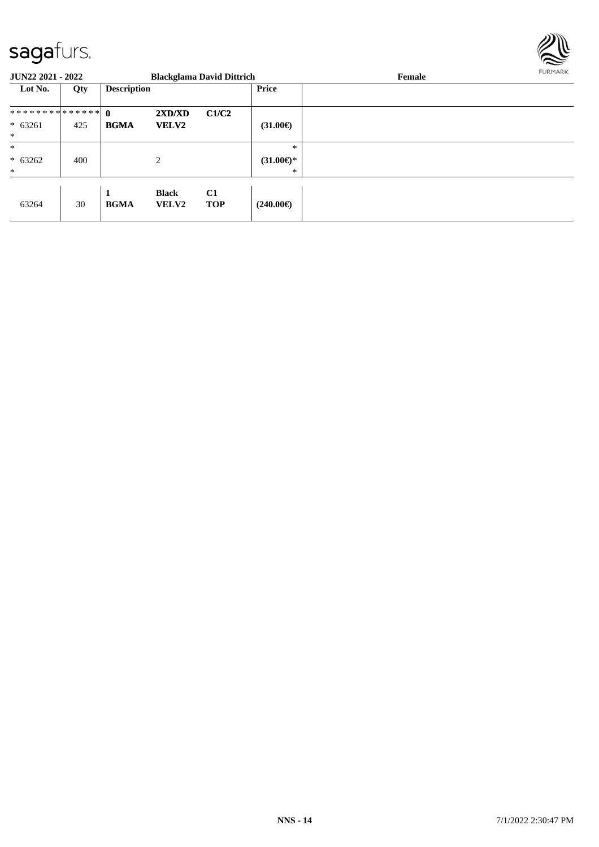

| <b>JUN22 2021 - 2022</b> |     |                    |                              | <b>Blackglama David Dittrich</b> |                          | Female | FURMARK |
|--------------------------|-----|--------------------|------------------------------|----------------------------------|--------------------------|--------|---------|
| Lot No.                  | Qty | <b>Description</b> |                              |                                  | <b>Price</b>             |        |         |
| ************** 0         |     |                    | 2XD/XD                       | C1/C2                            |                          |        |         |
| $* 63261$<br>$*$         | 425 | <b>BGMA</b>        | <b>VELV2</b>                 |                                  | $(31.00\epsilon)$        |        |         |
| $\ast$                   |     |                    |                              |                                  | $\ast$                   |        |         |
| $* 63262$<br>$*$         | 400 |                    | 2                            |                                  | $(31.00\epsilon)$ *<br>∗ |        |         |
| 63264                    | 30  | 1<br><b>BGMA</b>   | <b>Black</b><br><b>VELV2</b> | C1<br><b>TOP</b>                 | (240.00€)                |        |         |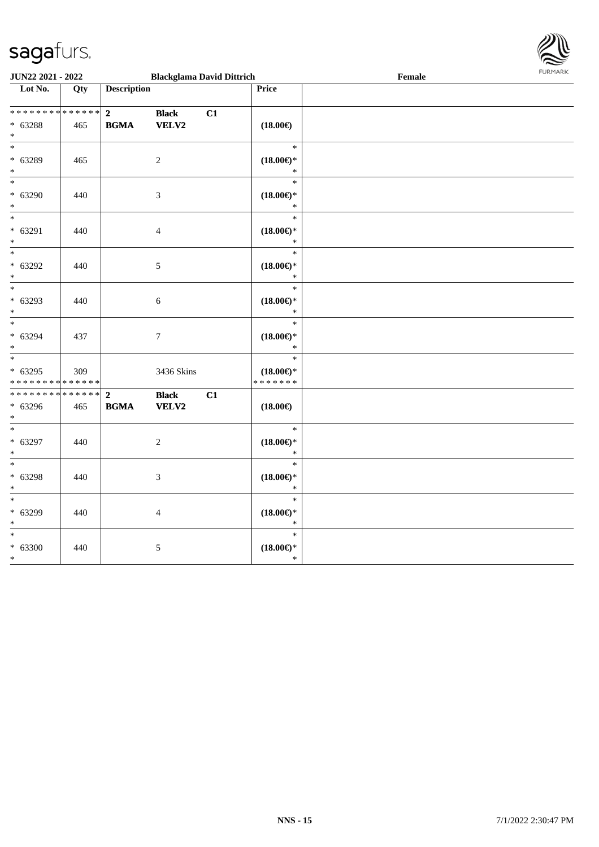

| <b>JUN22 2021 - 2022</b>                   |     |                    | <b>Blackglama David Dittrich</b> |    |                               | Female |  |
|--------------------------------------------|-----|--------------------|----------------------------------|----|-------------------------------|--------|--|
| Lot No.                                    | Qty | <b>Description</b> |                                  |    | Price                         |        |  |
|                                            |     |                    |                                  |    |                               |        |  |
| * * * * * * * * <mark>* * * * * *</mark>   |     | $\mathbf{2}$       | <b>Black</b>                     | C1 |                               |        |  |
| $* 63288$                                  | 465 | <b>BGMA</b>        | VELV2                            |    | $(18.00\epsilon)$             |        |  |
| $*$                                        |     |                    |                                  |    |                               |        |  |
| $*$                                        |     |                    |                                  |    | $\ast$                        |        |  |
| * 63289                                    | 465 |                    | 2                                |    | $(18.00\epsilon)$ *           |        |  |
| $*$                                        |     |                    |                                  |    | $\ast$                        |        |  |
| $*$                                        |     |                    |                                  |    | $\ast$                        |        |  |
|                                            |     |                    |                                  |    |                               |        |  |
| $* 63290$                                  | 440 |                    | $\mathfrak{Z}$                   |    | $(18.00\epsilon)$ *<br>$\ast$ |        |  |
| $\ast$<br>$\overline{\phantom{0}}$         |     |                    |                                  |    |                               |        |  |
|                                            |     |                    |                                  |    | $\ast$                        |        |  |
| * 63291                                    | 440 |                    | $\overline{4}$                   |    | $(18.00\epsilon)$ *           |        |  |
| $\ast$                                     |     |                    |                                  |    | $\ast$                        |        |  |
| $\overline{\ }$                            |     |                    |                                  |    | $\ast$                        |        |  |
| * 63292                                    | 440 |                    | 5                                |    | $(18.00\epsilon)$ *           |        |  |
| $*$                                        |     |                    |                                  |    | $\ast$                        |        |  |
| $*$                                        |     |                    |                                  |    | $\ast$                        |        |  |
| * 63293                                    | 440 |                    | 6                                |    | $(18.00\epsilon)$ *           |        |  |
| $*$                                        |     |                    |                                  |    | $\ast$                        |        |  |
|                                            |     |                    |                                  |    | $\ast$                        |        |  |
| * 63294                                    | 437 |                    | $\boldsymbol{7}$                 |    | $(18.00\epsilon)$ *           |        |  |
| $*$                                        |     |                    |                                  |    | $\ast$                        |        |  |
| $\overline{\phantom{0}}$                   |     |                    |                                  |    | $\ast$                        |        |  |
| $* 63295$                                  | 309 |                    | 3436 Skins                       |    | $(18.00\epsilon)$ *           |        |  |
| * * * * * * * * * * * * * *                |     |                    |                                  |    | * * * * * * *                 |        |  |
| * * * * * * * * * * * * * * <mark>*</mark> |     | $\overline{2}$     | <b>Black</b>                     | C1 |                               |        |  |
|                                            |     |                    |                                  |    |                               |        |  |
| * 63296<br>$*$                             | 465 | <b>BGMA</b>        | VELV2                            |    | $(18.00\epsilon)$             |        |  |
| $*$                                        |     |                    |                                  |    | $\ast$                        |        |  |
|                                            |     |                    |                                  |    |                               |        |  |
| * 63297                                    | 440 |                    | 2                                |    | $(18.00\epsilon)$ *           |        |  |
| $*$                                        |     |                    |                                  |    | $\ast$                        |        |  |
| $*$                                        |     |                    |                                  |    | $\ast$                        |        |  |
| $* 63298$                                  | 440 |                    | $\mathfrak{Z}$                   |    | $(18.00\epsilon)$ *           |        |  |
| $\ast$                                     |     |                    |                                  |    | $\ast$                        |        |  |
| $\ast$                                     |     |                    |                                  |    | $\ast$                        |        |  |
| * 63299                                    | 440 |                    | $\overline{4}$                   |    | $(18.00\epsilon)$ *           |        |  |
| $\ast$                                     |     |                    |                                  |    | $\ast$                        |        |  |
| $*$                                        |     |                    |                                  |    | $\ast$                        |        |  |
| $* 63300$                                  | 440 |                    | 5                                |    | $(18.00\epsilon)$ *           |        |  |
| $*$                                        |     |                    |                                  |    | $\ast$                        |        |  |
|                                            |     |                    |                                  |    |                               |        |  |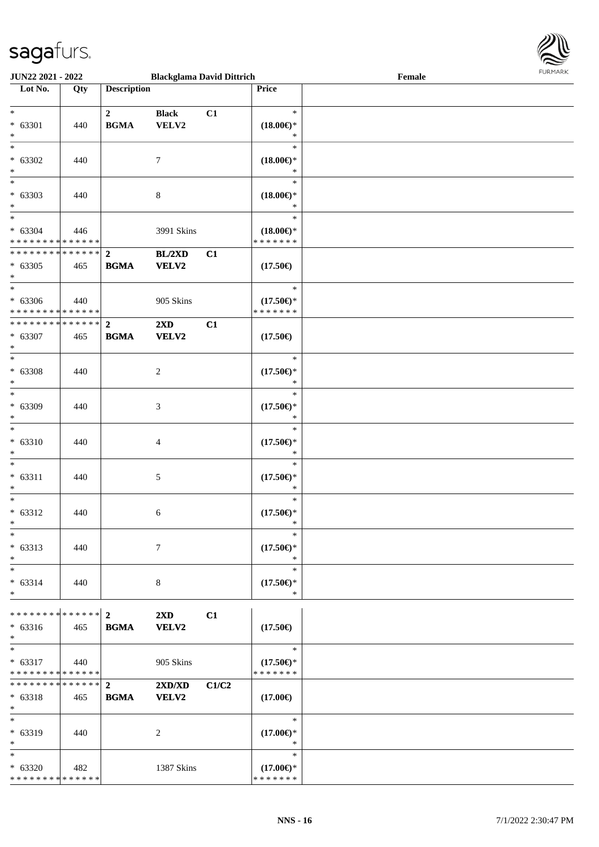

| JUN22 2021 - 2022                    |     |                    | <b>Blackglama David Dittrich</b> |       |                     | Female |  |
|--------------------------------------|-----|--------------------|----------------------------------|-------|---------------------|--------|--|
| Lot No.                              | Qty | <b>Description</b> |                                  |       | Price               |        |  |
|                                      |     |                    |                                  |       |                     |        |  |
| $\ast$                               |     | $\mathbf{2}$       | <b>Black</b>                     | C1    | $\ast$              |        |  |
| * 63301                              |     | <b>BGMA</b>        |                                  |       |                     |        |  |
|                                      | 440 |                    | VELV2                            |       | $(18.00\epsilon)$ * |        |  |
| $\ast$                               |     |                    |                                  |       | ∗                   |        |  |
| $\overline{\ast}$                    |     |                    |                                  |       | $\ast$              |        |  |
| $* 63302$                            | 440 |                    | 7                                |       | $(18.00\epsilon)$ * |        |  |
| $\ast$                               |     |                    |                                  |       | *                   |        |  |
| $\ast$                               |     |                    |                                  |       | $\ast$              |        |  |
|                                      |     |                    |                                  |       |                     |        |  |
| $* 63303$                            | 440 |                    | $8\,$                            |       | $(18.00\epsilon)$ * |        |  |
| $\ast$<br>$\overline{\phantom{a}^*}$ |     |                    |                                  |       | $\ast$              |        |  |
|                                      |     |                    |                                  |       | $\ast$              |        |  |
| $* 63304$                            | 446 |                    | 3991 Skins                       |       | $(18.00\epsilon)$ * |        |  |
| * * * * * * * * * * * * * *          |     |                    |                                  |       | * * * * * * *       |        |  |
| * * * * * * * * * * * * * *          |     | $\overline{2}$     | BL/2XD                           | C1    |                     |        |  |
| $* 63305$                            | 465 | <b>BGMA</b>        | VELV2                            |       | $(17.50\epsilon)$   |        |  |
| $\ast$                               |     |                    |                                  |       |                     |        |  |
|                                      |     |                    |                                  |       |                     |        |  |
| $\ast$                               |     |                    |                                  |       | $\ast$              |        |  |
| $* 63306$                            | 440 |                    | 905 Skins                        |       | $(17.50\epsilon)$ * |        |  |
| * * * * * * * * * * * * * *          |     |                    |                                  |       | * * * * * * *       |        |  |
| * * * * * * * * * * * * * *          |     | $\mathbf{2}$       | 2XD                              | C1    |                     |        |  |
| $* 63307$                            | 465 | <b>BGMA</b>        | VELV2                            |       | $(17.50\epsilon)$   |        |  |
| $\ast$                               |     |                    |                                  |       |                     |        |  |
| $\overline{\ast}$                    |     |                    |                                  |       |                     |        |  |
|                                      |     |                    |                                  |       | $\ast$              |        |  |
| $* 63308$                            | 440 |                    | $\boldsymbol{2}$                 |       | $(17.50\epsilon)$ * |        |  |
| $\ast$                               |     |                    |                                  |       | *                   |        |  |
| $\ast$                               |     |                    |                                  |       | $\ast$              |        |  |
| * 63309                              | 440 |                    | 3                                |       | $(17.50\epsilon)$ * |        |  |
| $\ast$                               |     |                    |                                  |       | $\ast$              |        |  |
| $\ast$                               |     |                    |                                  |       | $\ast$              |        |  |
|                                      |     |                    |                                  |       |                     |        |  |
| $* 63310$                            | 440 |                    | $\overline{\mathcal{A}}$         |       | $(17.50\epsilon)$ * |        |  |
| $\ast$                               |     |                    |                                  |       | $\ast$              |        |  |
| $\ast$                               |     |                    |                                  |       | $\ast$              |        |  |
| $* 63311$                            | 440 |                    | 5                                |       | $(17.50\epsilon)$ * |        |  |
| $\ast$                               |     |                    |                                  |       | $\ast$              |        |  |
| $\ast$                               |     |                    |                                  |       | $\ast$              |        |  |
|                                      |     |                    |                                  |       |                     |        |  |
| $* 63312$                            | 440 |                    | 6                                |       | $(17.50\epsilon)$ * |        |  |
| $*$                                  |     |                    |                                  |       | $\ast$              |        |  |
| $*$                                  |     |                    |                                  |       | $\ast$              |        |  |
| $* 63313$                            | 440 |                    | 7                                |       | $(17.50\epsilon)$ * |        |  |
| $\ast$                               |     |                    |                                  |       | $\ast$              |        |  |
| $\ast$                               |     |                    |                                  |       | $\ast$              |        |  |
|                                      |     |                    |                                  |       |                     |        |  |
| $* 63314$                            | 440 |                    | 8                                |       | $(17.50\epsilon)$ * |        |  |
| $\ast$                               |     |                    |                                  |       | $\ast$              |        |  |
|                                      |     |                    |                                  |       |                     |        |  |
| ************** 2                     |     |                    | 2XD                              | C1    |                     |        |  |
| $* 63316$                            | 465 | <b>BGMA</b>        | <b>VELV2</b>                     |       | $(17.50\epsilon)$   |        |  |
| $\ast$                               |     |                    |                                  |       |                     |        |  |
| $\ast$                               |     |                    |                                  |       | $\ast$              |        |  |
| $* 63317$                            | 440 |                    | 905 Skins                        |       | $(17.50\epsilon)$ * |        |  |
| * * * * * * * * * * * * * *          |     |                    |                                  |       | * * * * * * *       |        |  |
| * * * * * * * * * * * * * * *        |     |                    |                                  |       |                     |        |  |
|                                      |     | $\overline{2}$     | $2{\bf X}{\bf D}/{\bf X}{\bf D}$ | C1/C2 |                     |        |  |
| $* 63318$                            | 465 | <b>BGMA</b>        | <b>VELV2</b>                     |       | $(17.00\epsilon)$   |        |  |
| $\ast$                               |     |                    |                                  |       |                     |        |  |
| $\ast$                               |     |                    |                                  |       | $\ast$              |        |  |
| * 63319                              | 440 |                    | 2                                |       | $(17.00\epsilon)$ * |        |  |
| $\ast$                               |     |                    |                                  |       | $\ast$              |        |  |
| $\overline{\phantom{0}}$             |     |                    |                                  |       | $\ast$              |        |  |
|                                      |     |                    |                                  |       |                     |        |  |
| $* 63320$                            | 482 |                    | 1387 Skins                       |       | $(17.00\epsilon)$ * |        |  |
| * * * * * * * * * * * * * *          |     |                    |                                  |       | * * * * * * *       |        |  |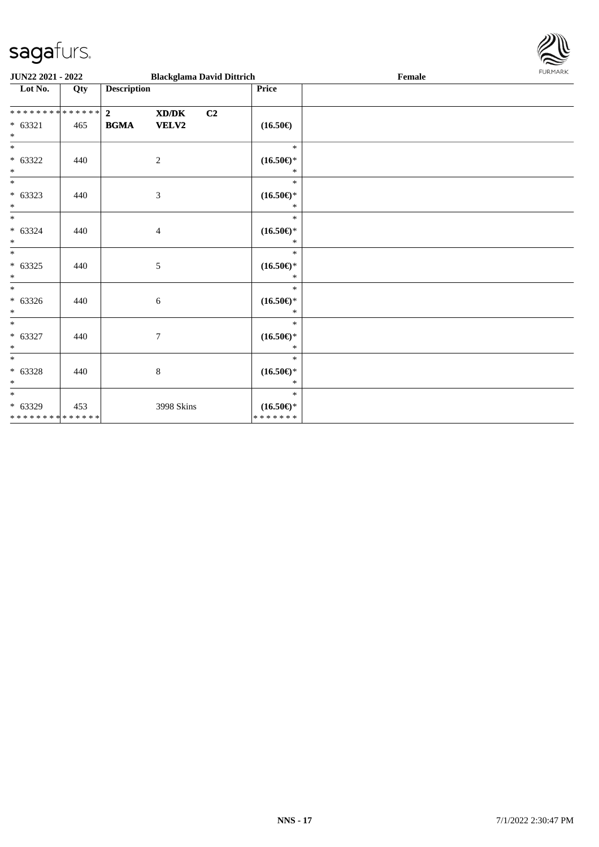

| <b>JUN22 2021 - 2022</b>                     |     |                    |                | <b>Blackglama David Dittrich</b> |                                         | Female | <b>FURPIARA</b> |
|----------------------------------------------|-----|--------------------|----------------|----------------------------------|-----------------------------------------|--------|-----------------|
| Lot No.                                      | Qty | <b>Description</b> |                |                                  | Price                                   |        |                 |
|                                              |     | $\overline{2}$     | XD/DK          | C2                               |                                         |        |                 |
| $* 63321$                                    | 465 | <b>BGMA</b>        | <b>VELV2</b>   |                                  | $(16.50\epsilon)$                       |        |                 |
| $*$                                          |     |                    |                |                                  | $\ast$                                  |        |                 |
| $* 63322$<br>$*$                             | 440 |                    | $\overline{2}$ |                                  | $(16.50\epsilon)$ *<br>$\ast$           |        |                 |
| $\overline{\phantom{0}}$                     |     |                    |                |                                  | $\ast$                                  |        |                 |
| $* 63323$<br>$*$                             | 440 |                    | 3              |                                  | $(16.50\epsilon)$ *<br>$\ast$           |        |                 |
| $\overline{\phantom{0}}$<br>$* 63324$<br>$*$ | 440 |                    | $\overline{4}$ |                                  | $\ast$<br>$(16.50\epsilon)$ *<br>$\ast$ |        |                 |
| $\frac{1}{1}$<br>$* 63325$<br>$*$            | 440 |                    | 5              |                                  | $\ast$<br>$(16.50\epsilon)$ *<br>$\ast$ |        |                 |
| $* 63326$<br>$*$                             | 440 |                    | 6              |                                  | $\ast$<br>$(16.50\epsilon)$ *<br>$\ast$ |        |                 |
| $* 63327$<br>$*$                             | 440 |                    | 7              |                                  | $\ast$<br>$(16.50\epsilon)$ *<br>$\ast$ |        |                 |
| $*$<br>$* 63328$<br>$*$                      | 440 |                    | $\,8\,$        |                                  | $\ast$<br>$(16.50\epsilon)$ *<br>$\ast$ |        |                 |
| $*$                                          |     |                    |                |                                  | $\ast$                                  |        |                 |
| $* 63329$<br>* * * * * * * * * * * * * *     | 453 |                    | 3998 Skins     |                                  | $(16.50\epsilon)$ *<br>*******          |        |                 |
|                                              |     |                    |                |                                  |                                         |        |                 |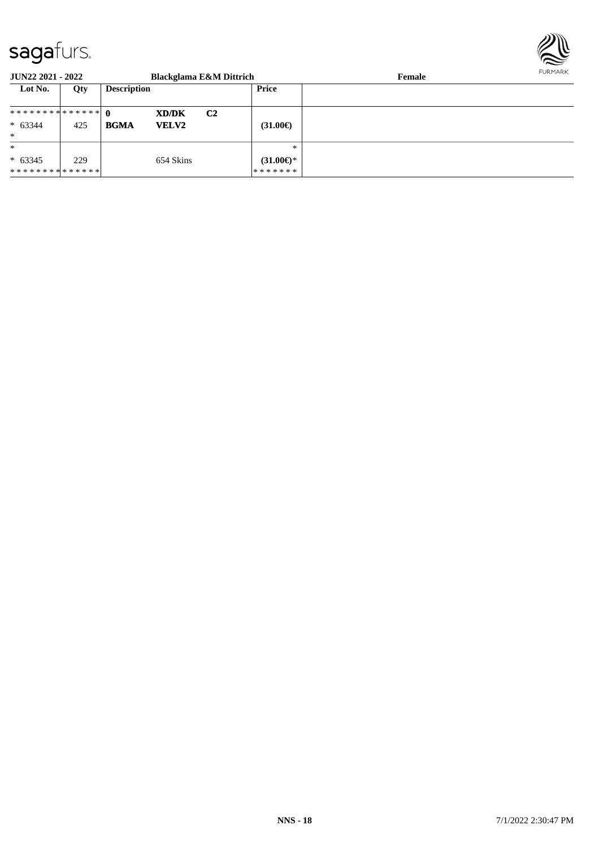

| <b>JUN22 2021 - 2022</b>      |     |                             | <b>Blackglama E&amp;M Dittrich</b> |                           | FURMARK<br>Female |  |
|-------------------------------|-----|-----------------------------|------------------------------------|---------------------------|-------------------|--|
| Lot No.                       | Qty | <b>Description</b>          |                                    | Price                     |                   |  |
| ************** 0              |     | <b>XD/DK</b>                | C <sub>2</sub>                     |                           |                   |  |
| $* 63344$                     | 425 | <b>BGMA</b><br><b>VELV2</b> |                                    | $(31.00\epsilon)$         |                   |  |
| $\ast$                        |     |                             |                                    |                           |                   |  |
| $\ast$                        |     |                             |                                    | $\ast$                    |                   |  |
| $* 63345$                     | 229 | 654 Skins                   |                                    | $(31.00 \in \mathcal{F})$ |                   |  |
| * * * * * * * * * * * * * * * |     |                             |                                    | *******                   |                   |  |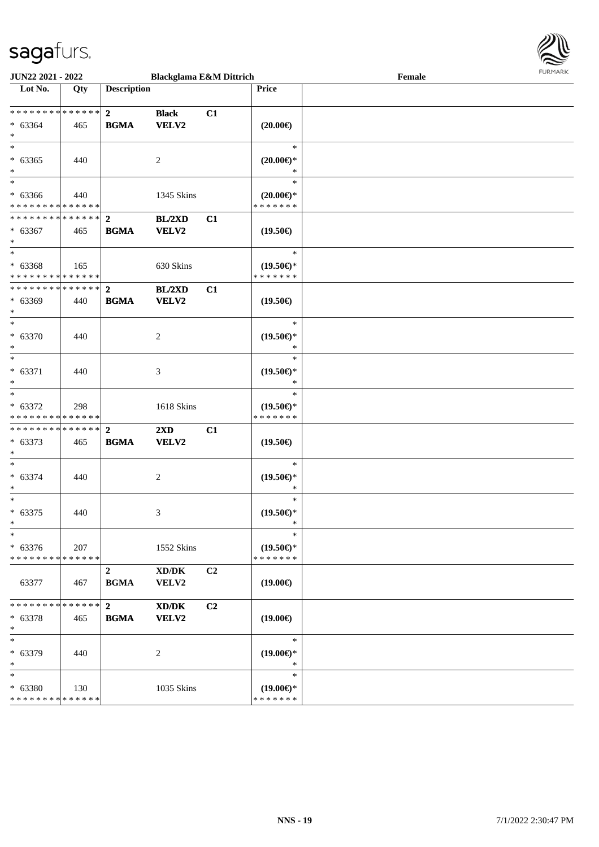

| <b>JUN22 2021 - 2022</b>                                               |                    |                               | <b>Blackglama E&amp;M Dittrich</b>                  |    |                                                | Female | <b>FURPIARA</b> |
|------------------------------------------------------------------------|--------------------|-------------------------------|-----------------------------------------------------|----|------------------------------------------------|--------|-----------------|
| Lot No.                                                                | Qty                | <b>Description</b>            |                                                     |    | Price                                          |        |                 |
| $* 63364$<br>$\ast$                                                    | 465                | <b>BGMA</b>                   | <b>Black</b><br><b>VELV2</b>                        | C1 | $(20.00\epsilon)$                              |        |                 |
| $*$<br>$* 63365$<br>$*$                                                | 440                |                               | 2                                                   |    | $\ast$<br>$(20.00\epsilon)$ *<br>$\ast$        |        |                 |
| $*$<br>$* 63366$<br>* * * * * * * * <mark>* * * * * *</mark>           | 440                |                               | 1345 Skins                                          |    | $\ast$<br>$(20.00\epsilon)$ *<br>* * * * * * * |        |                 |
| $* 63367$<br>$*$                                                       | 465                | <b>BGMA</b>                   | BL/2XD<br><b>VELV2</b>                              | C1 | $(19.50\epsilon)$                              |        |                 |
| $\overline{\phantom{0}}$<br>$* 63368$<br>* * * * * * * * * * * * * * * | 165                |                               | 630 Skins                                           |    | $\ast$<br>$(19.50\epsilon)$ *<br>* * * * * * * |        |                 |
| $* 63369$<br>$*$                                                       | 440                | <b>BGMA</b>                   | BL/2XD<br><b>VELV2</b>                              | C1 | $(19.50\epsilon)$                              |        |                 |
| $*$<br>$* 63370$<br>$*$                                                | 440                |                               | 2                                                   |    | $\ast$<br>$(19.50\epsilon)$ *<br>$\ast$        |        |                 |
| $\overline{\phantom{0}}$<br>$* 63371$<br>$*$                           | 440                |                               | 3                                                   |    | $\ast$<br>$(19.50\epsilon)$ *<br>$\ast$        |        |                 |
| $*$<br>$* 63372$<br>* * * * * * * * <mark>* * * * * *</mark>           | 298                |                               | 1618 Skins                                          |    | $\ast$<br>$(19.50\epsilon)$ *<br>* * * * * * * |        |                 |
| $* 63373$<br>$\ast$                                                    | 465                | <b>BGMA</b>                   | 2XD<br><b>VELV2</b>                                 | C1 | $(19.50\epsilon)$                              |        |                 |
| $*$<br>$* 63374$<br>$\ast$                                             | 440                |                               | 2                                                   |    | $\ast$<br>$(19.50\epsilon)$ *<br>$\ast$        |        |                 |
| $*$<br>$* 63375$<br>$\star$ .                                          | 440                |                               | 3                                                   |    | $\ast$<br>$(19.50\epsilon)$ *<br>$\rightarrow$ |        |                 |
| $\ast$<br>$* 63376$<br>* * * * * * * * <mark>* * * * * *</mark>        | 207                |                               | 1552 Skins                                          |    | $\ast$<br>$(19.50\epsilon)$ *<br>* * * * * * * |        |                 |
| 63377                                                                  | 467                | $\overline{2}$<br><b>BGMA</b> | $\bold{X}\bold{D}/\bold{D}\bold{K}$<br><b>VELV2</b> | C2 | $(19.00\epsilon)$                              |        |                 |
| * * * * * * * * <mark>* * * * * * *</mark><br>$* 63378$<br>$\ast$      | 465                | $2^{\circ}$<br><b>BGMA</b>    | XD/DK<br><b>VELV2</b>                               | C2 | $(19.00\epsilon)$                              |        |                 |
| $*$<br>* 63379<br>$\ast$                                               | 440                |                               | 2                                                   |    | $\ast$<br>$(19.00\epsilon)$ *<br>$\ast$        |        |                 |
| $\ast$<br>* 63380<br>* * * * * * * *                                   | 130<br>* * * * * * |                               | 1035 Skins                                          |    | $\ast$<br>$(19.00\epsilon)$ *<br>* * * * * * * |        |                 |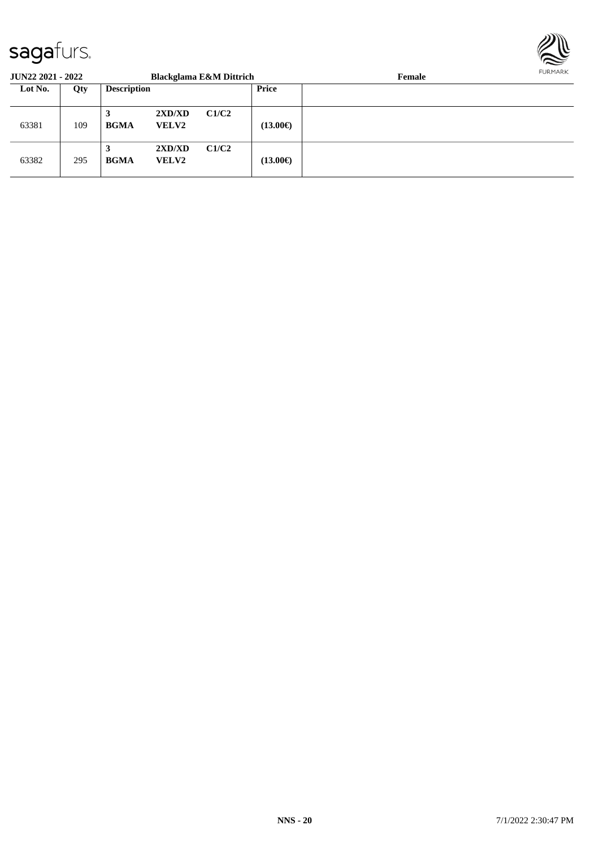

| <b>JUN22 2021 - 2022</b> |     |                    |                        | <b>Blackglama E&amp;M Dittrich</b> |                   | <b>FURMARK</b><br>Female |  |
|--------------------------|-----|--------------------|------------------------|------------------------------------|-------------------|--------------------------|--|
| Lot No.                  | Qty | <b>Description</b> |                        |                                    | Price             |                          |  |
| 63381                    | 109 | 3<br><b>BGMA</b>   | 2XD/XD<br><b>VELV2</b> | C1/C2                              | $(13.00\epsilon)$ |                          |  |
| 63382                    | 295 | 3<br><b>BGMA</b>   | 2XD/XD<br><b>VELV2</b> | C1/C2                              | $(13.00\epsilon)$ |                          |  |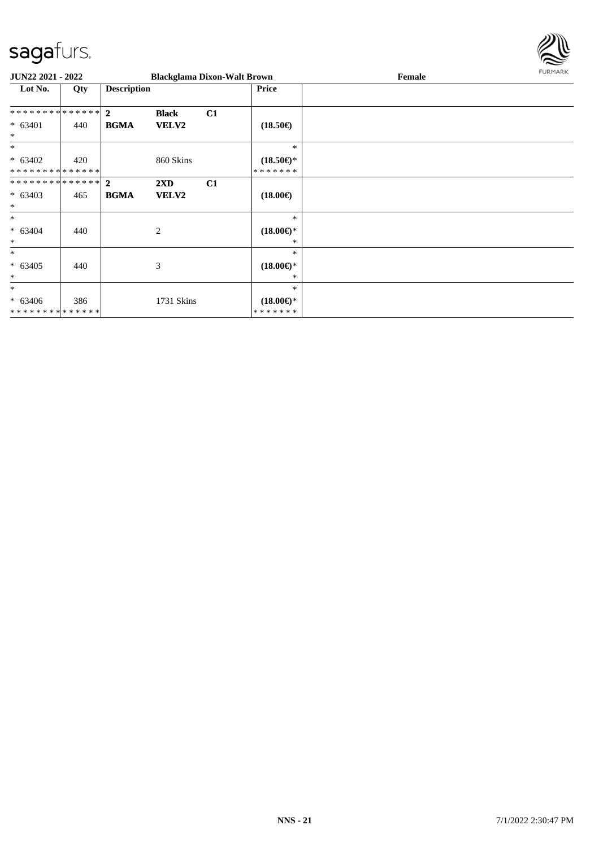

| JUN22 2021 - 2022                        |     |                    |                         | <b>Blackglama Dixon-Walt Brown</b> |                                      | Female | <b>FURMARK</b> |
|------------------------------------------|-----|--------------------|-------------------------|------------------------------------|--------------------------------------|--------|----------------|
| Lot No.                                  | Qty | <b>Description</b> |                         |                                    | <b>Price</b>                         |        |                |
| **************                           |     | $\overline{2}$     | <b>Black</b>            | C1                                 |                                      |        |                |
| $* 63401$<br>$\ast$                      | 440 | <b>BGMA</b>        | VELV2                   |                                    | $(18.50\epsilon)$                    |        |                |
| $\ast$                                   |     |                    |                         |                                    | $\ast$                               |        |                |
| $* 63402$<br>* * * * * * * * * * * * * * | 420 |                    | 860 Skins               |                                    | $(18.50\epsilon)$ *<br>* * * * * * * |        |                |
| **************                           |     | $\overline{2}$     | $2\mathbf{X}\mathbf{D}$ | C1                                 |                                      |        |                |
| $* 63403$<br>$\ast$                      | 465 | <b>BGMA</b>        | <b>VELV2</b>            |                                    | $(18.00\epsilon)$                    |        |                |
| $*$                                      |     |                    |                         |                                    | $\ast$                               |        |                |
| $* 63404$<br>$\ast$                      | 440 |                    | 2                       |                                    | $(18.00\epsilon)$ *<br>∗             |        |                |
| $\ast$                                   |     |                    |                         |                                    | *                                    |        |                |
| $* 63405$<br>$\ast$                      | 440 |                    | 3                       |                                    | $(18.00\epsilon)$ *<br>∗             |        |                |
| $\ast$                                   |     |                    |                         |                                    | $\ast$                               |        |                |
| $* 63406$<br>**************              | 386 |                    | 1731 Skins              |                                    | $(18.00\epsilon)$ *<br>* * * * * * * |        |                |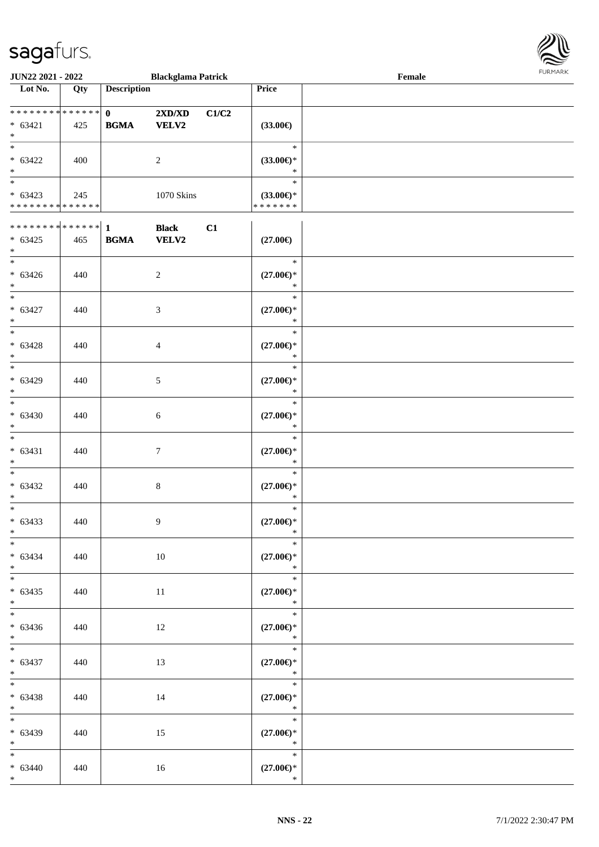

| JUN22 2021 - 2022                                                      |     |                             | <b>Blackglama Patrick</b>    |       |                                                    | Female |  |
|------------------------------------------------------------------------|-----|-----------------------------|------------------------------|-------|----------------------------------------------------|--------|--|
| Lot No.                                                                | Qty | <b>Description</b>          |                              |       | Price                                              |        |  |
| **************<br>$* 63421$<br>$\ast$                                  | 425 | $\mathbf{0}$<br><b>BGMA</b> | 2XD/XD<br><b>VELV2</b>       | C1/C2 | $(33.00\epsilon)$                                  |        |  |
| $\overline{\ast}$<br>$* 63422$<br>$\ast$                               | 400 |                             | $\overline{2}$               |       | $\ast$<br>$(33.00\epsilon)$ *<br>$\ast$            |        |  |
| $\overline{\phantom{0}}$<br>$* 63423$<br>* * * * * * * * * * * * * *   | 245 |                             | 1070 Skins                   |       | $\ast$<br>$(33.00\epsilon)$ *<br>* * * * * * *     |        |  |
| $* 63425$<br>$*$                                                       | 465 | <b>BGMA</b>                 | <b>Black</b><br><b>VELV2</b> | C1    | $(27.00\epsilon)$                                  |        |  |
| $\overline{\ast}$<br>$* 63426$<br>$\ast$                               | 440 |                             | $\overline{c}$               |       | $\ast$<br>$(27.00\epsilon)$ *<br>$\ast$            |        |  |
| $\ast$<br>$* 63427$<br>$\ast$                                          | 440 |                             | 3                            |       | $\ast$<br>$(27.00\in)^\ast$<br>$\ast$              |        |  |
| $\overline{\phantom{a}}$<br>$* 63428$<br>$\ast$<br>$\ast$              | 440 |                             | $\overline{4}$               |       | $\ast$<br>$(27.00\epsilon)$ *<br>$\ast$            |        |  |
| $* 63429$<br>$\ast$                                                    | 440 |                             | $\mathfrak{S}$               |       | $\ast$<br>$(27.00\epsilon)$ *<br>$\ast$            |        |  |
| $\ast$<br>$* 63430$<br>$\ast$                                          | 440 |                             | 6                            |       | $\ast$<br>$(27.00\mathnormal{\infty})^*$<br>$\ast$ |        |  |
| $\ast$<br>$* 63431$<br>$\ast$                                          | 440 |                             | $\tau$                       |       | $\ast$<br>$(27.00\epsilon)$ *<br>$\ast$            |        |  |
| $*$<br>$* 63432$<br>$\ast$                                             | 440 |                             | $\,8\,$                      |       | $\ast$<br>$(27.00\epsilon)$ *<br>$\ast$            |        |  |
| $\overline{\ast}$<br>$* 63433$<br>$\ast$<br>$\overline{\phantom{a}^*}$ | 440 |                             | $\boldsymbol{9}$             |       | $\ast$<br>$(27.00\epsilon)$ *<br>$\ast$            |        |  |
| $* 63434$<br>$*$                                                       | 440 |                             | $10\,$                       |       | $\ast$<br>$(27.00\in)^\ast$<br>$\ast$<br>$\equiv$  |        |  |
| $\ast$<br>$* 63435$<br>$*$                                             | 440 |                             | 11                           |       | $\ast$<br>$(27.00\epsilon)$ *<br>$\ast$            |        |  |
| $\ast$<br>$* 63436$<br>$*$                                             | 440 |                             | 12                           |       | $\ast$<br>$(27.00\mathnormal{\infty})^*$<br>$\ast$ |        |  |
| $\overline{\phantom{0}}$<br>$* 63437$<br>$*$                           | 440 |                             | 13                           |       | $\ast$<br>$(27.00\epsilon)$ *<br>$\ast$            |        |  |
| $*$<br>$* 63438$<br>$*$                                                | 440 |                             | 14                           |       | $\ast$<br>$(27.00\epsilon)$ *<br>$\ast$            |        |  |
| $\overline{\phantom{0}}$<br>* 63439<br>$*$                             | 440 |                             | 15                           |       | $\ast$<br>$(27.00\epsilon)$ *<br>$\ast$            |        |  |
| $\overline{\phantom{0}}$<br>$* 63440$<br>$*$                           | 440 |                             | 16                           |       | $\ast$<br>$(27.00\in)^\ast$<br>$\ast$              |        |  |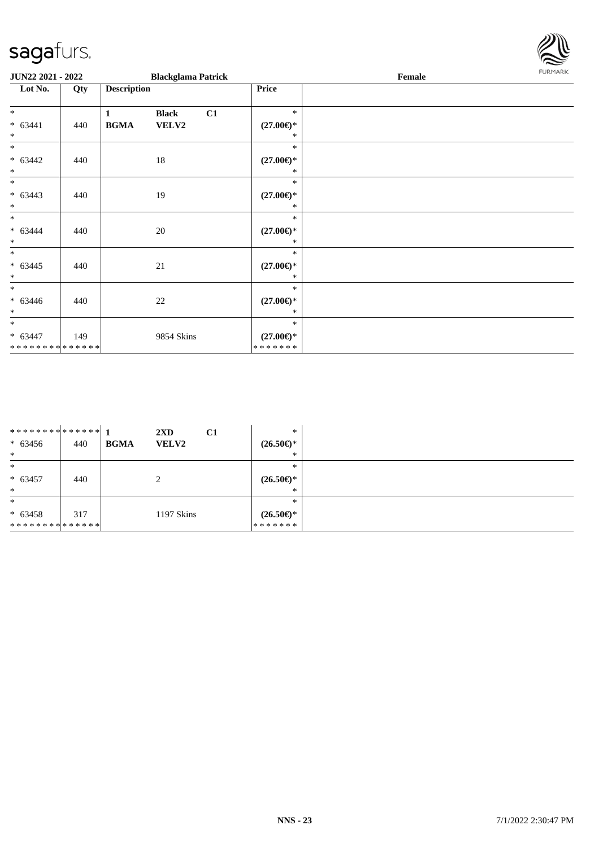

| JUN22 2021 - 2022                                   |     |                    | <b>Blackglama Patrick</b> |    |                                          | Female | <b>FURMARK</b> |
|-----------------------------------------------------|-----|--------------------|---------------------------|----|------------------------------------------|--------|----------------|
| Lot No.                                             | Qty | <b>Description</b> |                           |    | Price                                    |        |                |
| $\ast$                                              |     | $\mathbf{1}$       | <b>Black</b>              | C1 | $\ast$                                   |        |                |
| $* 63441$<br>$*$                                    | 440 | <b>BGMA</b>        | <b>VELV2</b>              |    | $(27.00\epsilon)$ *<br>$*$               |        |                |
| $*$                                                 |     |                    |                           |    | $\ast$                                   |        |                |
| $* 63442$<br>$\overline{\ }$                        | 440 |                    | 18                        |    | $(27.00\epsilon)$ *<br>$\ast$            |        |                |
| $\ast$                                              |     |                    |                           |    | $\ast$                                   |        |                |
| $* 63443$<br>$\ast$                                 | 440 |                    | 19                        |    | $(27.00\epsilon)$ *<br>*                 |        |                |
| $*$<br>$* 63444$<br>$*$                             | 440 |                    | 20                        |    | $\ast$<br>$(27.00\epsilon)$ *<br>*       |        |                |
| $*$<br>$* 63445$<br>$\ast$                          | 440 |                    | $21\,$                    |    | $\ast$<br>$(27.00\epsilon)$ *<br>$\ast$  |        |                |
| $*$<br>$* 63446$<br>$*$                             | 440 |                    | 22                        |    | $\ast$<br>$(27.00\epsilon)$ *<br>*       |        |                |
| $\ast$<br>$* 63447$<br>******** <mark>******</mark> | 149 |                    | 9854 Skins                |    | $\ast$<br>$(27.00\epsilon)$ *<br>******* |        |                |

| ************** 1<br>$* 63456$<br>$\ast$ | 440 | $2\mathbf{X}\mathbf{D}$<br><b>BGMA</b><br><b>VELV2</b> | $\ast$<br>C1<br>$(26.50\epsilon)$ *<br>∗       |
|-----------------------------------------|-----|--------------------------------------------------------|------------------------------------------------|
| $\ast$<br>$* 63457$<br>$\ast$           | 440 | $\gamma$<br>∠                                          | $\ast$<br>$(26.50\epsilon)$ *<br>*             |
| $\ast$<br>$* 63458$<br>**************   | 317 | 1197 Skins                                             | $\ast$<br>$(26.50\epsilon)$ *<br>* * * * * * * |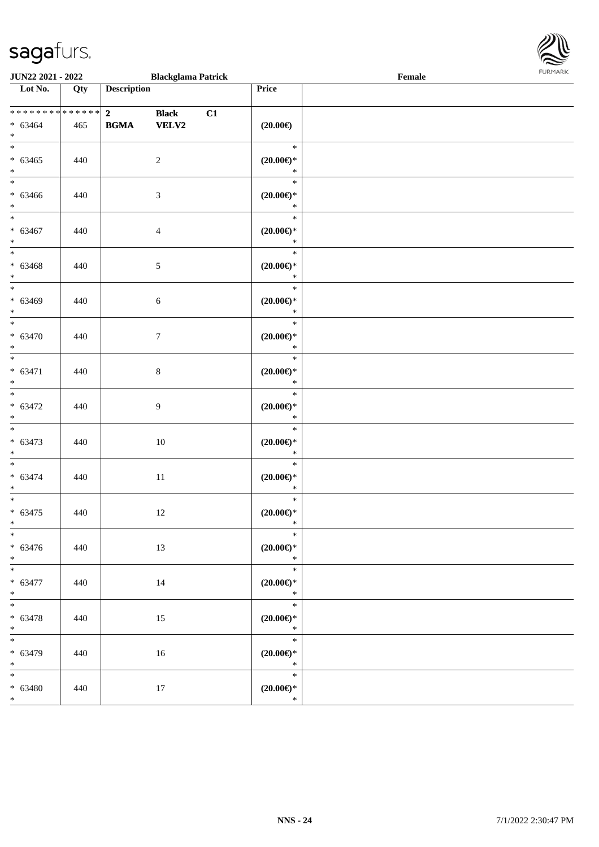

| <b>JUN22 2021 - 2022</b>                         |     |                                        | <b>Blackglama Patrick</b>    |    |                                                | $\ensuremath{\textnormal{\textbf{Female}}}$ | <b>FURPIARR</b> |
|--------------------------------------------------|-----|----------------------------------------|------------------------------|----|------------------------------------------------|---------------------------------------------|-----------------|
| Lot No.                                          | Qty | <b>Description</b>                     |                              |    | Price                                          |                                             |                 |
| ******** <mark>******</mark><br>$* 63464$<br>$*$ | 465 | $\overline{\mathbf{2}}$<br><b>BGMA</b> | <b>Black</b><br><b>VELV2</b> | C1 | $(20.00\epsilon)$                              |                                             |                 |
| $*$<br>$* 63465$<br>$*$                          | 440 |                                        | $\overline{2}$               |    | $\ast$<br>$(20.00\epsilon)$ *<br>$\ast$        |                                             |                 |
| $* 63466$<br>$*$                                 | 440 |                                        | 3                            |    | $\ast$<br>$(20.00\epsilon)$ *<br>$\ast$        |                                             |                 |
| $*$<br>$* 63467$<br>$*$                          | 440 |                                        | $\overline{4}$               |    | $\ast$<br>$(20.00\epsilon)$ *<br>$\ast$        |                                             |                 |
| $\overline{\ast}$<br>$* 63468$<br>$\ast$         | 440 |                                        | 5                            |    | $\ast$<br>$(20.00\epsilon)$ *<br>$\ast$        |                                             |                 |
| $*$<br>$* 63469$<br>$*$                          | 440 |                                        | $\sqrt{6}$                   |    | $\ast$<br>$(20.00\epsilon)$ *<br>$\ast$        |                                             |                 |
| $*$<br>$* 63470$<br>$*$                          | 440 |                                        | $\boldsymbol{7}$             |    | $\ast$<br>$(20.00\varepsilon)$ *<br>$\ast$     |                                             |                 |
| $\overline{\ast}$<br>$* 63471$<br>$*$            | 440 |                                        | $\,8\,$                      |    | $\ast$<br>$(20.00\epsilon)$ *<br>$\ast$        |                                             |                 |
| $* 63472$<br>$*$                                 | 440 |                                        | 9                            |    | $\ast$<br>$(20.00\epsilon)$ *<br>$\ast$        |                                             |                 |
| $\overline{\ast}$<br>$* 63473$<br>$\ast$         | 440 |                                        | 10                           |    | $\ast$<br>$(20.00\epsilon)$ *<br>$\ast$        |                                             |                 |
| $* 63474$<br>$\ast$                              | 440 |                                        | 11                           |    | $\ast$<br>$(20.00\epsilon)$ *<br>$\ast$        |                                             |                 |
| $\ast$<br>$* 63475$<br>$\ast$                    | 440 |                                        | 12                           |    | $\ast$<br>$(20.00\epsilon)$ *                  |                                             |                 |
| $\ast$<br>$* 63476$<br>$*$                       | 440 |                                        | 13                           |    | $\ast$<br>$(20.00\epsilon)$ *<br>$\ast$        |                                             |                 |
| $* 63477$<br>$*$<br>*                            | 440 |                                        | 14                           |    | $\ast$<br>$(20.00\epsilon)$ *<br>$\ast$        |                                             |                 |
| $* 63478$<br>$*$                                 | 440 |                                        | 15                           |    | $\ast$<br>$(20.00\epsilon)$ *<br>$\ast$        |                                             |                 |
| $\overline{\ast}$<br>$* 63479$<br>$*$            | 440 |                                        | 16                           |    | $\ast$<br>$(20.00\epsilon)$ *<br>$\rightarrow$ |                                             |                 |
| $* 63480$<br>$*$                                 | 440 |                                        | 17                           |    | $\ast$<br>$(20.00\epsilon)$ *<br>$\ast$        |                                             |                 |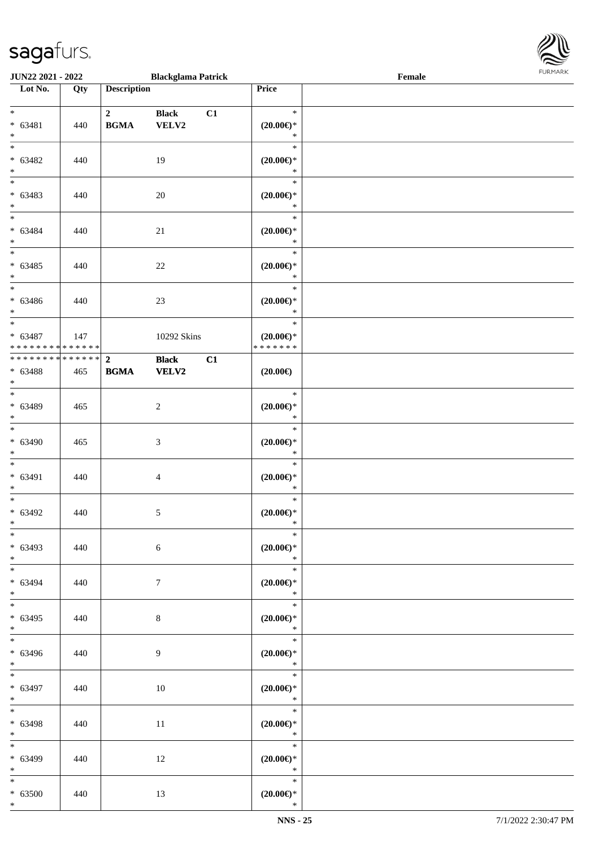

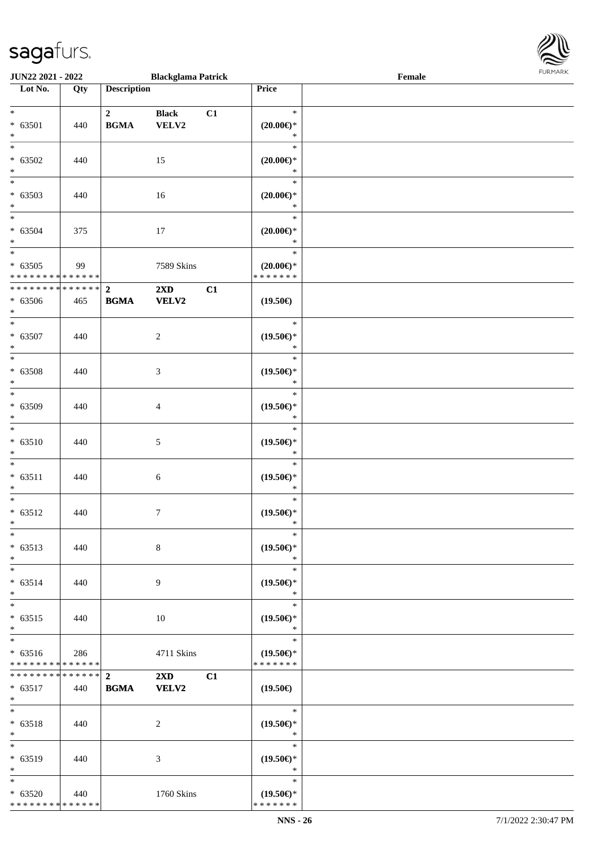| <b>JUN22 2021 - 2022</b>                   |     |                    | <b>Blackglama Patrick</b> |    |                               | Female |  |
|--------------------------------------------|-----|--------------------|---------------------------|----|-------------------------------|--------|--|
| Lot No.                                    | Qty | <b>Description</b> |                           |    | Price                         |        |  |
|                                            |     |                    |                           |    |                               |        |  |
| $*$                                        |     | $\mathbf{2}$       | <b>Black</b>              | C1 | $\ast$                        |        |  |
| $* 63501$                                  | 440 | <b>BGMA</b>        | VELV2                     |    | $(20.00\epsilon)$ *           |        |  |
| $*$                                        |     |                    |                           |    | $\ast$                        |        |  |
|                                            |     |                    |                           |    | $\ast$                        |        |  |
| $* 63502$                                  | 440 |                    | 15                        |    | $(20.00\epsilon)$ *           |        |  |
| $\ast$                                     |     |                    |                           |    | $\ast$                        |        |  |
| $\overline{\phantom{0}}$                   |     |                    |                           |    | $\ast$                        |        |  |
| $* 63503$                                  | 440 |                    | 16                        |    | $(20.00\epsilon)$ *           |        |  |
| $*$                                        |     |                    |                           |    | $\ast$                        |        |  |
| $*$                                        |     |                    |                           |    | $\ast$                        |        |  |
| $* 63504$                                  | 375 |                    | 17                        |    | $(20.00\epsilon)$ *           |        |  |
| $*$                                        |     |                    |                           |    | $\ast$                        |        |  |
|                                            |     |                    |                           |    | $\ast$                        |        |  |
| $* 63505$                                  | 99  |                    | 7589 Skins                |    | $(20.00\epsilon)$ *           |        |  |
| * * * * * * * * * * * * * * *              |     |                    |                           |    | * * * * * * *                 |        |  |
| * * * * * * * * <mark>* * * * * * *</mark> |     | $\overline{2}$     | $2\mathbf{X}\mathbf{D}$   | C1 |                               |        |  |
| $* 63506$                                  |     | <b>BGMA</b>        | <b>VELV2</b>              |    | $(19.50\epsilon)$             |        |  |
| $*$                                        | 465 |                    |                           |    |                               |        |  |
| $*$                                        |     |                    |                           |    | $\ast$                        |        |  |
|                                            |     |                    |                           |    |                               |        |  |
| $* 63507$<br>$*$                           | 440 |                    | 2                         |    | $(19.50\epsilon)$ *<br>$\ast$ |        |  |
|                                            |     |                    |                           |    | $\ast$                        |        |  |
|                                            |     |                    |                           |    |                               |        |  |
| $* 63508$                                  | 440 |                    | 3                         |    | $(19.50\epsilon)$ *           |        |  |
| $*$<br>$\overline{\phantom{0}}$            |     |                    |                           |    | $\ast$                        |        |  |
|                                            |     |                    |                           |    | $\ast$                        |        |  |
| * 63509                                    | 440 |                    | $\overline{4}$            |    | $(19.50\epsilon)$ *           |        |  |
| $*$                                        |     |                    |                           |    | $\ast$                        |        |  |
| $\ast$                                     |     |                    |                           |    | $\ast$                        |        |  |
| $* 63510$                                  | 440 |                    | 5                         |    | $(19.50\epsilon)$ *           |        |  |
| $*$                                        |     |                    |                           |    | $\ast$                        |        |  |
| $*$                                        |     |                    |                           |    | $\ast$                        |        |  |
| $* 63511$                                  | 440 |                    | 6                         |    | $(19.50\epsilon)$ *           |        |  |
| $*$                                        |     |                    |                           |    | $\ast$                        |        |  |
| $*$                                        |     |                    |                           |    | $\ast$                        |        |  |
| $* 63512$                                  | 440 |                    | $\tau$                    |    | $(19.50\epsilon)$ *           |        |  |
| $*$                                        |     |                    |                           |    | $\ast$                        |        |  |
| $*$                                        |     |                    |                           |    | $\ast$                        |        |  |
| $* 63513$                                  | 440 |                    | 8                         |    | $(19.50\epsilon)$ *           |        |  |
| $*$                                        |     |                    |                           |    | $\ast$                        |        |  |
| $*$                                        |     |                    |                           |    | $\ast$                        |        |  |
| $* 63514$                                  | 440 |                    | 9                         |    | $(19.50\epsilon)$ *           |        |  |
| $*$                                        |     |                    |                           |    | $\ast$                        |        |  |
| $*$                                        |     |                    |                           |    | $\ast$                        |        |  |
| $* 63515$                                  | 440 |                    | 10                        |    | $(19.50\epsilon)$ *           |        |  |
| $*$                                        |     |                    |                           |    | $\ast$                        |        |  |
| $_{*}$                                     |     |                    |                           |    | $\ast$                        |        |  |
| $* 63516$                                  | 286 |                    | 4711 Skins                |    | $(19.50\epsilon)$ *           |        |  |
| * * * * * * * * * * * * * *                |     |                    |                           |    | * * * * * * *                 |        |  |
| ******** <mark>******</mark> 2             |     |                    | $2\mathbf{X}\mathbf{D}$   | C1 |                               |        |  |
| $* 63517$                                  | 440 | <b>BGMA</b>        | <b>VELV2</b>              |    | $(19.50\epsilon)$             |        |  |
| $*$                                        |     |                    |                           |    |                               |        |  |
| $*$                                        |     |                    |                           |    | $\ast$                        |        |  |
| $* 63518$                                  | 440 |                    | 2                         |    | $(19.50\epsilon)$ *           |        |  |
| $*$                                        |     |                    |                           |    | $\ast$                        |        |  |
| $*$                                        |     |                    |                           |    | $\ast$                        |        |  |
| $* 63519$                                  | 440 |                    | 3                         |    | $(19.50\epsilon)$ *           |        |  |
| $*$                                        |     |                    |                           |    | $\ast$                        |        |  |
| $*$                                        |     |                    |                           |    | $\ast$                        |        |  |
| $* 63520$                                  | 440 |                    | 1760 Skins                |    | $(19.50\epsilon)$ *           |        |  |
| * * * * * * * * * * * * * *                |     |                    |                           |    | * * * * * * *                 |        |  |
|                                            |     |                    |                           |    |                               |        |  |